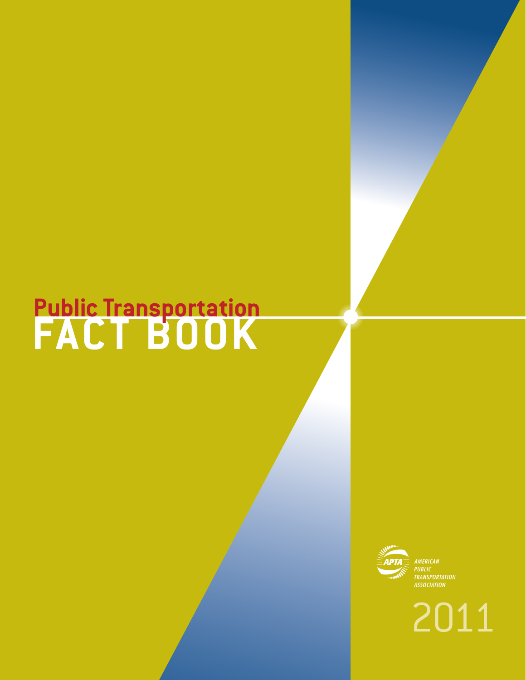# **FACT BOOK Public Transportation**



2011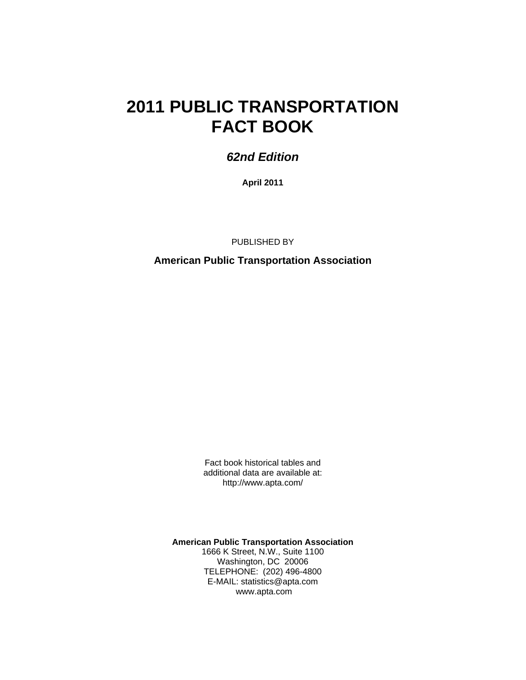# **2011 PUBLIC TRANSPORTATION FACT BOOK**

# *62nd Edition*

**April 2011** 

PUBLISHED BY

**American Public Transportation Association** 

Fact book historical tables and additional data are available at: http://www.apta.com/

**American Public Transportation Association**  1666 K Street, N.W., Suite 1100 Washington, DC 20006 TELEPHONE: (202) 496-4800 E-MAIL: statistics@apta.com www.apta.com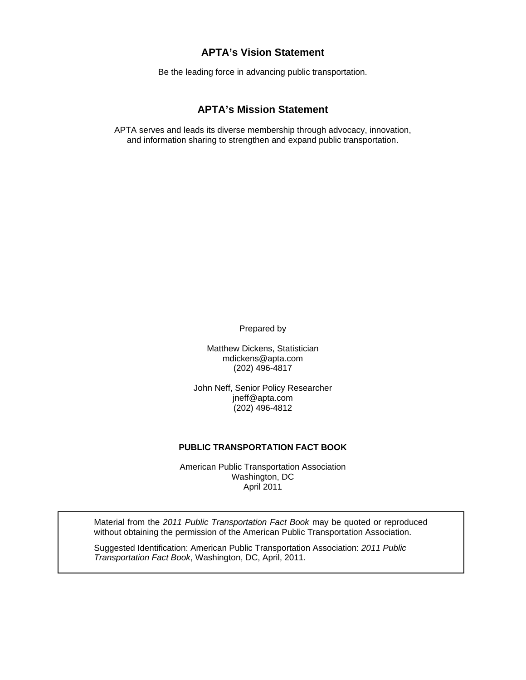#### **APTA's Vision Statement**

Be the leading force in advancing public transportation.

#### **APTA's Mission Statement**

APTA serves and leads its diverse membership through advocacy, innovation, and information sharing to strengthen and expand public transportation.

Prepared by

Matthew Dickens, Statistician mdickens@apta.com (202) 496-4817

John Neff, Senior Policy Researcher jneff@apta.com (202) 496-4812

#### **PUBLIC TRANSPORTATION FACT BOOK**

American Public Transportation Association Washington, DC April 2011

Material from the *2011 Public Transportation Fact Book* may be quoted or reproduced without obtaining the permission of the American Public Transportation Association.

Suggested Identification: American Public Transportation Association: *2011 Public Transportation Fact Book*, Washington, DC, April, 2011.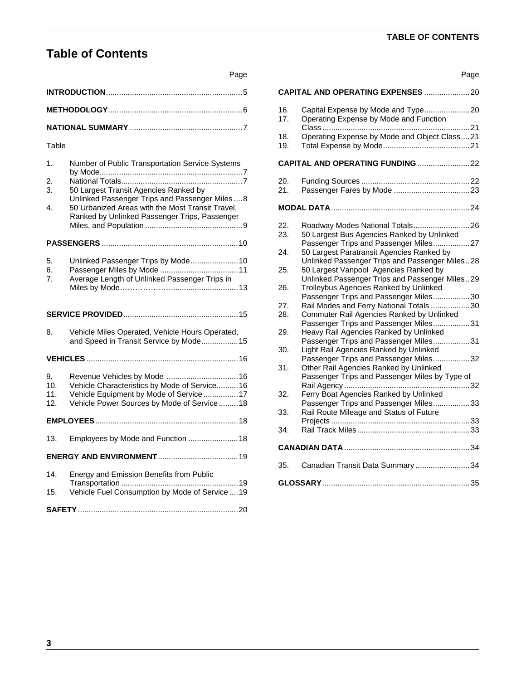# **TABLE OF CONTENTS**

# **Table of Contents**

|                       | Page                                                                                                                                                                                                                                             |                                      |
|-----------------------|--------------------------------------------------------------------------------------------------------------------------------------------------------------------------------------------------------------------------------------------------|--------------------------------------|
|                       |                                                                                                                                                                                                                                                  | CAI                                  |
|                       |                                                                                                                                                                                                                                                  | 16.<br>17 <sub>1</sub>               |
|                       |                                                                                                                                                                                                                                                  |                                      |
| Table                 |                                                                                                                                                                                                                                                  | 18.<br>19.                           |
| 1.<br>2.<br>3.<br>4.  | Number of Public Transportation Service Systems<br>50 Largest Transit Agencies Ranked by<br>Unlinked Passenger Trips and Passenger Miles  8<br>50 Urbanized Areas with the Most Transit Travel,<br>Ranked by Unlinked Passenger Trips, Passenger | <b>CA</b><br>20.<br>21.<br>MО<br>22. |
|                       |                                                                                                                                                                                                                                                  | 23.<br>24.                           |
| 5.<br>6.<br>7.        | Unlinked Passenger Trips by Mode 10<br>Average Length of Unlinked Passenger Trips in                                                                                                                                                             | 25.                                  |
|                       |                                                                                                                                                                                                                                                  | 26.                                  |
|                       |                                                                                                                                                                                                                                                  | 27.<br>28.                           |
| 8.                    | Vehicle Miles Operated, Vehicle Hours Operated,<br>and Speed in Transit Service by Mode 15                                                                                                                                                       | 29.                                  |
|                       |                                                                                                                                                                                                                                                  | 30.                                  |
| 9.<br>10 <sub>1</sub> | Revenue Vehicles by Mode  16<br>Vehicle Characteristics by Mode of Service 16                                                                                                                                                                    | 31.                                  |
| 11.<br>12.            | Vehicle Equipment by Mode of Service  17<br>Vehicle Power Sources by Mode of Service 18                                                                                                                                                          | 32.<br>33.                           |
|                       |                                                                                                                                                                                                                                                  |                                      |
| 13.                   | Employees by Mode and Function  18                                                                                                                                                                                                               | 34.<br>CAI                           |
|                       |                                                                                                                                                                                                                                                  | 35.                                  |
| 14.<br>15.            | Energy and Emission Benefits from Public<br>Vehicle Fuel Consumption by Mode of Service  19                                                                                                                                                      | GL۱                                  |
|                       |                                                                                                                                                                                                                                                  |                                      |

|            | Page                                                                                                                               |
|------------|------------------------------------------------------------------------------------------------------------------------------------|
|            | <b>CAPITAL AND OPERATING EXPENSES  20</b>                                                                                          |
| 16.<br>17. | Capital Expense by Mode and Type 20<br>Operating Expense by Mode and Function                                                      |
| 18.<br>19. | Operating Expense by Mode and Object Class21                                                                                       |
|            | CAPITAL AND OPERATING FUNDING  22                                                                                                  |
| 20.<br>21. |                                                                                                                                    |
|            |                                                                                                                                    |
| 22.<br>23. | Roadway Modes National Totals 26<br>50 Largest Bus Agencies Ranked by Unlinked<br>Passenger Trips and Passenger Miles 27           |
| 24.        | 50 Largest Paratransit Agencies Ranked by<br>Unlinked Passenger Trips and Passenger Miles28                                        |
| 25.        | 50 Largest Vanpool Agencies Ranked by<br>Unlinked Passenger Trips and Passenger Miles29                                            |
| 26.        | Trolleybus Agencies Ranked by Unlinked<br>Passenger Trips and Passenger Miles 30                                                   |
| 27.        | Rail Modes and Ferry National Totals 30                                                                                            |
| 28.        | Commuter Rail Agencies Ranked by Unlinked<br>Passenger Trips and Passenger Miles 31                                                |
| 29.        | Heavy Rail Agencies Ranked by Unlinked                                                                                             |
| 30.        | Passenger Trips and Passenger Miles31<br>Light Rail Agencies Ranked by Unlinked                                                    |
| 31.        | Passenger Trips and Passenger Miles 32<br>Other Rail Agencies Ranked by Unlinked<br>Passenger Trips and Passenger Miles by Type of |
| 32.        | Ferry Boat Agencies Ranked by Unlinked<br>Passenger Trips and Passenger Miles 33                                                   |
| 33.        | Rail Route Mileage and Status of Future                                                                                            |
| 34.        |                                                                                                                                    |
|            |                                                                                                                                    |
| 35.        | Canadian Transit Data Summary 34                                                                                                   |
|            |                                                                                                                                    |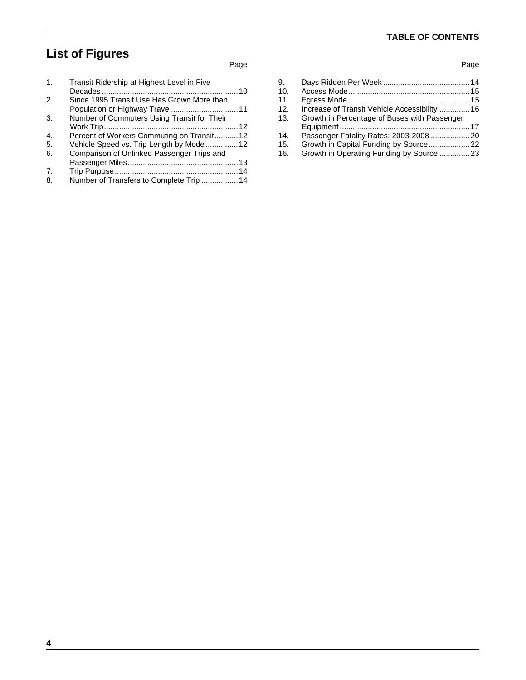# **TABLE OF CONTENTS**

# **List of Figures**

#### Page

| 1.           | Transit Ridership at Highest Level in Five  |  |
|--------------|---------------------------------------------|--|
| 2.           | Since 1995 Transit Use Has Grown More than  |  |
| 3.           | Number of Commuters Using Transit for Their |  |
| $\mathbf{4}$ | Percent of Workers Commuting on Transit12   |  |
| -5.          | Vehicle Speed vs. Trip Length by Mode  12   |  |
| 6.           | Comparison of Unlinked Passenger Trips and  |  |
|              |                                             |  |
| 7.           |                                             |  |
| 8.           | Number of Transfers to Complete Trip 14     |  |

| 9.  |                                               |  |
|-----|-----------------------------------------------|--|
| 10. |                                               |  |
| 11. |                                               |  |
| 12. | Increase of Transit Vehicle Accessibility  16 |  |
| 13. | Growth in Percentage of Buses with Passenger  |  |
|     |                                               |  |
| 14. |                                               |  |
| 15. | Growth in Capital Funding by Source22         |  |
| 16. | Growth in Operating Funding by Source  23     |  |
|     |                                               |  |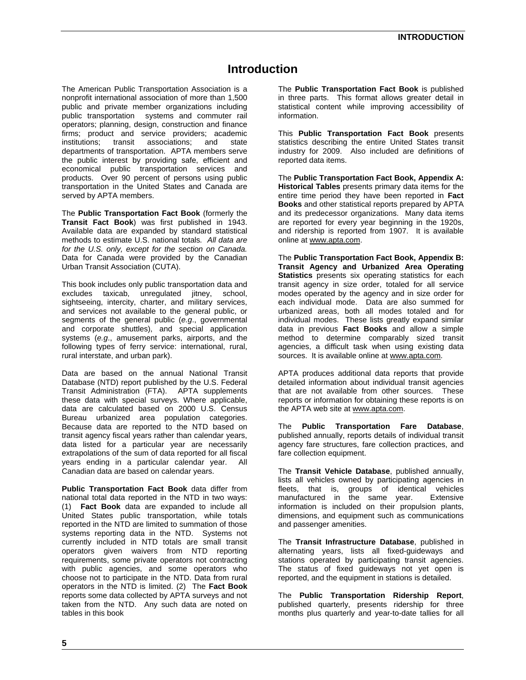### **Introduction**

The American Public Transportation Association is a nonprofit international association of more than 1,500 public and private member organizations including public transportation systems and commuter rail operators; planning, design, construction and finance firms; product and service providers; academic institutions; transit associations; and state departments of transportation. APTA members serve the public interest by providing safe, efficient and economical public transportation services and products. Over 90 percent of persons using public transportation in the United States and Canada are served by APTA members.

The **Public Transportation Fact Book** (formerly the **Transit Fact Book**) was first published in 1943. Available data are expanded by standard statistical methods to estimate U.S. national totals*. All data are for the U.S. only, except for the section on Canada.* Data for Canada were provided by the Canadian Urban Transit Association (CUTA).

This book includes only public transportation data and excludes taxicab, unregulated jitney, school, sightseeing, intercity, charter, and military services, and services not available to the general public, or segments of the general public (*e.g*., governmental and corporate shuttles), and special application systems (*e.g*., amusement parks, airports, and the following types of ferry service: international, rural, rural interstate, and urban park).

Data are based on the annual National Transit Database (NTD) report published by the U.S. Federal Transit Administration (FTA). APTA supplements these data with special surveys. Where applicable, data are calculated based on 2000 U.S. Census Bureau urbanized area population categories. Because data are reported to the NTD based on transit agency fiscal years rather than calendar years, data listed for a particular year are necessarily extrapolations of the sum of data reported for all fiscal years ending in a particular calendar year. All Canadian data are based on calendar years.

**Public Transportation Fact Book** data differ from national total data reported in the NTD in two ways: (1) **Fact Book** data are expanded to include all United States public transportation, while totals reported in the NTD are limited to summation of those systems reporting data in the NTD. Systems not currently included in NTD totals are small transit operators given waivers from NTD reporting requirements, some private operators not contracting with public agencies, and some operators who choose not to participate in the NTD. Data from rural operators in the NTD is limited. (2) The **Fact Book** reports some data collected by APTA surveys and not taken from the NTD. Any such data are noted on tables in this book

The **Public Transportation Fact Book** is published in three parts. This format allows greater detail in statistical content while improving accessibility of information.

This **Public Transportation Fact Book** presents statistics describing the entire United States transit industry for 2009. Also included are definitions of reported data items.

The **Public Transportation Fact Book, Appendix A: Historical Tables** presents primary data items for the entire time period they have been reported in **Fact Books** and other statistical reports prepared by APTA and its predecessor organizations. Many data items are reported for every year beginning in the 1920s, and ridership is reported from 1907. It is available online at www.apta.com.

The **Public Transportation Fact Book, Appendix B: Transit Agency and Urbanized Area Operating Statistics** presents six operating statistics for each transit agency in size order, totaled for all service modes operated by the agency and in size order for each individual mode. Data are also summed for urbanized areas, both all modes totaled and for individual modes. These lists greatly expand similar data in previous **Fact Books** and allow a simple method to determine comparably sized transit agencies, a difficult task when using existing data sources. It is available online at www.apta.com.

APTA produces additional data reports that provide detailed information about individual transit agencies that are not available from other sources. These reports or information for obtaining these reports is on the APTA web site at www.apta.com.

The **Public Transportation Fare Database**, published annually, reports details of individual transit agency fare structures, fare collection practices, and fare collection equipment.

The **Transit Vehicle Database**, published annually, lists all vehicles owned by participating agencies in fleets, that is, groups of identical vehicles manufactured in the same year. Extensive information is included on their propulsion plants, dimensions, and equipment such as communications and passenger amenities.

The **Transit Infrastructure Database**, published in alternating years, lists all fixed-guideways and stations operated by participating transit agencies. The status of fixed guideways not yet open is reported, and the equipment in stations is detailed.

The **Public Transportation Ridership Report**, published quarterly, presents ridership for three months plus quarterly and year-to-date tallies for all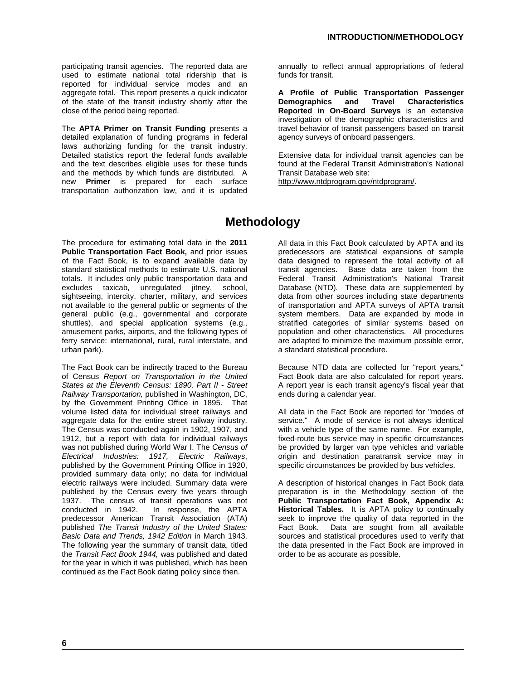participating transit agencies. The reported data are used to estimate national total ridership that is reported for individual service modes and an aggregate total. This report presents a quick indicator of the state of the transit industry shortly after the close of the period being reported.

The **APTA Primer on Transit Funding** presents a detailed explanation of funding programs in federal laws authorizing funding for the transit industry. Detailed statistics report the federal funds available and the text describes eligible uses for these funds and the methods by which funds are distributed. A new **Primer** is prepared for each surface transportation authorization law, and it is updated

annually to reflect annual appropriations of federal funds for transit.

**A Profile of Public Transportation Passenger Demographics and Travel Characteristics Reported in On-Board Surveys** is an extensive investigation of the demographic characteristics and travel behavior of transit passengers based on transit agency surveys of onboard passengers.

Extensive data for individual transit agencies can be found at the Federal Transit Administration's National Transit Database web site:

http://www.ntdprogram.gov/ntdprogram/.

# **Methodology**

The procedure for estimating total data in the **2011 Public Transportation Fact Book,** and prior issues of the Fact Book, is to expand available data by standard statistical methods to estimate U.S. national totals. It includes only public transportation data and excludes taxicab, unregulated jitney, school, sightseeing, intercity, charter, military, and services not available to the general public or segments of the general public (e.g., governmental and corporate shuttles), and special application systems (e.g., amusement parks, airports, and the following types of ferry service: international, rural, rural interstate, and urban park).

The Fact Book can be indirectly traced to the Bureau of Census *Report on Transportation in the United States at the Eleventh Census: 1890, Part II - Street Railway Transportation,* published in Washington, DC, by the Government Printing Office in 1895. That volume listed data for individual street railways and aggregate data for the entire street railway industry. The Census was conducted again in 1902, 1907, and 1912, but a report with data for individual railways was not published during World War I. The *Census of Electrical Industries: 1917, Electric Railways*, published by the Government Printing Office in 1920, provided summary data only; no data for individual electric railways were included. Summary data were published by the Census every five years through 1937. The census of transit operations was not conducted in 1942. In response, the APTA predecessor American Transit Association (ATA) published *The Transit Industry of the United States: Basic Data and Trends, 1942 Edition* in March 1943. The following year the summary of transit data, titled the *Transit Fact Book 1944,* was published and dated for the year in which it was published, which has been continued as the Fact Book dating policy since then.

All data in this Fact Book calculated by APTA and its predecessors are statistical expansions of sample data designed to represent the total activity of all transit agencies. Base data are taken from the Federal Transit Administration's National Transit Database (NTD). These data are supplemented by data from other sources including state departments of transportation and APTA surveys of APTA transit system members. Data are expanded by mode in stratified categories of similar systems based on population and other characteristics. All procedures are adapted to minimize the maximum possible error, a standard statistical procedure.

Because NTD data are collected for "report years," Fact Book data are also calculated for report years. A report year is each transit agency's fiscal year that ends during a calendar year.

All data in the Fact Book are reported for "modes of service." A mode of service is not always identical with a vehicle type of the same name. For example, fixed-route bus service may in specific circumstances be provided by larger van type vehicles and variable origin and destination paratransit service may in specific circumstances be provided by bus vehicles.

A description of historical changes in Fact Book data preparation is in the Methodology section of the **Public Transportation Fact Book, Appendix A: Historical Tables.** It is APTA policy to continually seek to improve the quality of data reported in the Fact Book. Data are sought from all available sources and statistical procedures used to verify that the data presented in the Fact Book are improved in order to be as accurate as possible.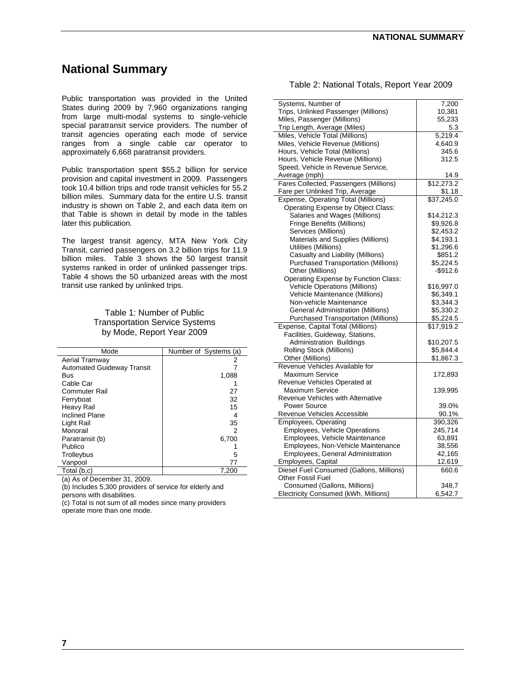# **National Summary**

Public transportation was provided in the United States during 2009 by 7,960 organizations ranging from large multi-modal systems to single-vehicle special paratransit service providers. The number of transit agencies operating each mode of service ranges from a single cable car operator to approximately 6,668 paratransit providers.

Public transportation spent \$55.2 billion for service provision and capital investment in 2009. Passengers took 10.4 billion trips and rode transit vehicles for 55.2 billion miles. Summary data for the entire U.S. transit industry is shown on Table 2, and each data item on that Table is shown in detail by mode in the tables later this publication*.*

The largest transit agency, MTA New York City Transit, carried passengers on 3.2 billion trips for 11.9 billion miles. Table 3 shows the 50 largest transit systems ranked in order of unlinked passenger trips. Table 4 shows the 50 urbanized areas with the most transit use ranked by unlinked trips.

#### Table 1: Number of Public Transportation Service Systems by Mode, Report Year 2009

| Mode                              | Number of Systems (a) |
|-----------------------------------|-----------------------|
| Aerial Tramway                    | 2                     |
| <b>Automated Guideway Transit</b> |                       |
| Bus                               | 1,088                 |
| Cable Car                         |                       |
| Commuter Rail                     | 27                    |
| Ferryboat                         | 32                    |
| Heavy Rail                        | 15                    |
| <b>Inclined Plane</b>             | 4                     |
| Light Rail                        | 35                    |
| Monorail                          | 2                     |
| Paratransit (b)                   | 6,700                 |
| Publico                           |                       |
| Trolleybus                        | 5                     |
| Vanpool                           | 77                    |
| Total (b,c)                       | 7,200                 |

(a) As of December 31, 2009.

(b) Includes 5,300 providers of service for elderly and persons with disabilities.

(c) Total is not sum of all modes since many providers operate more than one mode.

| Table 2: National Totals, Report Year 2009 |  |  |  |  |  |
|--------------------------------------------|--|--|--|--|--|
|--------------------------------------------|--|--|--|--|--|

| Systems, Number of                         | 7,200       |
|--------------------------------------------|-------------|
| Trips, Unlinked Passenger (Millions)       | 10,381      |
| Miles, Passenger (Millions)                | 55,233      |
| Trip Length, Average (Miles)               | 5.3         |
| Miles, Vehicle Total (Millions)            | 5,219.4     |
| Miles, Vehicle Revenue (Millions)          | 4,640.9     |
| Hours, Vehicle Total (Millions)            | 345.6       |
| Hours, Vehicle Revenue (Millions)          | 312.5       |
| Speed, Vehicle in Revenue Service,         |             |
| Average (mph)                              | 14.9        |
| Fares Collected, Passengers (Millions)     | \$12,273.2  |
| Fare per Unlinked Trip, Average            | \$1.18      |
| Expense, Operating Total (Millions)        | \$37,245.0  |
| Operating Expense by Object Class:         |             |
| Salaries and Wages (Millions)              | \$14,212.3  |
| <b>Fringe Benefits (Millions)</b>          | \$9,926.8   |
| Services (Millions)                        | \$2,453.2   |
| Materials and Supplies (Millions)          | \$4,193.1   |
| Utilities (Millions)                       | \$1,296.6   |
| Casualty and Liability (Millions)          | \$851.2     |
| <b>Purchased Transportation (Millions)</b> | \$5,224.5   |
| Other (Millions)                           | $-$ \$912.6 |
| Operating Expense by Function Class:       |             |
| <b>Vehicle Operations (Millions)</b>       | \$16,997.0  |
| Vehicle Maintenance (Millions)             | \$6,349.1   |
| Non-vehicle Maintenance                    |             |
|                                            | \$3,344.3   |
| <b>General Administration (Millions)</b>   | \$5,330.2   |
| <b>Purchased Transportation (Millions)</b> | \$5,224.5   |
| Expense, Capital Total (Millions)          | \$17,919.2  |
| Facilities, Guideway, Stations,            |             |
| <b>Administration Buildings</b>            | \$10,207.5  |
| Rolling Stock (Millions)                   | \$5,844.4   |
| Other (Millions)                           | \$1,867.3   |
| Revenue Vehicles Available for             |             |
| <b>Maximum Service</b>                     | 172,893     |
| Revenue Vehicles Operated at               |             |
| <b>Maximum Service</b>                     | 139,995     |
| Revenue Vehicles with Alternative          |             |
| <b>Power Source</b>                        | 39.0%       |
| Revenue Vehicles Accessible                | 90.1%       |
| <b>Employees, Operating</b>                | 390,326     |
| Employees, Vehicle Operations              | 245,714     |
| Employees, Vehicle Maintenance             | 63,891      |
| Employees, Non-Vehicle Maintenance         | 38,556      |
| <b>Employees, General Administration</b>   | 42,165      |
| Employees, Capital                         | 12,619      |
| Diesel Fuel Consumed (Gallons, Millions)   | 660.6       |
| <b>Other Fossil Fuel</b>                   |             |
| Consumed (Gallons, Millions)               | 348.7       |
| Electricity Consumed (kWh, Millions)       | 6,542.7     |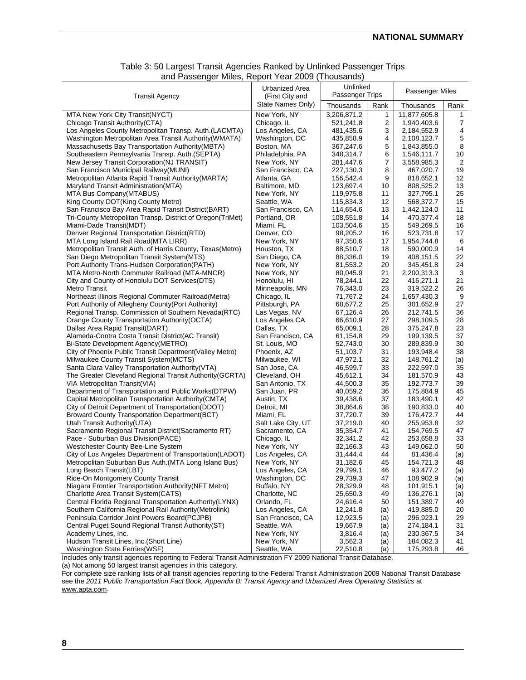| Table 3: 50 Largest Transit Agencies Ranked by Unlinked Passenger Trips |
|-------------------------------------------------------------------------|
| and Passenger Miles, Report Year 2009 (Thousands)                       |

| <b>Transit Agency</b>                                      | Urbanized Area<br>(First City and | Unlinked<br>Passenger Trips |      | Passenger Miles |                |
|------------------------------------------------------------|-----------------------------------|-----------------------------|------|-----------------|----------------|
|                                                            | State Names Only)                 | Thousands                   | Rank | Thousands       | Rank           |
| MTA New York City Transit(NYCT)                            | New York, NY                      | 3,206,871.2                 | 1    | 11,877,605.8    | 1              |
| Chicago Transit Authority (CTA)                            | Chicago, IL                       | 521,241.8                   | 2    | 1,940,403.6     | 7              |
| Los Angeles County Metropolitan Transp. Auth.(LACMTA)      | Los Angeles, CA                   | 481,435.6                   | 3    | 2,184,552.9     | 4              |
| Washington Metropolitan Area Transit Authority (WMATA)     | Washington, DC                    | 435,858.9                   | 4    | 2,108,123.7     | 5              |
| Massachusetts Bay Transportation Authority (MBTA)          | Boston, MA                        | 367,247.6                   | 5    | 1,843,855.0     | 8              |
| Southeastern Pennsylvania Transp. Auth. (SEPTA)            | Philadelphia, PA                  | 348,314.7                   | 6    | 1,546,111.7     | 10             |
| New Jersey Transit Corporation (NJ TRANSIT)                | New York, NY                      | 281,447.6                   | 7    | 3,558,985.3     | $\overline{2}$ |
| San Francisco Municipal Railway (MUNI)                     | San Francisco, CA                 | 227,130.3                   | 8    | 467,020.7       | 19             |
| Metropolitan Atlanta Rapid Transit Authority (MARTA)       | Atlanta, GA                       | 156,542.4                   | 9    | 818,652.1       | 12             |
| Maryland Transit Administration(MTA)                       | Baltimore, MD                     | 123,697.4                   | 10   | 808,525.2       | 13             |
| MTA Bus Company(MTABUS)                                    | New York, NY                      | 119,975.8                   | 11   | 327,795.1       | 25             |
| King County DOT(King County Metro)                         | Seattle, WA                       | 115,834.3                   | 12   | 568,372.7       | 15             |
| San Francisco Bay Area Rapid Transit District(BART)        | San Francisco, CA                 | 114,654.6                   | 13   | 1,442,124.0     | 11             |
| Tri-County Metropolitan Transp. District of Oregon(TriMet) | Portland, OR                      | 108,551.8                   | 14   | 470,377.4       | 18             |
| Miami-Dade Transit(MDT)                                    | Miami, FL                         | 103,504.6                   | 15   | 549,269.5       | 16             |
| Denver Regional Transportation District(RTD)               | Denver, CO                        | 98,205.2                    | 16   | 523,731.8       | 17             |
| MTA Long Island Rail Road(MTA LIRR)                        | New York, NY                      | 97,350.6                    | 17   | 1,954,744.8     | 6              |
| Metropolitan Transit Auth. of Harris County, Texas(Metro)  | Houston, TX                       | 88,510.7                    | 18   | 590,000.9       | 14             |
| San Diego Metropolitan Transit System (MTS)                | San Diego, CA                     | 88,336.0                    | 19   | 408,151.5       | 22             |
| Port Authority Trans-Hudson Corporation(PATH)              | New York, NY                      | 81,553.2                    | 20   | 345,451.8       | 24             |
| MTA Metro-North Commuter Railroad (MTA-MNCR)               | New York, NY                      | 80,045.9                    | 21   | 2,200,313.3     | 3              |
| City and County of Honolulu DOT Services (DTS)             | Honolulu, HI                      | 78,244.1                    | 22   | 416,271.1       | 21             |
| Metro Transit                                              | Minneapolis, MN                   | 76,343.0                    | 23   | 319,522.2       | 26             |
| Northeast Illinois Regional Commuter Railroad(Metra)       | Chicago, IL                       | 71,767.2                    | 24   | 1,657,430.3     | 9              |
| Port Authority of Allegheny County(Port Authority)         | Pittsburgh, PA                    | 68,677.2                    | 25   | 301,652.9       | 27             |
| Regional Transp. Commission of Southern Nevada(RTC)        | Las Vegas, NV                     | 67,126.4                    | 26   | 212,741.5       | 36             |
| Orange County Transportation Authority (OCTA)              | Los Angeles CA                    | 66,610.9                    | 27   | 298,109.5       | 28             |
| Dallas Area Rapid Transit(DART)                            | Dallas, TX                        | 65,009.1                    | 28   | 375,247.8       | 23             |
| Alameda-Contra Costa Transit District(AC Transit)          | San Francisco, CA                 | 61,154.8                    | 29   | 199,139.5       | 37             |
| Bi-State Development Agency(METRO)                         | St. Louis, MO                     | 52,743.0                    | 30   | 289,839.9       | 30             |
| City of Phoenix Public Transit Department (Valley Metro)   | Phoenix, AZ                       | 51,103.7                    | 31   | 193,948.4       | 38             |
| Milwaukee County Transit System(MCTS)                      | Milwaukee, WI                     | 47,972.1                    | 32   | 148,761.2       | (a)            |
| Santa Clara Valley Transportation Authority (VTA)          | San Jose, CA                      | 46,599.7                    | 33   | 222,597.0       | 35             |
| The Greater Cleveland Regional Transit Authority (GCRTA)   | Cleveland, OH                     | 45,612.1                    | 34   | 181,570.9       | 43             |
| VIA Metropolitan Transit(VIA)                              | San Antonio, TX                   | 44,500.3                    | 35   | 192,773.7       | 39             |
| Department of Transportation and Public Works(DTPW)        | San Juan, PR                      | 40,059.2                    | 36   | 175,884.9       | 45             |
| Capital Metropolitan Transportation Authority (CMTA)       | Austin, TX                        | 39,438.6                    | 37   | 183,490.1       | 42             |
| City of Detroit Department of Transportation(DDOT)         | Detroit, MI                       | 38,864.6                    | 38   | 190,833.0       | 40             |
| <b>Broward County Transportation Department (BCT)</b>      | Miami, FL                         | 37,720.7                    | 39   | 176,472.7       | 44             |
| Utah Transit Authority (UTA)                               | Salt Lake City, UT                | 37,219.0                    | 40   | 255,953.8       | 32             |
| Sacramento Regional Transit District(Sacramento RT)        | Sacramento, CA                    | 35,354.7                    | 41   | 154,769.5       | 47             |
| Pace - Suburban Bus Division(PACE)                         | Chicago, IL                       | 32,341.2                    | 42   | 253,658.8       | 33             |
| Westchester County Bee-Line System                         | New York, NY                      | 32,166.3                    | 43   | 149,062.0       | 50             |
| City of Los Angeles Department of Transportation(LADOT)    | Los Angeles, CA                   | 31,444.4                    | 44   | 81,436.4        | (a)            |
| Metropolitan Suburban Bus Auth. (MTA Long Island Bus)      | New York, NY                      | 31,182.6                    | 45   | 154,721.3       | 48             |
| Long Beach Transit(LBT)                                    | Los Angeles, CA                   | 29,799.1                    | 46   | 93,477.2        | (a)            |
| Ride-On Montgomery County Transit                          | Washington, DC                    | 29,739.3                    | 47   | 108,902.9       | (a)            |
| Niagara Frontier Transportation Authority (NFT Metro)      | Buffalo, NY                       | 28,329.9                    | 48   | 101,915.1       | (a)            |
| Charlotte Area Transit System (CATS)                       | Charlotte, NC                     | 25,650.3                    | 49   | 136,276.1       | (a)            |
| Central Florida Regional Transportation Authority(LYNX)    | Orlando, FL                       | 24,616.4                    | 50   | 151,389.7       | 49             |
| Southern California Regional Rail Authority (Metrolink)    | Los Angeles, CA                   | 12,241.8                    | (a)  | 419,885.0       | 20             |
| Peninsula Corridor Joint Powers Board(PCJPB)               | San Francisco, CA                 | 12,923.5                    | (a)  | 296,923.1       | 29             |
| Central Puget Sound Regional Transit Authority (ST)        | Seattle, WA                       | 19,667.9                    | (a)  | 274,184.1       | 31             |
| Academy Lines, Inc.                                        | New York, NY                      | 3,816.4                     | (a)  | 230,367.5       | 34             |
| Hudson Transit Lines, Inc.(Short Line)                     | New York, NY                      | 3,562.3                     | (a)  | 184,082.3       | 41             |
| Washington State Ferries(WSF)                              | Seattle, WA                       | 22,510.8                    | (a)  | 175,293.8       | 46             |
|                                                            | T1/0000B                          |                             |      |                 |                |

Includes only transit agencies reporting to Federal Transit Administration FY 2009 National Transit Database. (a) Not among 50 largest transit agencies in this category.

For complete size ranking lists of all transit agencies reporting to the Federal Transit Administration 2009 National Transit Database see the *2011 Public Transportation Fact Book, Appendix B: Transit Agency and Urbanized Area Operating Statistics* at www.apta.com.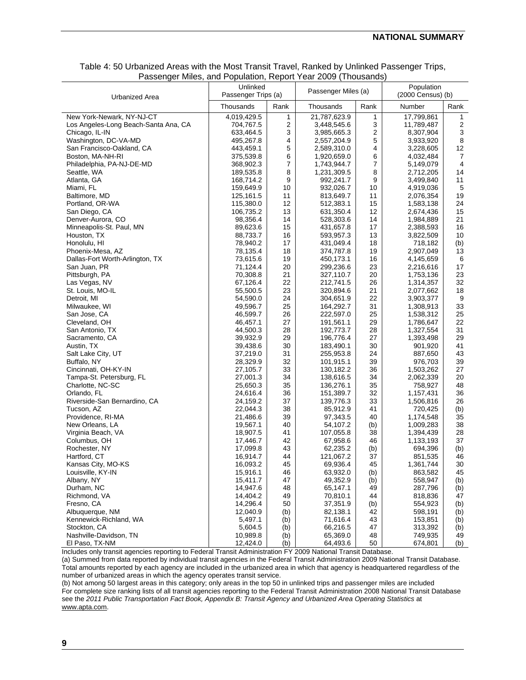#### **NATIONAL SUMMARY**

| Passenger Miles, and Population, Report Year 2009 (Thousands) |                                 |      |                     |              |                                 |                |  |  |  |
|---------------------------------------------------------------|---------------------------------|------|---------------------|--------------|---------------------------------|----------------|--|--|--|
| Urbanized Area                                                | Unlinked<br>Passenger Trips (a) |      | Passenger Miles (a) |              | Population<br>(2000 Census) (b) |                |  |  |  |
|                                                               | Thousands                       | Rank | Thousands           | Rank         | Number                          | Rank           |  |  |  |
| New York-Newark, NY-NJ-CT                                     | 4,019,429.5                     | 1    | 21,787,623.9        | $\mathbf{1}$ | 17,799,861                      | $\mathbf{1}$   |  |  |  |
| Los Angeles-Long Beach-Santa Ana, CA                          | 704,767.5                       | 2    | 3,448,545.6         | 3            | 11,789,487                      | $\overline{c}$ |  |  |  |
| Chicago, IL-IN                                                | 633,464.5                       | 3    | 3,985,665.3         | 2            | 8,307,904                       | 3              |  |  |  |
| Washington, DC-VA-MD                                          | 495,267.8                       | 4    | 2,557,204.9         | 5            | 3,933,920                       | 8              |  |  |  |
| San Francisco-Oakland, CA                                     | 443,459.1                       | 5    | 2,589,310.0         | 4            | 3,228,605                       | 12             |  |  |  |
| Boston, MA-NH-RI                                              | 375,539.8                       | 6    | 1,920,659.0         | 6            | 4,032,484                       | $\overline{7}$ |  |  |  |
| Philadelphia, PA-NJ-DE-MD                                     | 368,902.3                       | 7    | 1,743,944.7         | 7            | 5,149,079                       | 4              |  |  |  |
| Seattle, WA                                                   | 189,535.8                       | 8    | 1,231,309.5         | 8            | 2,712,205                       | 14             |  |  |  |
| Atlanta, GA                                                   | 168,714.2                       | 9    | 992,241.7           | 9            | 3,499,840                       | 11             |  |  |  |
| Miami, FL                                                     | 159,649.9                       | 10   | 932,026.7           | 10           | 4,919,036                       | 5              |  |  |  |
| Baltimore, MD                                                 | 125,161.5                       | 11   | 813,649.7           | 11           | 2,076,354                       | 19             |  |  |  |
| Portland, OR-WA                                               | 115,380.0                       | 12   | 512,383.1           | 15           | 1,583,138                       | 24             |  |  |  |
| San Diego, CA                                                 | 106,735.2                       | 13   | 631,350.4           | 12           | 2,674,436                       | 15             |  |  |  |
| Denver-Aurora, CO                                             | 98,356.4                        | 14   | 528,303.6           | 14           | 1,984,889                       | 21             |  |  |  |
| Minneapolis-St. Paul, MN                                      | 89,623.6                        | 15   | 431,657.8           | 17           | 2,388,593                       | 16             |  |  |  |
| Houston, TX                                                   | 88,733.7                        | 16   | 593,957.3           | 13           | 3,822,509                       | 10             |  |  |  |
| Honolulu, HI                                                  | 78,940.2                        | 17   | 431,049.4           | 18           | 718,182                         | (b)            |  |  |  |
| Phoenix-Mesa, AZ                                              | 78,135.4                        | 18   | 374,787.8           | 19           | 2,907,049                       | 13             |  |  |  |
| Dallas-Fort Worth-Arlington, TX                               | 73,615.6                        | 19   | 450,173.1           | 16           | 4,145,659                       | 6              |  |  |  |
| San Juan, PR                                                  | 71,124.4                        | 20   | 299,236.6           | 23           | 2,216,616                       | 17             |  |  |  |
| Pittsburgh, PA                                                | 70,308.8                        | 21   | 327,110.7           | 20           | 1,753,136                       | 23             |  |  |  |
| Las Vegas, NV                                                 | 67,126.4                        | 22   | 212,741.5           | 26           | 1,314,357                       | 32             |  |  |  |
| St. Louis, MO-IL                                              | 55,500.5                        | 23   | 320,894.6           | 21           | 2,077,662                       | 18             |  |  |  |
| Detroit, MI                                                   | 54,590.0                        | 24   | 304,651.9           | 22           | 3,903,377                       | 9              |  |  |  |
| Milwaukee, WI                                                 | 49,596.7                        | 25   | 164,292.7           | 31           | 1,308,913                       | 33             |  |  |  |
| San Jose, CA                                                  | 46,599.7                        | 26   | 222,597.0           | 25           | 1,538,312                       | 25             |  |  |  |
| Cleveland, OH                                                 | 46,457.1                        | 27   | 191,561.1           | 29           | 1,786,647                       | 22             |  |  |  |
| San Antonio, TX                                               | 44,500.3                        | 28   | 192,773.7           | 28           | 1,327,554                       | 31             |  |  |  |
| Sacramento, CA                                                | 39,932.9                        | 29   | 196,776.4           | 27           | 1,393,498                       | 29             |  |  |  |
| Austin, TX                                                    | 39,438.6                        | 30   | 183,490.1           | 30           | 901,920                         | 41             |  |  |  |
| Salt Lake City, UT                                            | 37,219.0                        | 31   | 255,953.8           | 24           | 887,650                         | 43             |  |  |  |
| Buffalo, NY                                                   | 28,329.9                        | 32   | 101,915.1           | 39           | 976,703                         | 39             |  |  |  |
| Cincinnati, OH-KY-IN                                          | 27,105.7                        | 33   | 130,182.2           | 36           | 1,503,262                       | 27             |  |  |  |
| Tampa-St. Petersburg, FL                                      | 27,001.3                        | 34   | 138,616.5           | 34           | 2,062,339                       | 20             |  |  |  |
| Charlotte, NC-SC                                              | 25,650.3                        | 35   | 136,276.1           | 35           | 758,927                         | 48             |  |  |  |
| Orlando, FL                                                   | 24,616.4                        | 36   | 151,389.7           | 32           | 1,157,431                       | 36             |  |  |  |
| Riverside-San Bernardino, CA                                  | 24,159.2                        | 37   | 139,776.3           | 33           | 1,506,816                       | 26             |  |  |  |
| Tucson, AZ                                                    | 22,044.3                        | 38   | 85,912.9            | 41           | 720,425                         | (b)            |  |  |  |
| Providence, RI-MA                                             | 21,486.6                        | 39   | 97,343.5            | 40           | 1,174,548                       | 35             |  |  |  |
| New Orleans, LA                                               | 19,567.1                        | 40   | 54,107.2            | (b)          | 1,009,283                       | 38             |  |  |  |
| Virginia Beach, VA                                            | 18,907.5                        | 41   | 107,055.8           | 38           | 1,394,439                       | 28             |  |  |  |
| Columbus, OH                                                  | 17,446.7                        | 42   | 67,958.6            | 46           | 1,133,193                       | 37             |  |  |  |
| Rochester, NY                                                 | 17,099.8                        | 43   | 62,235.2            | (b)          | 694,396                         | (b)            |  |  |  |
| Hartford, CT                                                  | 16,914.7                        | 44   | 121,067.2           | 37           | 851,535                         | 46             |  |  |  |
| Kansas City, MO-KS                                            | 16,093.2                        | 45   | 69,936.4            | 45           | 1,361,744                       | 30             |  |  |  |
| Louisville, KY-IN                                             | 15,916.1                        | 46   | 63,932.0            | (b)          | 863,582                         | 45             |  |  |  |
| Albany, NY                                                    | 15.411.7                        | 47   | 49,352.9            | (b)          | 558,947                         | (b)            |  |  |  |
| Durham, NC                                                    | 14,947.6                        | 48   | 65,147.1            | 49           | 287,796                         | (b)            |  |  |  |
| Richmond, VA                                                  | 14,404.2                        | 49   | 70,810.1            | 44           | 818,836                         | 47             |  |  |  |
| Fresno, CA                                                    | 14,296.4                        | 50   | 37,351.9            | (b)          | 554,923                         | (b)            |  |  |  |
| Albuquerque, NM                                               | 12,040.9                        | (b)  | 82,138.1            | 42           | 598,191                         | (b)            |  |  |  |
| Kennewick-Richland, WA                                        | 5,497.1                         | (b)  | 71,616.4            | 43           | 153,851                         | (b)            |  |  |  |
| Stockton, CA                                                  | 5,604.5                         | (b)  | 66,216.5            | 47           | 313,392                         | (b)            |  |  |  |
| Nashville-Davidson, TN                                        | 10,989.8                        | (b)  | 65,369.0            | 48           | 749,935                         | 49             |  |  |  |
| El Paso, TX-NM                                                | 12,424.0                        | (b)  | 64,493.6            | 50           | 674,801                         | (b)            |  |  |  |

#### Table 4: 50 Urbanized Areas with the Most Transit Travel, Ranked by Unlinked Passenger Trips, and Population,  $Re$

Includes only transit agencies reporting to Federal Transit Administration FY 2009 National Transit Database.

(a) Summed from data reported by individual transit agencies in the Federal Transit Administration 2009 National Transit Database. Total amounts reported by each agency are included in the urbanized area in which that agency is headquartered regardless of the number of urbanized areas in which the agency operates transit service.

(b) Not among 50 largest areas in this category; only areas in the top 50 in unlinked trips and passenger miles are included For complete size ranking lists of all transit agencies reporting to the Federal Transit Administration 2008 National Transit Database see the *2011 Public Transportation Fact Book, Appendix B: Transit Agency and Urbanized Area Operating Statistics* at www.apta.com.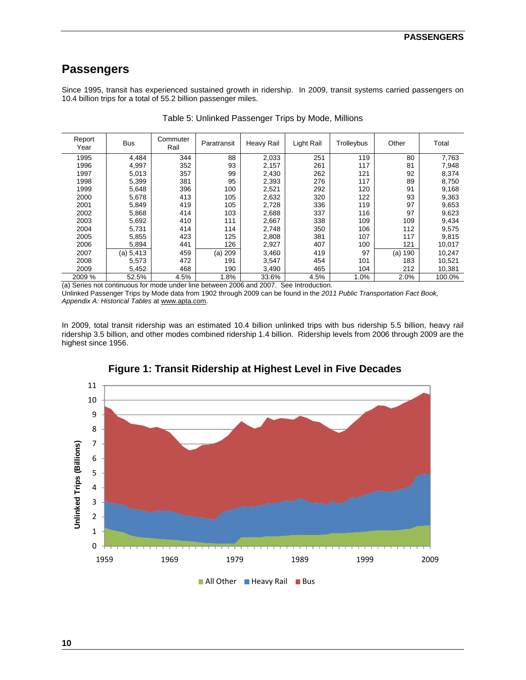# **Passengers**

Since 1995, transit has experienced sustained growth in ridership. In 2009, transit systems carried passengers on 10.4 billion trips for a total of 55.2 billion passenger miles.

| Report<br>Year | <b>Bus</b> | Commuter<br>Rail | Paratransit | Heavy Rail | Light Rail | Trolleybus | Other      | Total  |
|----------------|------------|------------------|-------------|------------|------------|------------|------------|--------|
| 1995           | 4.484      | 344              | 88          | 2,033      | 251        | 119        | 80         | 7,763  |
| 1996           | 4,997      | 352              | 93          | 2,157      | 261        | 117        | 81         | 7,948  |
| 1997           | 5,013      | 357              | 99          | 2,430      | 262        | 121        | 92         | 8,374  |
| 1998           | 5.399      | 381              | 95          | 2,393      | 276        | 117        | 89         | 8,750  |
| 1999           | 5,648      | 396              | 100         | 2,521      | 292        | 120        | 91         | 9,168  |
| 2000           | 5,678      | 413              | 105         | 2,632      | 320        | 122        | 93         | 9,363  |
| 2001           | 5,849      | 419              | 105         | 2,728      | 336        | 119        | 97         | 9.653  |
| 2002           | 5,868      | 414              | 103         | 2,688      | 337        | 116        | 97         | 9,623  |
| 2003           | 5,692      | 410              | 111         | 2,667      | 338        | 109        | 109        | 9,434  |
| 2004           | 5,731      | 414              | 114         | 2,748      | 350        | 106        | 112        | 9,575  |
| 2005           | 5,855      | 423              | 125         | 2,808      | 381        | 107        | 117        | 9,815  |
| 2006           | 5,894      | 441              | 126         | 2,927      | 407        | 100        | 121        | 10,017 |
| 2007           | (a) 5,413  | 459              | (a) 209     | 3,460      | 419        | 97         | 190<br>(a) | 10,247 |
| 2008           | 5,573      | 472              | 191         | 3,547      | 454        | 101        | 183        | 10,521 |
| 2009           | 5,452      | 468              | 190         | 3,490      | 465        | 104        | 212        | 10,381 |
| 2009 %         | 52.5%      | 4.5%             | 1.8%        | 33.6%      | 4.5%       | 1.0%       | 2.0%       | 100.0% |

Table 5: Unlinked Passenger Trips by Mode, Millions

(a) Series not continuous for mode under line between 2006 and 2007. See Introduction.

Unlinked Passenger Trips by Mode data from 1902 through 2009 can be found in the *2011 Public Transportation Fact Book, Appendix A: Historical Tables* at www.apta.com.

In 2009, total transit ridership was an estimated 10.4 billion unlinked trips with bus ridership 5.5 billion, heavy rail ridership 3.5 billion, and other modes combined ridership 1.4 billion. Ridership levels from 2006 through 2009 are the highest since 1956.



### **Figure 1: Transit Ridership at Highest Level in Five Decades**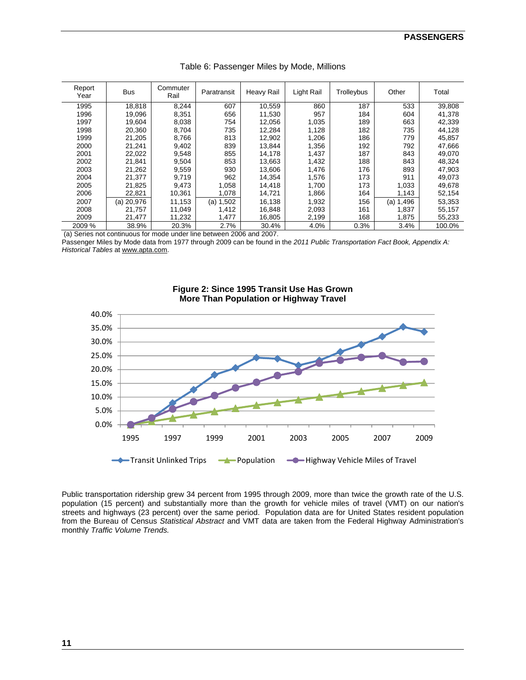| Report<br>Year | <b>Bus</b>   | Commuter<br>Rail | Paratransit | Heavy Rail | Light Rail | Trolleybus | Other        | Total  |
|----------------|--------------|------------------|-------------|------------|------------|------------|--------------|--------|
| 1995           | 18,818       | 8,244            | 607         | 10,559     | 860        | 187        | 533          | 39,808 |
| 1996           | 19,096       | 8,351            | 656         | 11,530     | 957        | 184        | 604          | 41,378 |
| 1997           | 19,604       | 8,038            | 754         | 12,056     | 1,035      | 189        | 663          | 42,339 |
| 1998           | 20,360       | 8,704            | 735         | 12,284     | 1,128      | 182        | 735          | 44,128 |
| 1999           | 21,205       | 8,766            | 813         | 12,902     | 1,206      | 186        | 779          | 45,857 |
| 2000           | 21.241       | 9,402            | 839         | 13,844     | 1,356      | 192        | 792          | 47,666 |
| 2001           | 22,022       | 9,548            | 855         | 14,178     | 1,437      | 187        | 843          | 49,070 |
| 2002           | 21,841       | 9,504            | 853         | 13,663     | 1,432      | 188        | 843          | 48,324 |
| 2003           | 21,262       | 9,559            | 930         | 13,606     | 1,476      | 176        | 893          | 47,903 |
| 2004           | 21.377       | 9.719            | 962         | 14,354     | 1,576      | 173        | 911          | 49.073 |
| 2005           | 21,825       | 9.473            | 1,058       | 14,418     | 1.700      | 173        | 1,033        | 49,678 |
| 2006           | 22,821       | 10,361           | 1,078       | 14,721     | 1,866      | 164        | 1,143        | 52,154 |
| 2007           | $(a)$ 20,976 | 11,153           | (a) 1,502   | 16,138     | 1,932      | 156        | 1,496<br>(a) | 53,353 |
| 2008           | 21,757       | 11,049           | 1,412       | 16,848     | 2,093      | 161        | 1,837        | 55,157 |
| 2009           | 21,477       | 11,232           | 1,477       | 16,805     | 2,199      | 168        | 1,875        | 55,233 |
| 2009 %         | 38.9%        | 20.3%            | 2.7%        | 30.4%      | 4.0%       | 0.3%       | 3.4%         | 100.0% |

|  |  | Table 6: Passenger Miles by Mode, Millions |  |  |  |
|--|--|--------------------------------------------|--|--|--|
|--|--|--------------------------------------------|--|--|--|

(a) Series not continuous for mode under line between 2006 and 2007.

Passenger Miles by Mode data from 1977 through 2009 can be found in the *2011 Public Transportation Fact Book, Appendix A: Historical Tables* at www.apta.com.



#### **Figure 2: Since 1995 Transit Use Has Grown More Than Population or Highway Travel**

Public transportation ridership grew 34 percent from 1995 through 2009, more than twice the growth rate of the U.S. population (15 percent) and substantially more than the growth for vehicle miles of travel (VMT) on our nation's streets and highways (23 percent) over the same period. Population data are for United States resident population from the Bureau of Census *Statistical Abstract* and VMT data are taken from the Federal Highway Administration's monthly *Traffic Volume Trends.*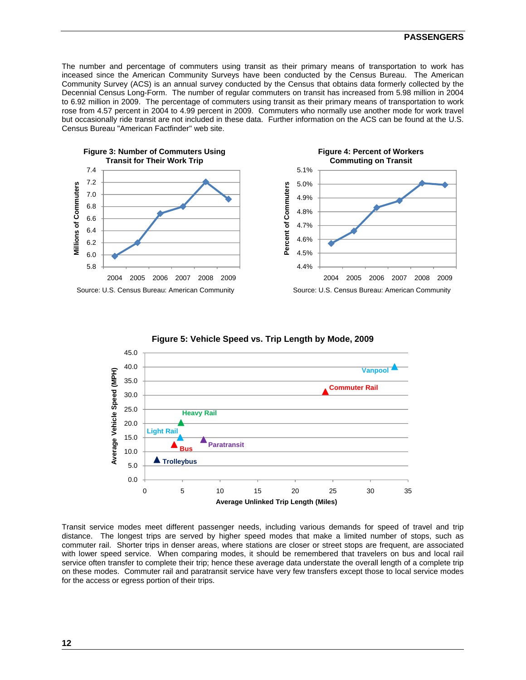#### **PASSENGERS**

The number and percentage of commuters using transit as their primary means of transportation to work has inceased since the American Community Surveys have been conducted by the Census Bureau. The American Community Survey (ACS) is an annual survey conducted by the Census that obtains data formerly collected by the Decennial Census Long-Form. The number of regular commuters on transit has increased from 5.98 million in 2004 to 6.92 million in 2009. The percentage of commuters using transit as their primary means of transportation to work rose from 4.57 percent in 2004 to 4.99 percent in 2009. Commuters who normally use another mode for work travel but occasionally ride transit are not included in these data. Further information on the ACS can be found at the U.S. Census Bureau "American Factfinder" web site.









Transit service modes meet different passenger needs, including various demands for speed of travel and trip distance. The longest trips are served by higher speed modes that make a limited number of stops, such as commuter rail. Shorter trips in denser areas, where stations are closer or street stops are frequent, are associated with lower speed service. When comparing modes, it should be remembered that travelers on bus and local rail service often transfer to complete their trip; hence these average data understate the overall length of a complete trip on these modes. Commuter rail and paratransit service have very few transfers except those to local service modes for the access or egress portion of their trips.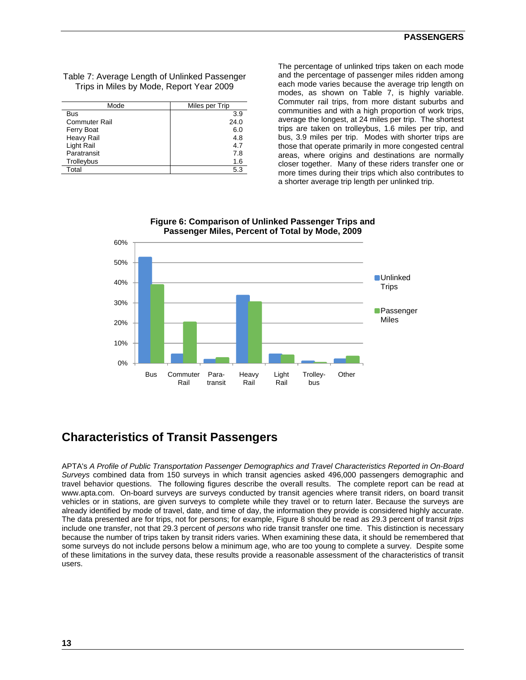| Table 7: Average Length of Unlinked Passenger |
|-----------------------------------------------|
| Trips in Miles by Mode, Report Year 2009      |

| Mode                 | Miles per Trip |
|----------------------|----------------|
| Bus                  | 3.9            |
| <b>Commuter Rail</b> | 24.0           |
| Ferry Boat           | 6.0            |
| Heavy Rail           | 4.8            |
| Light Rail           | 4.7            |
| Paratransit          | 7.8            |
| Trolleybus           | 1.6            |
| Total                | 5.3            |

The percentage of unlinked trips taken on each mode and the percentage of passenger miles ridden among each mode varies because the average trip length on modes, as shown on Table 7, is highly variable. Commuter rail trips, from more distant suburbs and communities and with a high proportion of work trips, average the longest, at 24 miles per trip. The shortest trips are taken on trolleybus, 1.6 miles per trip, and bus, 3.9 miles per trip. Modes with shorter trips are those that operate primarily in more congested central areas, where origins and destinations are normally closer together. Many of these riders transfer one or more times during their trips which also contributes to a shorter average trip length per unlinked trip.



#### **Figure 6: Comparison of Unlinked Passenger Trips and Passenger Miles, Percent of Total by Mode, 2009**

# **Characteristics of Transit Passengers**

APTA's *A Profile of Public Transportation Passenger Demographics and Travel Characteristics Reported in On-Board Surveys* combined data from 150 surveys in which transit agencies asked 496,000 passengers demographic and travel behavior questions. The following figures describe the overall results. The complete report can be read at www.apta.com. On-board surveys are surveys conducted by transit agencies where transit riders, on board transit vehicles or in stations, are given surveys to complete while they travel or to return later. Because the surveys are already identified by mode of travel, date, and time of day, the information they provide is considered highly accurate. The data presented are for trips, not for persons; for example, Figure 8 should be read as 29.3 percent of transit *trips* include one transfer, not that 29.3 percent of *persons* who ride transit transfer one time. This distinction is necessary because the number of trips taken by transit riders varies. When examining these data, it should be remembered that some surveys do not include persons below a minimum age, who are too young to complete a survey. Despite some of these limitations in the survey data, these results provide a reasonable assessment of the characteristics of transit users.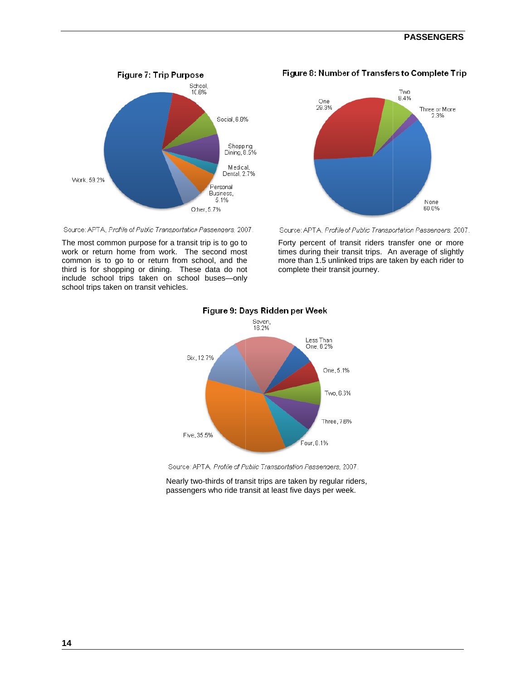#### **PASSENG GERS**



Source: APTA, Profile of Public Transportation Passengers, 2007.

The most common purpose for a transit trip is to go to work or return home from work. The second most common is to go to or return from school, and the third is for shopping or dining. These data do not include school trips taken on school buses-only school trips taken on transit vehicles.



Figure 8: Number of Transfers to Complete Trip

Source: APTA, Profile of Public Transportation Passengers, 2007.

o Forty<br>st times<br>e more<br>omp<br>y times during their transit trips. An average of slightly more than 1.5 unlinked trips are taken by each rider to complete their transit journey. y percent of transit riders transfer one or more



#### Figure 9: Days Ridden per Week

Source: APTA, Profile of Public Transportation Passengers, 2007.

Nearly two-thirds of transit trips are taken by regular riders, passengers who ride transit at least five days per week.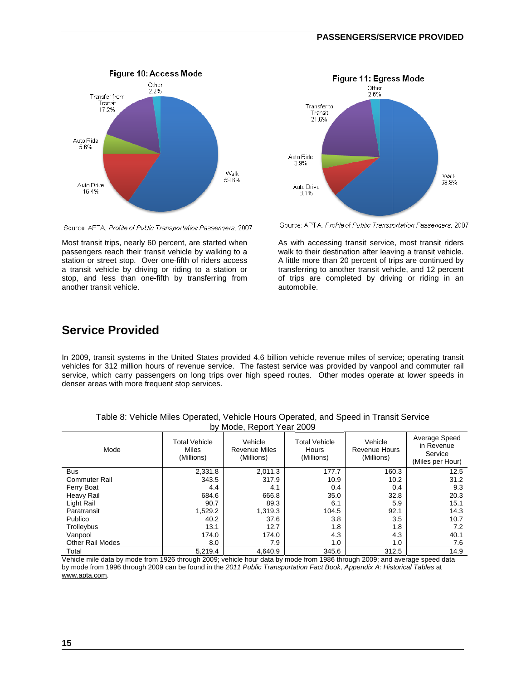#### **PASSE ENGERS/SER RVICE PROV VIDED**





Most transit trips, nearly 60 percent, are started when passengers reach their transit vehicle by walking to a station or street stop. Over one-fifth of riders access a transit vehicle by driving or riding to a station or stop, and less than one-fifth by transferring from another tra ansit vehicle.



Source: APTA, Profile of Public Transportation Passengers, 2007

en As w<br>
a walk<br>
ss A little<br>
or transl<br>
m of tri walk to their destination after leaving a transit vehicle. A little more than 20 percent of trips are continued by transferring to another transit vehicle, and 12 percent of trips are completed by driving or riding in an autom mobile. with accessing transit service, most transit riders

# **Service Provided**

In 2009, transit systems in the United States provided 4.6 billion vehicle revenue miles of service; operating transit vehicles for 312 million hours of revenue service. The fastest service was provided by vanpool and commuter rail service, which carry passengers on long trips over high speed routes. Other modes operate at lower speeds in denser areas with more frequent stop services.

| <b>DY IVIOUS, INSPOIL TOUT LOOD</b> |                                             |                                               |                                             |                                        |                                                            |  |  |
|-------------------------------------|---------------------------------------------|-----------------------------------------------|---------------------------------------------|----------------------------------------|------------------------------------------------------------|--|--|
| Mode                                | <b>Total Vehicle</b><br>Miles<br>(Millions) | Vehicle<br><b>Revenue Miles</b><br>(Millions) | <b>Total Vehicle</b><br>Hours<br>(Millions) | Vehicle<br>Revenue Hours<br>(Millions) | Average Speed<br>in Revenue<br>Service<br>(Miles per Hour) |  |  |
| <b>Bus</b>                          | 2,331.8                                     | 2,011.3                                       | 177.7                                       | 160.3                                  | 12.5                                                       |  |  |
| <b>Commuter Rail</b>                | 343.5                                       | 317.9                                         | 10.9                                        | 10.2                                   | 31.2                                                       |  |  |
| Ferry Boat                          | 4.4                                         | 4.1                                           | 0.4                                         | 0.4                                    | 9.3                                                        |  |  |
| Heavy Rail                          | 684.6                                       | 666.8                                         | 35.0                                        | 32.8                                   | 20.3                                                       |  |  |
| Light Rail                          | 90.7                                        | 89.3                                          | 6.1                                         | 5.9                                    | 15.1                                                       |  |  |
| Paratransit                         | 1,529.2                                     | 1.319.3                                       | 104.5                                       | 92.1                                   | 14.3                                                       |  |  |
| Publico                             | 40.2                                        | 37.6                                          | 3.8                                         | 3.5                                    | 10.7                                                       |  |  |
| Trolleybus                          | 13.1                                        | 12.7                                          | 1.8                                         | 1.8                                    | 7.2                                                        |  |  |
| Vanpool                             | 174.0                                       | 174.0                                         | 4.3                                         | 4.3                                    | 40.1                                                       |  |  |
| <b>Other Rail Modes</b>             | 8.0                                         | 7.9                                           | 1.0                                         | 1.0                                    | 7.6                                                        |  |  |
| Total                               | 5,219.4                                     | 4,640.9                                       | 345.6                                       | 312.5                                  | 14.9                                                       |  |  |

| Table 8: Vehicle Miles Operated, Vehicle Hours Operated, and Speed in Transit Service |
|---------------------------------------------------------------------------------------|
| by Mode, Report Year 2009                                                             |

Vehicle mile data by mode from 1926 through 2009; vehicle hour data by mode from 1986 through 2009; and average speed data by mode from 1996 through 2009 can be found in the 2011 Public Transportation Fact Book, Appendix A: Historical Tables at www.apta.com.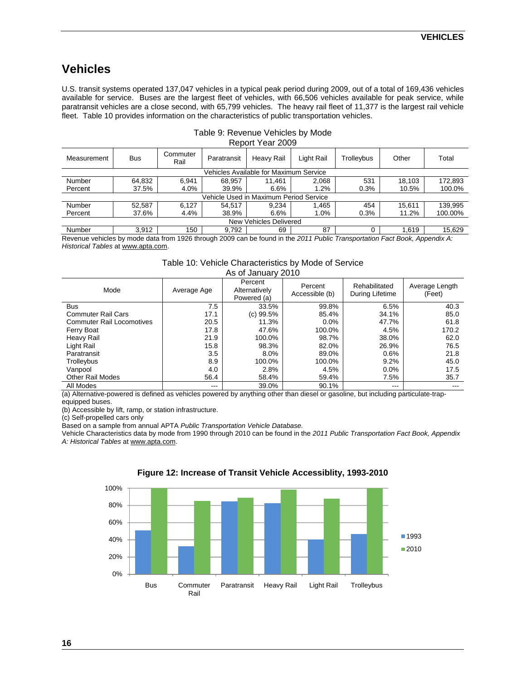# **Vehicles**

U.S. transit systems operated 137,047 vehicles in a typical peak period during 2009, out of a total of 169,436 vehicles available for service. Buses are the largest fleet of vehicles, with 66,506 vehicles available for peak service, while paratransit vehicles are a close second, with 65,799 vehicles. The heavy rail fleet of 11,377 is the largest rail vehicle fleet. Table 10 provides information on the characteristics of public transportation vehicles.

| Report rear zuus       |            |                  |             |                                        |            |            |        |         |
|------------------------|------------|------------------|-------------|----------------------------------------|------------|------------|--------|---------|
| Measurement            | <b>Bus</b> | Commuter<br>Rail | Paratransit | Heavy Rail                             | Light Rail | Trolleybus | Other  | Total   |
|                        |            |                  |             | Vehicles Available for Maximum Service |            |            |        |         |
| Number                 | 64.832     | 6.941            | 68.957      | 11.461                                 | 2.068      | 531        | 18.103 | 172.893 |
| Percent                | 37.5%      | 4.0%             | 39.9%       | 6.6%                                   | 1.2%       | 0.3%       | 10.5%  | 100.0%  |
|                        |            |                  |             | Vehicle Used in Maximum Period Service |            |            |        |         |
| Number                 | 52.587     | 6.127            | 54.517      | 9.234                                  | .465       | 454        | 15.611 | 139,995 |
| Percent                | 37.6%      | 4.4%             | 38.9%       | 6.6%                                   | 1.0%       | 0.3%       | 11.2%  | 100.00% |
| New Vehicles Delivered |            |                  |             |                                        |            |            |        |         |
| Number                 | 3.912      | 150              | 9.792       | 69                                     | 87         |            | 1.619  | 15.629  |

#### Table 9: Revenue Vehicles by Mode Report Year 2009

Revenue vehicles by mode data from 1926 through 2009 can be found in the *2011 Public Transportation Fact Book, Appendix A: Historical Tables* at www.apta.com.

> Table 10: Vehicle Characteristics by Mode of Service As of January 2010

| AS VI JAHUAH ZU IV               |                   |                                         |                           |                                  |                          |  |  |
|----------------------------------|-------------------|-----------------------------------------|---------------------------|----------------------------------|--------------------------|--|--|
| Mode                             | Average Age       | Percent<br>Alternatively<br>Powered (a) | Percent<br>Accessible (b) | Rehabilitated<br>During Lifetime | Average Length<br>(Feet) |  |  |
| <b>Bus</b>                       | 7.5               | 33.5%                                   | 99.8%                     | 6.5%                             | 40.3                     |  |  |
| <b>Commuter Rail Cars</b>        | 17.1              | (c) 99.5%                               | 85.4%                     | 34.1%                            | 85.0                     |  |  |
| <b>Commuter Rail Locomotives</b> | 20.5              | 11.3%                                   | $0.0\%$                   | 47.7%                            | 61.8                     |  |  |
| Ferry Boat                       | 17.8              | 47.6%                                   | 100.0%                    | 4.5%                             | 170.2                    |  |  |
| Heavy Rail                       | 21.9              | 100.0%                                  | 98.7%                     | 38.0%                            | 62.0                     |  |  |
| Light Rail                       | 15.8              | 98.3%                                   | 82.0%                     | 26.9%                            | 76.5                     |  |  |
| Paratransit                      | 3.5               | 8.0%                                    | 89.0%                     | 0.6%                             | 21.8                     |  |  |
| Trolleybus                       | 8.9               | 100.0%                                  | 100.0%                    | 9.2%                             | 45.0                     |  |  |
| Vanpool                          | 4.0               | 2.8%                                    | 4.5%                      | $0.0\%$                          | 17.5                     |  |  |
| <b>Other Rail Modes</b>          | 56.4              | 58.4%                                   | 59.4%                     | 7.5%                             | 35.7                     |  |  |
| All Modes                        | $\qquad \qquad -$ | 39.0%                                   | 90.1%                     | $\frac{1}{2}$                    | $- - -$                  |  |  |

(a) Alternative-powered is defined as vehicles powered by anything other than diesel or gasoline, but including particulate-trapequipped buses.

(b) Accessible by lift, ramp, or station infrastructure.

(c) Self-propelled cars only

Based on a sample from annual APTA *Public Transportation Vehicle Database.* 

Vehicle Characteristics data by mode from 1990 through 2010 can be found in the *2011 Public Transportation Fact Book, Appendix A: Historical Tables* at www.apta.com.



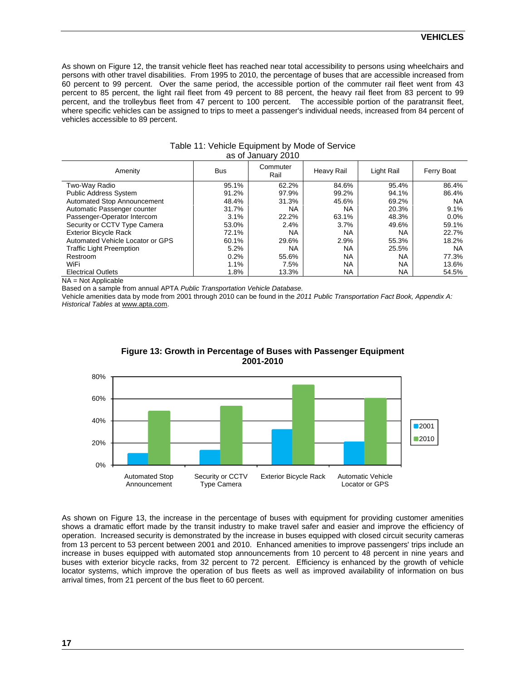#### **VEHICLES**

As shown on Figure 12, the transit vehicle fleet has reached near total accessibility to persons using wheelchairs and persons with other travel disabilities. From 1995 to 2010, the percentage of buses that are accessible increased from 60 percent to 99 percent. Over the same period, the accessible portion of the commuter rail fleet went from 43 percent to 85 percent, the light rail fleet from 49 percent to 88 percent, the heavy rail fleet from 83 percent to 99 percent, and the trolleybus fleet from 47 percent to 100 percent. The accessible portion of the paratransit fleet, where specific vehicles can be assigned to trips to meet a passenger's individual needs, increased from 84 percent of vehicles accessible to 89 percent.

| Amenity                          | <b>Bus</b> | Commuter<br>Rail | Heavy Rail | Light Rail | Ferry Boat |
|----------------------------------|------------|------------------|------------|------------|------------|
| Two-Way Radio                    | 95.1%      | 62.2%            | 84.6%      | 95.4%      | 86.4%      |
| <b>Public Address System</b>     | 91.2%      | 97.9%            | 99.2%      | 94.1%      | 86.4%      |
| Automated Stop Announcement      | 48.4%      | 31.3%            | 45.6%      | 69.2%      | <b>NA</b>  |
| Automatic Passenger counter      | 31.7%      | <b>NA</b>        | <b>NA</b>  | 20.3%      | 9.1%       |
| Passenger-Operator Intercom      | 3.1%       | 22.2%            | 63.1%      | 48.3%      | $0.0\%$    |
| Security or CCTV Type Camera     | 53.0%      | 2.4%             | 3.7%       | 49.6%      | 59.1%      |
| <b>Exterior Bicycle Rack</b>     | 72.1%      | <b>NA</b>        | <b>NA</b>  | ΝA         | 22.7%      |
| Automated Vehicle Locator or GPS | 60.1%      | 29.6%            | 2.9%       | 55.3%      | 18.2%      |
| <b>Traffic Light Preemption</b>  | 5.2%       | <b>NA</b>        | <b>NA</b>  | 25.5%      | <b>NA</b>  |
| Restroom                         | 0.2%       | 55.6%            | <b>NA</b>  | <b>NA</b>  | 77.3%      |
| WiFi                             | 1.1%       | 7.5%             | <b>NA</b>  | NA         | 13.6%      |
| <b>Electrical Outlets</b>        | 1.8%       | 13.3%            | <b>NA</b>  | NA         | 54.5%      |

#### Table 11: Vehicle Equipment by Mode of Service as of January 2010

NA = Not Applicable

Based on a sample from annual APTA *Public Transportation Vehicle Database.* 

Vehicle amenities data by mode from 2001 through 2010 can be found in the *2011 Public Transportation Fact Book, Appendix A: Historical Tables* at www.apta.com.



#### **Figure 13: Growth in Percentage of Buses with Passenger Equipment 2001-2010**

As shown on Figure 13, the increase in the percentage of buses with equipment for providing customer amenities shows a dramatic effort made by the transit industry to make travel safer and easier and improve the efficiency of operation. Increased security is demonstrated by the increase in buses equipped with closed circuit security cameras from 13 percent to 53 percent between 2001 and 2010. Enhanced amenities to improve passengers' trips include an increase in buses equipped with automated stop announcements from 10 percent to 48 percent in nine years and buses with exterior bicycle racks, from 32 percent to 72 percent. Efficiency is enhanced by the growth of vehicle locator systems, which improve the operation of bus fleets as well as improved availability of information on bus arrival times, from 21 percent of the bus fleet to 60 percent.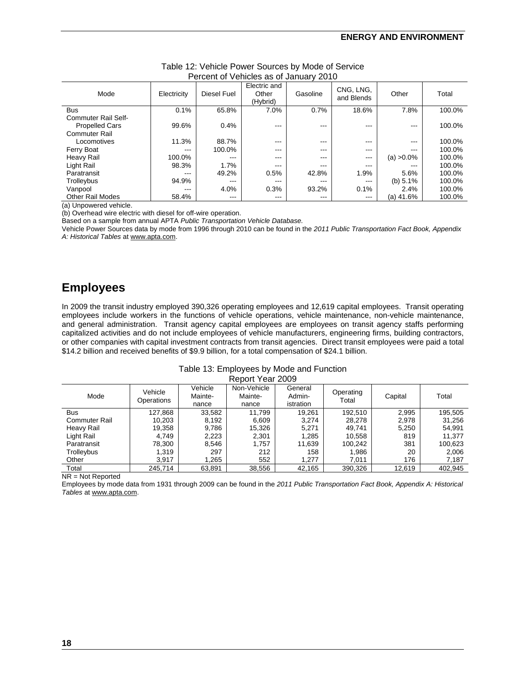| $\sim$ 0.00 $\sim$ 0.100 $\sim$ 0.000 0.000 0.000 0.000 0.000 0.000 0.000 0.000 0.000 0.000 0.000 0.000 0.000 0.000 0.000 0.000 0.000 0.000 0.000 0.000 0.000 0.000 0.000 0.000 0.000 0.000 0.000 0.000 0.000 0.000 0.000 0.000 0.0 |             |                   |                                   |          |                         |               |        |
|-------------------------------------------------------------------------------------------------------------------------------------------------------------------------------------------------------------------------------------|-------------|-------------------|-----------------------------------|----------|-------------------------|---------------|--------|
| Mode                                                                                                                                                                                                                                | Electricity | Diesel Fuel       | Electric and<br>Other<br>(Hybrid) | Gasoline | CNG, LNG,<br>and Blends | Other         | Total  |
| <b>Bus</b>                                                                                                                                                                                                                          | 0.1%        | 65.8%             | 7.0%                              | 0.7%     | 18.6%                   | 7.8%          | 100.0% |
| Commuter Rail Self-<br><b>Propelled Cars</b><br><b>Commuter Rail</b>                                                                                                                                                                | 99.6%       | 0.4%              | ---                               | ---      | $\qquad \qquad -$       | $- - -$       | 100.0% |
| Locomotives                                                                                                                                                                                                                         | 11.3%       | 88.7%             | $- - -$                           | $- - -$  | $-- -$                  | $---$         | 100.0% |
| Ferry Boat                                                                                                                                                                                                                          | ---         | 100.0%            | $\qquad \qquad -$                 | ---      | $\qquad \qquad -$       | $- - -$       | 100.0% |
| Heavy Rail                                                                                                                                                                                                                          | 100.0%      | ---               | ---                               | ---      | $---$                   | $(a) > 0.0\%$ | 100.0% |
| Light Rail                                                                                                                                                                                                                          | 98.3%       | 1.7%              | $- - -$                           | ---      | $---$                   | $- - -$       | 100.0% |
| Paratransit                                                                                                                                                                                                                         | ---         | 49.2%             | 0.5%                              | 42.8%    | 1.9%                    | 5.6%          | 100.0% |
| Trolleybus                                                                                                                                                                                                                          | 94.9%       | $\qquad \qquad -$ | $-- -$                            | ---      | $\qquad \qquad -$       | (b) $5.1\%$   | 100.0% |
| Vanpool                                                                                                                                                                                                                             | $- - -$     | 4.0%              | 0.3%                              | 93.2%    | 0.1%                    | 2.4%          | 100.0% |
| <b>Other Rail Modes</b>                                                                                                                                                                                                             | 58.4%       | $---$             | $-- -$                            | ---      | $--$                    | (a) 41.6%     | 100.0% |

#### Table 12: Vehicle Power Sources by Mode of Service Percent of Vehicles as of January 2010

(a) Unpowered vehicle.

(b) Overhead wire electric with diesel for off-wire operation.

Based on a sample from annual APTA *Public Transportation Vehicle Database.* 

Vehicle Power Sources data by mode from 1996 through 2010 can be found in the *2011 Public Transportation Fact Book, Appendix A: Historical Tables* at www.apta.com.

# **Employees**

In 2009 the transit industry employed 390,326 operating employees and 12,619 capital employees. Transit operating employees include workers in the functions of vehicle operations, vehicle maintenance, non-vehicle maintenance, and general administration. Transit agency capital employees are employees on transit agency staffs performing capitalized activities and do not include employees of vehicle manufacturers, engineering firms, building contractors, or other companies with capital investment contracts from transit agencies. Direct transit employees were paid a total \$14.2 billion and received benefits of \$9.9 billion, for a total compensation of \$24.1 billion.

| Table 13: Employees by Mode and Function |
|------------------------------------------|
| Report Year 2009                         |

| Mode                 | Vehicle<br>Operations | Vehicle<br>Mainte-<br>nance | Non-Vehicle<br>Mainte-<br>nance | General<br>Admin-<br>istration | Operating<br>Total | Capital | Total   |
|----------------------|-----------------------|-----------------------------|---------------------------------|--------------------------------|--------------------|---------|---------|
| <b>Bus</b>           | 127,868               | 33,582                      | 11.799                          | 19,261                         | 192.510            | 2,995   | 195,505 |
| <b>Commuter Rail</b> | 10.203                | 8,192                       | 6,609                           | 3.274                          | 28.278             | 2.978   | 31.256  |
| Heavy Rail           | 19,358                | 9,786                       | 15,326                          | 5.271                          | 49.741             | 5,250   | 54,991  |
| Light Rail           | 4.749                 | 2,223                       | 2,301                           | 1,285                          | 10.558             | 819     | 11.377  |
| Paratransit          | 78,300                | 8,546                       | 1,757                           | 11,639                         | 100,242            | 381     | 100,623 |
| Trolleybus           | 1,319                 | 297                         | 212                             | 158                            | 1,986              | 20      | 2,006   |
| Other                | 3,917                 | 1.265                       | 552                             | 1.277                          | 7.011              | 176     | 7.187   |
| Total                | 245,714               | 63,891                      | 38,556                          | 42,165                         | 390,326            | 12,619  | 402.945 |

NR = Not Reported

Employees by mode data from 1931 through 2009 can be found in the *2011 Public Transportation Fact Book, Appendix A: Historical Tables* at www.apta.com.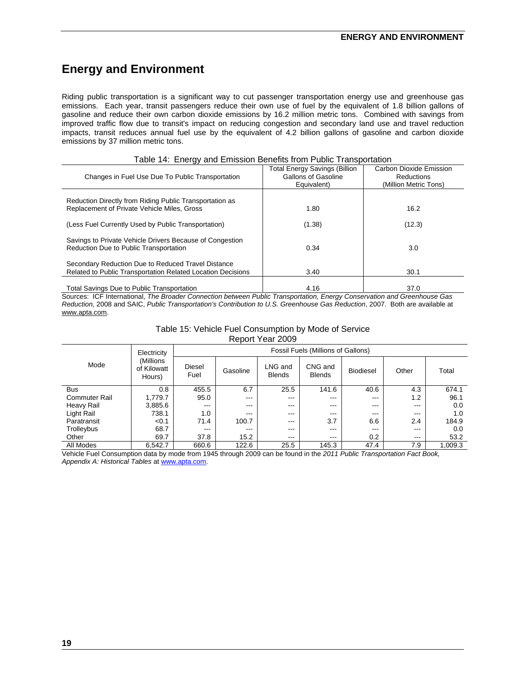# **Energy and Environment**

Riding public transportation is a significant way to cut passenger transportation energy use and greenhouse gas emissions. Each year, transit passengers reduce their own use of fuel by the equivalent of 1.8 billion gallons of gasoline and reduce their own carbon dioxide emissions by 16.2 million metric tons. Combined with savings from improved traffic flow due to transit's impact on reducing congestion and secondary land use and travel reduction impacts, transit reduces annual fuel use by the equivalent of 4.2 billion gallons of gasoline and carbon dioxide emissions by 37 million metric tons.

| Changes in Fuel Use Due To Public Transportation                                                                         | <b>Total Energy Savings (Billion</b><br>Gallons of Gasoline<br>Equivalent) | Carbon Dioxide Emission<br>Reductions<br>(Million Metric Tons) |
|--------------------------------------------------------------------------------------------------------------------------|----------------------------------------------------------------------------|----------------------------------------------------------------|
| Reduction Directly from Riding Public Transportation as<br>Replacement of Private Vehicle Miles, Gross                   | 1.80                                                                       | 16.2                                                           |
| (Less Fuel Currently Used by Public Transportation)                                                                      | (1.38)                                                                     | (12.3)                                                         |
| Savings to Private Vehicle Drivers Because of Congestion<br>Reduction Due to Public Transportation                       | 0.34                                                                       | 3.0                                                            |
| Secondary Reduction Due to Reduced Travel Distance<br><b>Related to Public Transportation Related Location Decisions</b> | 3.40                                                                       | 30.1                                                           |
| Total Savings Due to Public Transportation                                                                               | 4.16                                                                       | 37.0                                                           |

#### Table 14: Energy and Emission Benefits from Public Transportation

Sources: ICF International, *The Broader Connection between Public Transportation, Energy Conservation and Greenhouse Gas Reduction,* 2008 and SAIC, *Public Transportation's Contribution to U.S. Greenhouse Gas Reduction*, 2007. Both are available at www.apta.com.

| Table 15: Vehicle Fuel Consumption by Mode of Service |
|-------------------------------------------------------|
| Report Year 2009                                      |

|                      | Electricity                        | <b>Fossil Fuels (Millions of Gallons)</b> |          |                                                                                                                                                                                                                                                                                                                                                                                                                                                       |         |      |       |         |  |  |  |
|----------------------|------------------------------------|-------------------------------------------|----------|-------------------------------------------------------------------------------------------------------------------------------------------------------------------------------------------------------------------------------------------------------------------------------------------------------------------------------------------------------------------------------------------------------------------------------------------------------|---------|------|-------|---------|--|--|--|
| Mode                 | (Millions<br>of Kilowatt<br>Hours) | Diesel<br>Fuel                            | Gasoline | CNG and<br>LNG and<br><b>Biodiesel</b><br>Other<br><b>Blends</b><br><b>Blends</b><br>6.7<br>25.5<br>141.6<br>40.6<br>4.3<br>1.2<br>$\qquad \qquad -$<br>$---$<br>$\qquad \qquad -$<br>$---$<br>$---$<br>$\qquad \qquad -$<br>$---$<br>$---$<br>$\qquad \qquad \cdots$<br>$- - -$<br>$- - -$<br>$- - -$<br>$- - -$<br>$---$<br>3.7<br>6.6<br>2.4<br>$---$<br>$\qquad \qquad -$<br>$\qquad \qquad -$<br>$\qquad \qquad -$<br>$---$<br>$\qquad \qquad -$ | Total   |      |       |         |  |  |  |
| <b>Bus</b>           | 0.8                                | 455.5                                     |          |                                                                                                                                                                                                                                                                                                                                                                                                                                                       |         |      |       | 674.1   |  |  |  |
| <b>Commuter Rail</b> | 1,779.7                            | 95.0                                      |          |                                                                                                                                                                                                                                                                                                                                                                                                                                                       |         |      |       | 96.1    |  |  |  |
| Heavy Rail           | 3,885.6                            | $\cdots$                                  |          |                                                                                                                                                                                                                                                                                                                                                                                                                                                       |         |      |       | 0.0     |  |  |  |
| Light Rail           | 738.1                              | 1.0                                       |          |                                                                                                                                                                                                                                                                                                                                                                                                                                                       |         |      |       | 1.0     |  |  |  |
| Paratransit          | < 0.1                              | 71.4                                      | 100.7    |                                                                                                                                                                                                                                                                                                                                                                                                                                                       |         |      |       | 184.9   |  |  |  |
| Trolleybus           | 68.7                               | $\qquad \qquad \cdots$                    |          |                                                                                                                                                                                                                                                                                                                                                                                                                                                       |         |      |       | 0.0     |  |  |  |
| Other                | 69.7                               | 37.8                                      | 15.2     | $- - -$                                                                                                                                                                                                                                                                                                                                                                                                                                               | $- - -$ | 0.2  | $---$ | 53.2    |  |  |  |
| All Modes            | 6.542.7                            | 660.6                                     | 122.6    | 25.5                                                                                                                                                                                                                                                                                                                                                                                                                                                  | 145.3   | 47.4 | 7.9   | 1.009.3 |  |  |  |

Vehicle Fuel Consumption data by mode from 1945 through 2009 can be found in the *2011 Public Transportation Fact Book, Appendix A: Historical Tables* at www.apta.com.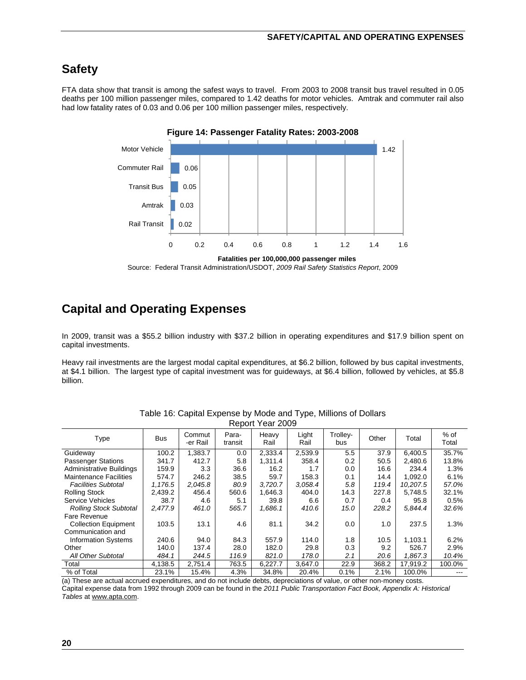# **Safety**

FTA data show that transit is among the safest ways to travel. From 2003 to 2008 transit bus travel resulted in 0.05 deaths per 100 million passenger miles, compared to 1.42 deaths for motor vehicles. Amtrak and commuter rail also had low fatality rates of 0.03 and 0.06 per 100 million passenger miles, respectively.



**Figure 14: Passenger Fatality Rates: 2003-2008**

# **Capital and Operating Expenses**

In 2009, transit was a \$55.2 billion industry with \$37.2 billion in operating expenditures and \$17.9 billion spent on capital investments.

Heavy rail investments are the largest modal capital expenditures, at \$6.2 billion, followed by bus capital investments, at \$4.1 billion. The largest type of capital investment was for guideways, at \$6.4 billion, followed by vehicles, at \$5.8 billion.

|                               |            |                    |                  | NEDUIL I EAI ZUUT |               |                 |       |          |                 |
|-------------------------------|------------|--------------------|------------------|-------------------|---------------|-----------------|-------|----------|-----------------|
| Type                          | <b>Bus</b> | Commut<br>-er Rail | Para-<br>transit | Heavy<br>Rail     | Light<br>Rail | Trolley-<br>bus | Other | Total    | $%$ of<br>Total |
| Guideway                      | 100.2      | 1,383.7            | 0.0              | 2,333.4           | 2,539.9       | 5.5             | 37.9  | 6.400.5  | 35.7%           |
| <b>Passenger Stations</b>     | 341.7      | 412.7              | 5.8              | 1,311.4           | 358.4         | 0.2             | 50.5  | 2,480.6  | 13.8%           |
| Administrative Buildings      | 159.9      | 3.3                | 36.6             | 16.2              | 1.7           | 0.0             | 16.6  | 234.4    | 1.3%            |
| <b>Maintenance Facilities</b> | 574.7      | 246.2              | 38.5             | 59.7              | 158.3         | 0.1             | 14.4  | 1,092.0  | 6.1%            |
| <b>Facilities Subtotal</b>    | 1,176.5    | 2,045.8            | 80.9             | 3,720.7           | 3,058.4       | 5.8             | 119.4 | 10,207.5 | 57.0%           |
| <b>Rolling Stock</b>          | 2,439.2    | 456.4              | 560.6            | 1,646.3           | 404.0         | 14.3            | 227.8 | 5,748.5  | 32.1%           |
| Service Vehicles              | 38.7       | 4.6                | 5.1              | 39.8              | 6.6           | 0.7             | 0.4   | 95.8     | 0.5%            |
| <b>Rolling Stock Subtotal</b> | 2.477.9    | 461.0              | 565.7            | 1,686.1           | 410.6         | 15.0            | 228.2 | 5.844.4  | 32.6%           |
| Fare Revenue                  |            |                    |                  |                   |               |                 |       |          |                 |
| <b>Collection Equipment</b>   | 103.5      | 13.1               | 4.6              | 81.1              | 34.2          | 0.0             | 1.0   | 237.5    | 1.3%            |
| Communication and             |            |                    |                  |                   |               |                 |       |          |                 |
| <b>Information Systems</b>    | 240.6      | 94.0               | 84.3             | 557.9             | 114.0         | 1.8             | 10.5  | 1,103.1  | 6.2%            |
| Other                         | 140.0      | 137.4              | 28.0             | 182.0             | 29.8          | 0.3             | 9.2   | 526.7    | 2.9%            |
| <b>All Other Subtotal</b>     | 484.1      | 244.5              | 116.9            | 821.0             | 178.0         | 2.1             | 20.6  | 1,867.3  | 10.4%           |
| Total                         | 4,138.5    | 2,751.4            | 763.5            | 6,227.7           | 3.647.0       | 22.9            | 368.2 | 17.919.2 | 100.0%          |
| % of Total                    | 23.1%      | 15.4%              | 4.3%             | 34.8%             | 20.4%         | 0.1%            | 2.1%  | 100.0%   |                 |

Table 16: Capital Expense by Mode and Type, Millions of Dollars Report Year 2009

(a) These are actual accrued expenditures, and do not include debts, depreciations of value, or other non-money costs. Capital expense data from 1992 through 2009 can be found in the *2011 Public Transportation Fact Book, Appendix A: Historical Tables* at www.apta.com.

Source: Federal Transit Administration/USDOT, *2009 Rail Safety Statistics Report*, 2009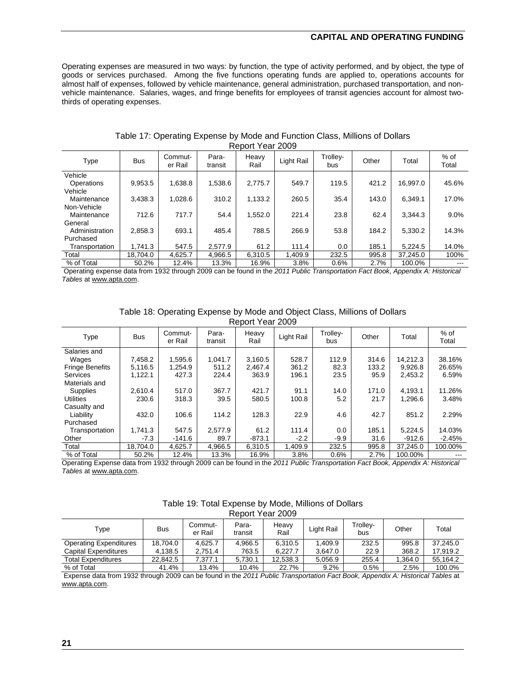#### **CAPITAL AND OPERATING FUNDING**

Operating expenses are measured in two ways: by function, the type of activity performed, and by object, the type of goods or services purchased. Among the five functions operating funds are applied to, operations accounts for almost half of expenses, followed by vehicle maintenance, general administration, purchased transportation, and nonvehicle maintenance. Salaries, wages, and fringe benefits for employees of transit agencies account for almost twothirds of operating expenses.

| Type           | <b>Bus</b> | Commut-<br>er Rail | Para-<br>transit | Heavy<br>Rail | Light Rail | Trollev-<br>bus | Other | Total    | $%$ of<br>Total |
|----------------|------------|--------------------|------------------|---------------|------------|-----------------|-------|----------|-----------------|
| Vehicle        |            |                    |                  |               |            |                 |       |          |                 |
| Operations     | 9,953.5    | 1,638.8            | 1,538.6          | 2,775.7       | 549.7      | 119.5           | 421.2 | 16,997.0 | 45.6%           |
| Vehicle        |            |                    |                  |               |            |                 |       |          |                 |
| Maintenance    | 3,438.3    | 1,028.6            | 310.2            | 1,133.2       | 260.5      | 35.4            | 143.0 | 6.349.1  | 17.0%           |
| Non-Vehicle    |            |                    |                  |               |            |                 |       |          |                 |
| Maintenance    | 712.6      | 717.7              | 54.4             | 1,552.0       | 221.4      | 23.8            | 62.4  | 3.344.3  | 9.0%            |
| General        |            |                    |                  |               |            |                 |       |          |                 |
| Administration | 2,858.3    | 693.1              | 485.4            | 788.5         | 266.9      | 53.8            | 184.2 | 5.330.2  | 14.3%           |
| Purchased      |            |                    |                  |               |            |                 |       |          |                 |
| Transportation | 1.741.3    | 547.5              | 2.577.9          | 61.2          | 111.4      | 0.0             | 185.1 | 5.224.5  | 14.0%           |
| Total          | 18.704.0   | 4.625.7            | 4.966.5          | 6.310.5       | 1,409.9    | 232.5           | 995.8 | 37.245.0 | 100%            |
| % of Total     | 50.2%      | 12.4%              | 13.3%            | 16.9%         | 3.8%       | 0.6%            | 2.7%  | 100.0%   | ---             |

#### Table 17: Operating Expense by Mode and Function Class, Millions of Dollars Report Year 2009

 Operating expense data from 1932 through 2009 can be found in the *2011 Public Transportation Fact Book, Appendix A: Historical Tables* at www.apta.com.

| Table 18: Operating Expense by Mode and Object Class, Millions of Dollars |  |
|---------------------------------------------------------------------------|--|
| Report Year 2009                                                          |  |

| Type                   | <b>Bus</b> | Commut-<br>er Rail | Para-<br>transit | Heavy<br>Rail | Light Rail | Trolley-<br>bus | Other | Total    | $%$ of<br>Total |
|------------------------|------------|--------------------|------------------|---------------|------------|-----------------|-------|----------|-----------------|
| Salaries and           |            |                    |                  |               |            |                 |       |          |                 |
| Wages                  | 7.458.2    | 1.595.6            | 1.041.7          | 3.160.5       | 528.7      | 112.9           | 314.6 | 14.212.3 | 38.16%          |
| <b>Fringe Benefits</b> | 5,116.5    | 1,254.9            | 511.2            | 2,467.4       | 361.2      | 82.3            | 133.2 | 9,926.8  | 26.65%          |
| <b>Services</b>        | 1,122.1    | 427.3              | 224.4            | 363.9         | 196.1      | 23.5            | 95.9  | 2,453.2  | 6.59%           |
| Materials and          |            |                    |                  |               |            |                 |       |          |                 |
| Supplies               | 2,610.4    | 517.0              | 367.7            | 421.7         | 91.1       | 14.0            | 171.0 | 4.193.1  | 11.26%          |
| <b>Utilities</b>       | 230.6      | 318.3              | 39.5             | 580.5         | 100.8      | 5.2             | 21.7  | 1,296.6  | 3.48%           |
| Casualty and           |            |                    |                  |               |            |                 |       |          |                 |
| Liability              | 432.0      | 106.6              | 114.2            | 128.3         | 22.9       | 4.6             | 42.7  | 851.2    | 2.29%           |
| Purchased              |            |                    |                  |               |            |                 |       |          |                 |
| Transportation         | 1,741.3    | 547.5              | 2.577.9          | 61.2          | 111.4      | 0.0             | 185.1 | 5.224.5  | 14.03%          |
| Other                  | $-7.3$     | $-141.6$           | 89.7             | $-873.1$      | $-2.2$     | $-9.9$          | 31.6  | $-912.6$ | $-2.45%$        |
| Total                  | 18.704.0   | 4.625.7            | 4,966.5          | 6.310.5       | 1,409.9    | 232.5           | 995.8 | 37,245.0 | 100.00%         |
| % of Total             | 50.2%      | 12.4%              | 13.3%            | 16.9%         | 3.8%       | 0.6%            | 2.7%  | 100.00%  |                 |

Operating Expense data from 1932 through 2009 can be found in the *2011 Public Transportation Fact Book, Appendix A: Historical Tables* at www.apta.com.

| Table 19: Total Expense by Mode, Millions of Dollars |
|------------------------------------------------------|
| Report Year 2009                                     |

| Type                          | <b>Bus</b> | Commut-<br>er Rail | Para-<br>transit | Heavy<br>Rail | Light Rail | Trolley-<br>bus | Other  | Total    |
|-------------------------------|------------|--------------------|------------------|---------------|------------|-----------------|--------|----------|
| <b>Operating Expenditures</b> | 18.704.0   | 4.625.7            | 4.966.5          | 6.310.5       | .409.9     | 232.5           | 995.8  | 37.245.0 |
| Capital Expenditures          | 4,138.5    | 2.751.4            | 763.5            | 6.227.7       | 3.647.0    | 22.9            | 368.2  | 17.919.2 |
| <b>Total Expenditures</b>     | 22.842.5   | 7.377.1            | 5.730.1          | 12.538.3      | 5.056.9    | 255.4           | .364.0 | 55.164.2 |
| % of Total                    | 41.4%      | 13.4%              | 10.4%            | 22.7%         | $9.2\%$    | 0.5%            | 2.5%   | 100.0%   |

 Expense data from 1932 through 2009 can be found in the *2011 Public Transportation Fact Book, Appendix A: Historical Tables* at www.apta.com.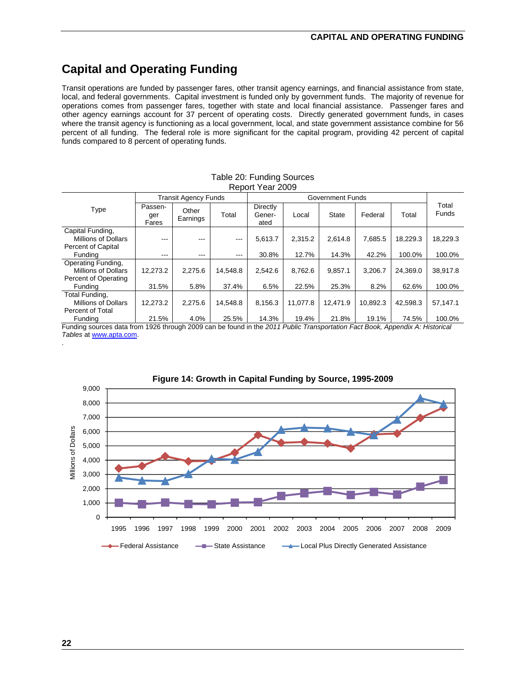# **Capital and Operating Funding**

Transit operations are funded by passenger fares, other transit agency earnings, and financial assistance from state, local, and federal governments. Capital investment is funded only by government funds. The majority of revenue for operations comes from passenger fares, together with state and local financial assistance. Passenger fares and other agency earnings account for 37 percent of operating costs. Directly generated government funds, in cases where the transit agency is functioning as a local government, local, and state government assistance combine for 56 percent of all funding. The federal role is more significant for the capital program, providing 42 percent of capital funds compared to 8 percent of operating funds.

|                                                                      |                         | <b>Transit Agency Funds</b> |          |                            | <b>Government Funds</b> |              |          |          |                |
|----------------------------------------------------------------------|-------------------------|-----------------------------|----------|----------------------------|-------------------------|--------------|----------|----------|----------------|
| Type                                                                 | Passen-<br>ger<br>Fares | Other<br>Earnings           | Total    | Directly<br>Gener-<br>ated | Local                   | <b>State</b> | Federal  | Total    | Total<br>Funds |
| Capital Funding,<br>Millions of Dollars<br><b>Percent of Capital</b> | $---$                   | $---$                       | $---$    | 5.613.7                    | 2.315.2                 | 2,614.8      | 7.685.5  | 18.229.3 | 18,229.3       |
| Fundina                                                              | $- - -$                 | $- - -$                     | $- - -$  | 30.8%                      | 12.7%                   | 14.3%        | 42.2%    | 100.0%   | 100.0%         |
| Operating Funding,<br>Millions of Dollars                            | 12,273.2                | 2.275.6                     | 14,548.8 | 2,542.6                    | 8.762.6                 | 9,857.1      | 3.206.7  | 24.369.0 | 38,917.8       |
| Percent of Operating<br>Funding                                      | 31.5%                   | 5.8%                        | 37.4%    | 6.5%                       | 22.5%                   | 25.3%        | 8.2%     | 62.6%    | 100.0%         |
| Total Funding,<br>Millions of Dollars<br>Percent of Total            | 12,273.2                | 2.275.6                     | 14,548.8 | 8,156.3                    | 11.077.8                | 12,471.9     | 10,892.3 | 42.598.3 | 57,147.1       |
| Fundina                                                              | 21.5%                   | 4.0%                        | 25.5%    | 14.3%                      | 19.4%                   | 21.8%        | 19.1%    | 74.5%    | 100.0%         |

#### Table 20: Funding Sources Report Year 2009

Funding sources data from 1926 through 2009 can be found in the *2011 Public Transportation Fact Book, Appendix A: Historical Tables* at www.apta.com. .



#### **Figure 14: Growth in Capital Funding by Source, 1995-2009**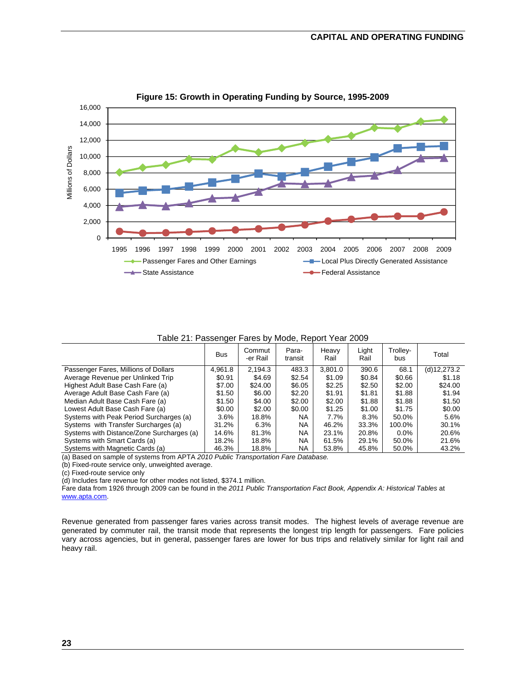

**Figure 15: Growth in Operating Funding by Source, 1995-2009**

Table 21: Passenger Fares by Mode, Report Year 2009

|                                           | <b>Bus</b> | Commut<br>-er Rail | Para-<br>transit | Heavy<br>Rail | Light<br>Rail | Trolley-<br>bus | Total       |
|-------------------------------------------|------------|--------------------|------------------|---------------|---------------|-----------------|-------------|
| Passenger Fares, Millions of Dollars      | 4,961.8    | 2.194.3            | 483.3            | 3,801.0       | 390.6         | 68.1            | (d)12,273.2 |
| Average Revenue per Unlinked Trip         | \$0.91     | \$4.69             | \$2.54           | \$1.09        | \$0.84        | \$0.66          | \$1.18      |
| Highest Adult Base Cash Fare (a)          | \$7.00     | \$24.00            | \$6.05           | \$2.25        | \$2.50        | \$2.00          | \$24.00     |
| Average Adult Base Cash Fare (a)          | \$1.50     | \$6.00             | \$2.20           | \$1.91        | \$1.81        | \$1.88          | \$1.94      |
| Median Adult Base Cash Fare (a)           | \$1.50     | \$4.00             | \$2.00           | \$2.00        | \$1.88        | \$1.88          | \$1.50      |
| Lowest Adult Base Cash Fare (a)           | \$0.00     | \$2.00             | \$0.00           | \$1.25        | \$1.00        | \$1.75          | \$0.00      |
| Systems with Peak Period Surcharges (a)   | 3.6%       | 18.8%              | <b>NA</b>        | 7.7%          | 8.3%          | 50.0%           | 5.6%        |
| Systems with Transfer Surcharges (a)      | 31.2%      | 6.3%               | <b>NA</b>        | 46.2%         | 33.3%         | 100.0%          | 30.1%       |
| Systems with Distance/Zone Surcharges (a) | 14.6%      | 81.3%              | <b>NA</b>        | 23.1%         | 20.8%         | $0.0\%$         | 20.6%       |
| Systems with Smart Cards (a)              | 18.2%      | 18.8%              | <b>NA</b>        | 61.5%         | 29.1%         | 50.0%           | 21.6%       |
| Systems with Magnetic Cards (a)           | 46.3%      | 18.8%              | <b>NA</b>        | 53.8%         | 45.8%         | 50.0%           | 43.2%       |

(a) Based on sample of systems from APTA *2010 Public Transportation Fare Database.* 

(b) Fixed-route service only, unweighted average.

(c) Fixed-route service only

(d) Includes fare revenue for other modes not listed, \$374.1 million.

Fare data from 1926 through 2009 can be found in the *2011 Public Transportation Fact Book, Appendix A: Historical Tables* at www.apta.com.

Revenue generated from passenger fares varies across transit modes. The highest levels of average revenue are generated by commuter rail, the transit mode that represents the longest trip length for passengers. Fare policies vary across agencies, but in general, passenger fares are lower for bus trips and relatively similar for light rail and heavy rail.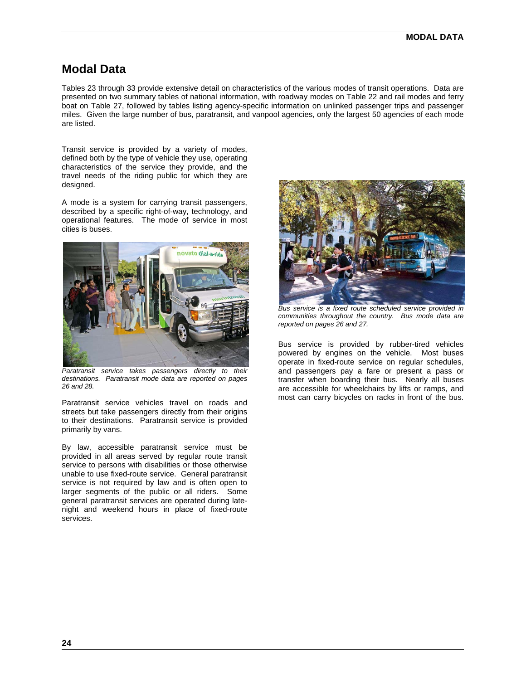### **Modal Data**

Tables 23 through 33 provide extensive detail on characteristics of the various modes of transit operations. Data are presented on two summary tables of national information, with roadway modes on Table 22 and rail modes and ferry boat on Table 27, followed by tables listing agency-specific information on unlinked passenger trips and passenger miles. Given the large number of bus, paratransit, and vanpool agencies, only the largest 50 agencies of each mode are listed.

Transit service is provided by a variety of modes, defined both by the type of vehicle they use, operating characteristics of the service they provide, and the travel needs of the riding public for which they are designed.

A mode is a system for carrying transit passengers, described by a specific right-of-way, technology, and operational features. The mode of service in most cities is buses.



**Paratransit** service takes passengers directly to their *destinations. Paratransit mode data are reported on pages 26 and 28.* 

Paratransit service vehicles travel on roads and streets but take passengers directly from their origins to their destinations. Paratransit service is provided primarily by vans.

By law, accessible paratransit service must be provided in all areas served by regular route transit service to persons with disabilities or those otherwise unable to use fixed-route service. General paratransit service is not required by law and is often open to larger segments of the public or all riders. Some general paratransit services are operated during latenight and weekend hours in place of fixed-route services.



*Bus service is a fixed route scheduled service provided in communities throughout the country. Bus mode data are reported on pages 26 and 27.* 

Bus service is provided by rubber-tired vehicles powered by engines on the vehicle. Most buses operate in fixed-route service on regular schedules, and passengers pay a fare or present a pass or transfer when boarding their bus. Nearly all buses are accessible for wheelchairs by lifts or ramps, and most can carry bicycles on racks in front of the bus.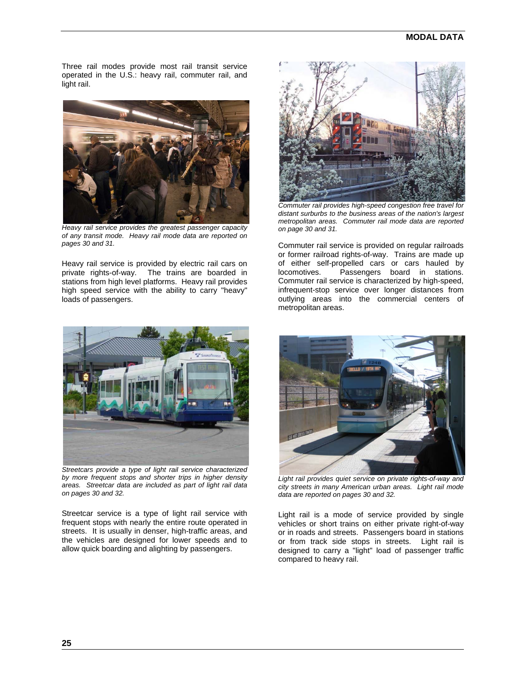Three rail modes provide most rail transit service operated in the U.S.: heavy rail, commuter rail, and light rail.



*Heavy rail service provides the greatest passenger capacity of any transit mode. Heavy rail mode data are reported on pages 30 and 31.* 

Heavy rail service is provided by electric rail cars on private rights-of-way. The trains are boarded in stations from high level platforms. Heavy rail provides high speed service with the ability to carry "heavy" loads of passengers.



*Streetcars provide a type of light rail service characterized by more frequent stops and shorter trips in higher density areas. Streetcar data are included as part of light rail data on pages 30 and 32.* 

Streetcar service is a type of light rail service with frequent stops with nearly the entire route operated in streets. It is usually in denser, high-traffic areas, and the vehicles are designed for lower speeds and to allow quick boarding and alighting by passengers.



*Commuter rail provides high-speed congestion free travel for distant surburbs to the business areas of the nation's largest metropolitan areas. Commuter rail mode data are reported on page 30 and 31.* 

Commuter rail service is provided on regular railroads or former railroad rights-of-way. Trains are made up of either self-propelled cars or cars hauled by locomotives. Passengers board in stations. Commuter rail service is characterized by high-speed, infrequent-stop service over longer distances from outlying areas into the commercial centers of metropolitan areas.



*Light rail provides quiet service on private rights-of-way and city streets in many American urban areas. Light rail mode data are reported on pages 30 and 32.* 

Light rail is a mode of service provided by single vehicles or short trains on either private right-of-way or in roads and streets. Passengers board in stations or from track side stops in streets. Light rail is designed to carry a "light" load of passenger traffic compared to heavy rail.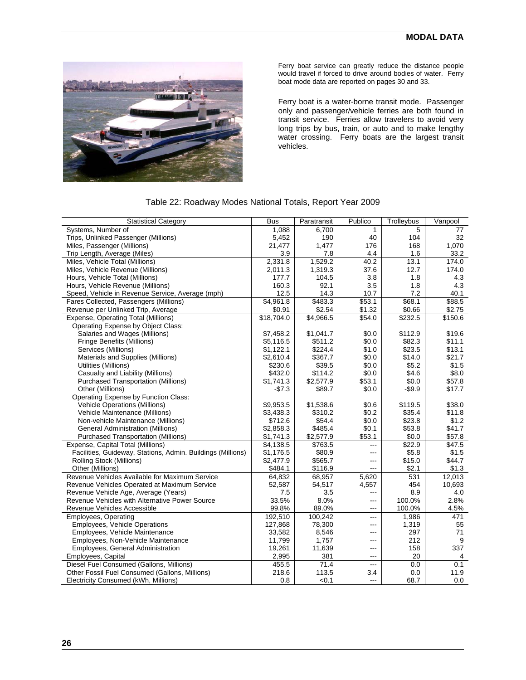

Ferry boat service can greatly reduce the distance people would travel if forced to drive around bodies of water. Ferry boat mode data are reported on pages 30 and 33.

Ferry boat is a water-borne transit mode. Passenger only and passenger/vehicle ferries are both found in transit service. Ferries allow travelers to avoid very long trips by bus, train, or auto and to make lengthy water crossing. Ferry boats are the largest transit vehicles.

| <b>Statistical Category</b>                                 | <b>Bus</b> | Paratransit       | Publico           | Trolleybus      | Vanpool         |
|-------------------------------------------------------------|------------|-------------------|-------------------|-----------------|-----------------|
| Systems, Number of                                          | 1,088      | 6,700             | 1                 | 5               | 77              |
| Trips, Unlinked Passenger (Millions)                        | 5,452      | 190               | 40                | 104             | 32              |
| Miles, Passenger (Millions)                                 | 21,477     | 1,477             | 176               | 168             | 1,070           |
| Trip Length, Average (Miles)                                | 3.9        | 7.8               | 4.4               | 1.6             | 33.2            |
| Miles, Vehicle Total (Millions)                             | 2,331.8    | 1,529.2           | 40.2              | 13.1            | 174.0           |
| Miles, Vehicle Revenue (Millions)                           | 2,011.3    | 1,319.3           | 37.6              | 12.7            | 174.0           |
| Hours, Vehicle Total (Millions)                             | 177.7      | 104.5             | 3.8               | 1.8             | 4.3             |
| Hours, Vehicle Revenue (Millions)                           | 160.3      | 92.1              | 3.5               | 1.8             | 4.3             |
| Speed, Vehicle in Revenue Service, Average (mph)            | 12.5       | 14.3              | 10.7              | 7.2             | 40.1            |
| Fares Collected, Passengers (Millions)                      | \$4,961.8  | \$483.3           | \$53.1            | \$68.1          | \$88.5          |
| Revenue per Unlinked Trip, Average                          | \$0.91     | \$2.54            | \$1.32            | \$0.66          | \$2.75          |
| Expense, Operating Total (Millions)                         | \$18,704.0 | \$4,966.5         | \$54.0            | \$232.5         | \$150.6         |
| Operating Expense by Object Class:                          |            |                   |                   |                 |                 |
| Salaries and Wages (Millions)                               | \$7,458.2  | \$1,041.7         | \$0.0             | \$112.9         | \$19.6          |
| Fringe Benefits (Millions)                                  | \$5,116.5  | \$511.2           | \$0.0             | \$82.3          | \$11.1          |
| Services (Millions)                                         | \$1,122.1  | \$224.4           | \$1.0             | \$23.5          | \$13.1          |
| Materials and Supplies (Millions)                           | \$2.610.4  | \$367.7           | \$0.0             | \$14.0          | \$21.7          |
| Utilities (Millions)                                        | \$230.6    | \$39.5            | \$0.0             | \$5.2           | \$1.5           |
| Casualty and Liability (Millions)                           | \$432.0    | \$114.2           | \$0.0             | \$4.6           | \$8.0           |
| <b>Purchased Transportation (Millions)</b>                  | \$1,741.3  | \$2,577.9         | \$53.1            | \$0.0           | \$57.8          |
| Other (Millions)                                            | $-$7.3$    | \$89.7            | \$0.0             | $-$9.9$         | \$17.7          |
| Operating Expense by Function Class:                        |            |                   |                   |                 |                 |
| Vehicle Operations (Millions)                               | \$9.953.5  | \$1,538.6         | \$0.6             | \$119.5         | \$38.0          |
| Vehicle Maintenance (Millions)                              | \$3,438.3  | \$310.2           | \$0.2             | \$35.4          | \$11.8          |
| Non-vehicle Maintenance (Millions)                          | \$712.6    | \$54.4            | \$0.0             | \$23.8          | \$1.2           |
| <b>General Administration (Millions)</b>                    | \$2,858.3  | \$485.4           | \$0.1             | \$53.8          | \$41.7          |
| <b>Purchased Transportation (Millions)</b>                  | \$1,741.3  | \$2,577.9         | \$53.1            | \$0.0           | \$57.8          |
|                                                             |            |                   | ---               |                 |                 |
| Expense, Capital Total (Millions)                           | \$4,138.5  | \$763.5<br>\$80.9 | $\overline{a}$    | \$22.9<br>\$5.8 | \$47.5<br>\$1.5 |
| Facilities, Guideway, Stations, Admin. Buildings (Millions) | \$1,176.5  |                   |                   |                 |                 |
| <b>Rolling Stock (Millions)</b>                             | \$2,477.9  | \$565.7           | ---               | \$15.0          | \$44.7          |
| Other (Millions)                                            | \$484.1    | \$116.9           | ---               | \$2.1           | \$1.3           |
| Revenue Vehicles Available for Maximum Service              | 64,832     | 68,957            | 5,620             | 531             | 12,013          |
| Revenue Vehicles Operated at Maximum Service                | 52,587     | 54,517            | 4,557             | 454             | 10,693          |
| Revenue Vehicle Age, Average (Years)                        | 7.5        | 3.5               | ---               | 8.9             | 4.0             |
| Revenue Vehicles with Alternative Power Source              | 33.5%      | 8.0%              | ---               | 100.0%          | 2.8%            |
| Revenue Vehicles Accessible                                 | 99.8%      | 89.0%             | $\qquad \qquad -$ | 100.0%          | 4.5%            |
| Employees, Operating                                        | 192,510    | 100,242           | ---               | 1,986           | 471             |
| <b>Employees, Vehicle Operations</b>                        | 127,868    | 78,300            | ---               | 1,319           | 55              |
| Employees, Vehicle Maintenance                              | 33,582     | 8,546             | ---               | 297             | 71              |
| Employees, Non-Vehicle Maintenance                          | 11,799     | 1,757             | ---               | 212             | 9               |
| Employees, General Administration                           | 19,261     | 11,639            | ---               | 158             | 337             |
| Employees, Capital                                          | 2,995      | 381               | ---               | 20              |                 |
| Diesel Fuel Consumed (Gallons, Millions)                    | 455.5      | 71.4              | ---               | 0.0             | 0.1             |
| Other Fossil Fuel Consumed (Gallons, Millions)              | 218.6      | 113.5             | 3.4               | 0.0             | 11.9            |
| Electricity Consumed (kWh, Millions)                        | 0.8        | < 0.1             | ---               | 68.7            | 0.0             |

#### Table 22: Roadway Modes National Totals, Report Year 2009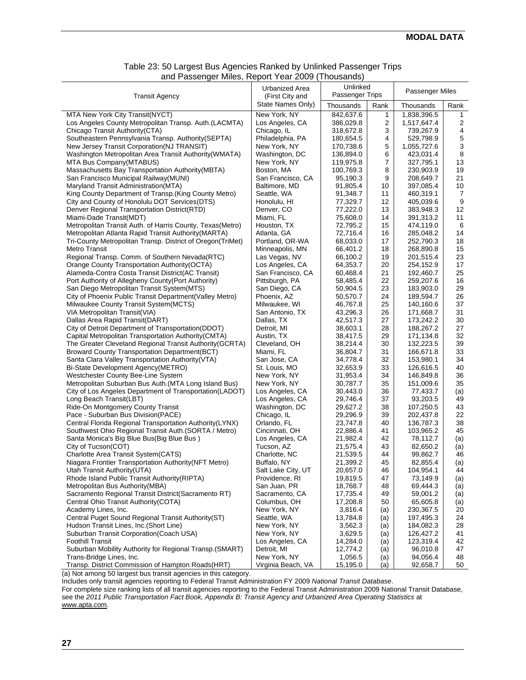| and r abborigor millos, riopolt Toal 2000 (Thoubands       |                                      |                        |                |                          |                |
|------------------------------------------------------------|--------------------------------------|------------------------|----------------|--------------------------|----------------|
|                                                            | Urbanized Area                       | Unlinked               |                | Passenger Miles          |                |
| <b>Transit Agency</b>                                      | (First City and<br>State Names Only) | Passenger Trips        |                |                          |                |
| MTA New York City Transit(NYCT)                            | New York, NY                         | Thousands<br>842,637.6 | Rank<br>1      | Thousands<br>1,838,396.5 | Rank<br>1      |
|                                                            |                                      | 386,029.8              |                |                          |                |
| Los Angeles County Metropolitan Transp. Auth.(LACMTA)      | Los Angeles, CA                      |                        | $\overline{c}$ | 1,517,647.4              | 2              |
| Chicago Transit Authority (CTA)                            | Chicago, IL                          | 318,672.8              | 3              | 739,267.9                | 4              |
| Southeastern Pennsylvania Transp. Authority(SEPTA)         | Philadelphia, PA                     | 180,654.5              | 4              | 529,798.9                | $\mathbf 5$    |
| New Jersey Transit Corporation (NJ TRANSIT)                | New York, NY                         | 170,738.6              | 5              | 1,055,727.6              | 3              |
| Washington Metropolitan Area Transit Authority (WMATA)     | Washington, DC                       | 136,894.0              | 6              | 423,031.4                | $\,$ 8 $\,$    |
| MTA Bus Company(MTABUS)                                    | New York, NY                         | 119,975.8              | 7              | 327,795.1                | 13             |
| Massachusetts Bay Transportation Authority (MBTA)          | Boston, MA                           | 100,769.3              | 8              | 230,903.9                | 19             |
| San Francisco Municipal Railway(MUNI)                      | San Francisco, CA                    | 95,190.3               | 9              | 208,649.7                | 21             |
| Maryland Transit Administration(MTA)                       | Baltimore, MD                        | 91,805.4               | 10             | 397,085.4                | 10             |
|                                                            |                                      |                        |                |                          |                |
| King County Department of Transp. (King County Metro)      | Seattle, WA                          | 91,348.7               | 11             | 460,319.1                | $\overline{7}$ |
| City and County of Honolulu DOT Services(DTS)              | Honolulu, HI                         | 77,329.7               | 12             | 405,039.6                | 9              |
| Denver Regional Transportation District(RTD)               | Denver, CO                           | 77,222.0               | 13             | 383,948.3                | 12             |
| Miami-Dade Transit(MDT)                                    | Miami, FL                            | 75,608.0               | 14             | 391,313.2                | 11             |
| Metropolitan Transit Auth. of Harris County, Texas(Metro)  | Houston, TX                          | 72,795.2               | 15             | 474,119.0                | 6              |
| Metropolitan Atlanta Rapid Transit Authority (MARTA)       | Atlanta, GA                          | 72,716.4               | 16             | 285,048.2                | 14             |
| Tri-County Metropolitan Transp. District of Oregon(TriMet) | Portland, OR-WA                      | 68,033.0               | 17             | 252,790.3                | 18             |
| Metro Transit                                              | Minneapolis, MN                      | 66,401.2               | 18             | 268,890.8                | 15             |
| Regional Transp. Comm. of Southern Nevada(RTC)             | Las Vegas, NV                        | 66,100.2               | 19             | 201,515.4                | 23             |
| Orange County Transportation Authority (OCTA)              | Los Angeles, CA                      | 64,353.7               | 20             | 254,152.9                | 17             |
| Alameda-Contra Costa Transit District(AC Transit)          | San Francisco, CA                    |                        |                |                          | 25             |
|                                                            |                                      | 60,468.4               | 21             | 192,460.7                |                |
| Port Authority of Allegheny County (Port Authority)        | Pittsburgh, PA                       | 58,485.4               | 22             | 259,207.6                | 16             |
| San Diego Metropolitan Transit System(MTS)                 | San Diego, CA                        | 50,904.5               | 23             | 183,903.0                | 29             |
| City of Phoenix Public Transit Department(Valley Metro)    | Phoenix, AZ                          | 50,570.7               | 24             | 189,594.7                | 26             |
| Milwaukee County Transit System (MCTS)                     | Milwaukee, WI                        | 46,767.8               | 25             | 140,160.6                | 37             |
| VIA Metropolitan Transit(VIA)                              | San Antonio, TX                      | 43,296.3               | 26             | 171,668.7                | 31             |
| Dallas Area Rapid Transit(DART)                            | Dallas, TX                           | 42,517.3               | 27             | 173,242.2                | 30             |
| City of Detroit Department of Transportation(DDOT)         | Detroit, MI                          | 38,603.1               | 28             | 188,267.2                | 27             |
| Capital Metropolitan Transportation Authority (CMTA)       | Austin, TX                           | 38,417.5               | 29             | 171,134.8                | 32             |
| The Greater Cleveland Regional Transit Authority (GCRTA)   | Cleveland, OH                        | 38,214.4               | 30             | 132,223.5                | 39             |
| <b>Broward County Transportation Department(BCT)</b>       | Miami, FL                            | 36,804.7               | 31             | 166,671.8                | 33             |
| Santa Clara Valley Transportation Authority (VTA)          | San Jose, CA                         | 34,778.4               | 32             | 153,980.1                | 34             |
| Bi-State Development Agency(METRO)                         | St. Louis, MO                        | 32,653.9               | 33             | 126,616.5                | 40             |
| Westchester County Bee-Line System                         | New York, NY                         | 31,953.4               | 34             | 146,849.8                | 36             |
| Metropolitan Suburban Bus Auth. (MTA Long Island Bus)      | New York, NY                         | 30,787.7               | 35             | 151,009.6                | 35             |
|                                                            |                                      |                        |                |                          |                |
| City of Los Angeles Department of Transportation(LADOT)    | Los Angeles, CA                      | 30,443.0               | 36             | 77,433.7                 | (a)            |
| Long Beach Transit(LBT)                                    | Los Angeles, CA                      | 29,746.4               | 37             | 93,203.5                 | 49             |
| Ride-On Montgomery County Transit                          | Washington, DC                       | 29,627.2               | 38             | 107,250.5                | 43             |
| Pace - Suburban Bus Division(PACE)                         | Chicago, IL                          | 29,296.9               | 39             | 202,437.8                | 22             |
| Central Florida Regional Transportation Authority(LYNX)    | Orlando, FL                          | 23,747.8               | 40             | 136,787.3                | 38             |
| Southwest Ohio Regional Transit Auth. (SORTA / Metro)      | Cincinnati, OH                       | 22,886.4               | 41             | 103,965.2                | 45             |
| Santa Monica's Big Blue Bus(Big Blue Bus)                  | Los Angeles, CA                      | 21,982.4               | 42             | 78,112.7                 | (a)            |
| City of Tucson(COT)                                        | Tucson, AZ                           | 21,575.4               | 43             | 82,650.2                 | (a)            |
| Charlotte Area Transit System(CATS)                        | Charlotte, NC                        | 21,539.5               | 44             | 99,862.7                 | 46             |
| Niagara Frontier Transportation Authority (NFT Metro)      | Buffalo, NY                          | 21,399.2               | 45             | 82,855.4                 | (a)            |
| Utah Transit Authority(UTA)                                | Salt Lake City, UT                   | 20,657.0               | 46             | 104,954.1                | 44             |
| Rhode Island Public Transit Authority (RIPTA)              | Providence, RI                       | 19,819.5               | 47             | 73,149.9                 | (a)            |
| Metropolitan Bus Authority (MBA)                           | San Juan, PR                         | 18,768.7               | 48             | 69,444.3                 | (a)            |
| Sacramento Regional Transit District(Sacramento RT)        | Sacramento, CA                       | 17,735.4               | 49             | 59,001.2                 |                |
|                                                            |                                      |                        |                |                          | (a)            |
| Central Ohio Transit Authority (COTA)                      | Columbus, OH                         | 17,208.8               | 50             | 65,605.8                 | (a)            |
| Academy Lines, Inc.                                        | New York, NY                         | 3,816.4                | (a)            | 230,367.5                | 20             |
| Central Puget Sound Regional Transit Authority(ST)         | Seattle, WA                          | 13,784.8               | (a)            | 197,495.3                | 24             |
| Hudson Transit Lines, Inc. (Short Line)                    | New York, NY                         | 3,562.3                | (a)            | 184,082.3                | 28             |
| Suburban Transit Corporation (Coach USA)                   | New York, NY                         | 3,629.5                | (a)            | 126,427.2                | 41             |
| <b>Foothill Transit</b>                                    | Los Angeles, CA                      | 14,284.0               | (a)            | 123,319.4                | 42             |
| Suburban Mobility Authority for Regional Transp. (SMART)   | Detroit, MI                          | 12,774.2               | (a)            | 96,010.8                 | 47             |
| Trans-Bridge Lines, Inc.                                   | New York, NY                         | 1,056.5                | (a)            | 94,056.4                 | 48             |
| Transp. District Commission of Hampton Roads(HRT)          | Virginia Beach, VA                   | 15,195.0               | (a)            | 92,658.7                 | 50             |

#### Table 23: 50 Largest Bus Agencies Ranked by Unlinked Passenger Trips and Passenger Miles, Report Year 2009 (Thousands)

(a) Not among 50 largest bus transit agencies in this category.

Includes only transit agencies reporting to Federal Transit Administration FY 2009 *National Transit Database*.

For complete size ranking lists of all transit agencies reporting to the Federal Transit Administration 2009 National Transit Database, see the 2011 Public Transportation Fact Book, Appendix B: Transit Agency and Urbanized Area Operating Statistics at www.apta.com.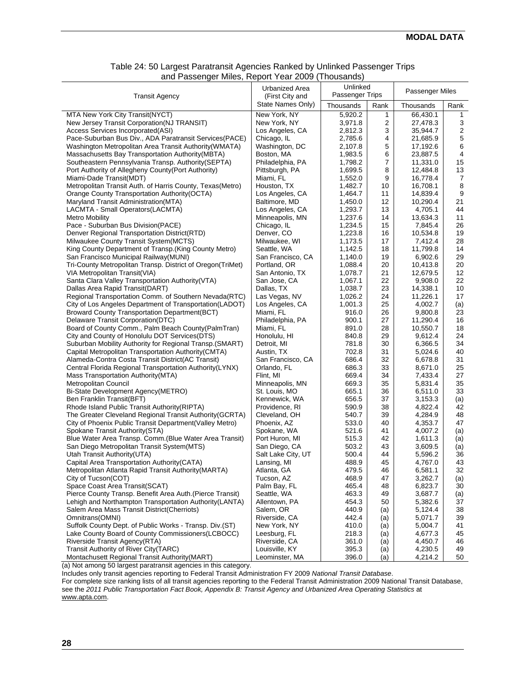| Table 24: 50 Largest Paratransit Agencies Ranked by Unlinked Passenger Trips |  |
|------------------------------------------------------------------------------|--|
| and Passenger Miles, Report Year 2009 (Thousands)                            |  |

| <b>Transit Agency</b>                                      | Urbanized Area<br>(First City and | Unlinked<br>Passenger Trips |      | Passenger Miles |                  |
|------------------------------------------------------------|-----------------------------------|-----------------------------|------|-----------------|------------------|
|                                                            | State Names Only)                 | Thousands                   | Rank | Thousands       | Rank             |
| MTA New York City Transit(NYCT)                            | New York, NY                      | 5,920.2                     | 1    | 66,430.1        | 1                |
| New Jersey Transit Corporation (NJ TRANSIT)                | New York, NY                      | 3,971.8                     | 2    | 27,478.3        | 3                |
| Access Services Incorporated(ASI)                          | Los Angeles, CA                   | 2,812.3                     | 3    | 35,944.7        | $\boldsymbol{2}$ |
| Pace-Suburban Bus Div., ADA Paratransit Services(PACE)     | Chicago, IL                       | 2,785.6                     | 4    | 21,685.9        | 5                |
| Washington Metropolitan Area Transit Authority (WMATA)     | Washington, DC                    | 2,107.8                     | 5    | 17,192.6        | 6                |
| Massachusetts Bay Transportation Authority (MBTA)          | Boston, MA                        | 1,983.5                     | 6    | 23,887.5        | 4                |
| Southeastern Pennsylvania Transp. Authority (SEPTA)        | Philadelphia, PA                  | 1,798.2                     | 7    | 11,331.0        | 15               |
| Port Authority of Allegheny County (Port Authority)        | Pittsburgh, PA                    | 1,699.5                     | 8    | 12.484.8        | 13               |
| Miami-Dade Transit(MDT)                                    | Miami, FL                         | 1,552.0                     | 9    | 16,778.4        | $\overline{7}$   |
| Metropolitan Transit Auth. of Harris County, Texas(Metro)  | Houston, TX                       | 1,482.7                     | 10   | 16,708.1        | 8                |
| Orange County Transportation Authority (OCTA)              | Los Angeles, CA                   | 1,464.7                     | 11   | 14,839.4        | 9                |
| Maryland Transit Administration (MTA)                      | Baltimore, MD                     | 1,450.0                     | 12   | 10,290.4        | 21               |
| LACMTA - Small Operators(LACMTA)                           | Los Angeles, CA                   | 1,293.7                     | 13   | 4,705.1         | 44               |
| <b>Metro Mobility</b>                                      | Minneapolis, MN                   | 1,237.6                     | 14   | 13,634.3        | 11               |
| Pace - Suburban Bus Division(PACE)                         | Chicago, IL                       | 1,234.5                     | 15   | 7,845.4         | 26               |
| Denver Regional Transportation District(RTD)               | Denver, CO                        | 1,223.8                     | 16   | 10,534.8        | 19               |
| Milwaukee County Transit System (MCTS)                     | Milwaukee, WI                     | 1,173.5                     | 17   | 7,412.4         | 28               |
| King County Department of Transp. (King County Metro)      | Seattle, WA                       | 1,142.5                     | 18   | 11,799.8        | 14               |
| San Francisco Municipal Railway(MUNI)                      | San Francisco, CA                 | 1,140.0                     | 19   | 6,902.6         | 29               |
| Tri-County Metropolitan Transp. District of Oregon(TriMet) | Portland, OR                      | 1,088.4                     | 20   | 10,413.8        | 20               |
| VIA Metropolitan Transit (VIA)                             | San Antonio, TX                   | 1,078.7                     | 21   | 12,679.5        | 12               |
| Santa Clara Valley Transportation Authority (VTA)          | San Jose, CA                      | 1,067.1                     | 22   | 9,908.0         | 22               |
| Dallas Area Rapid Transit(DART)                            | Dallas, TX                        | 1,038.7                     | 23   | 14,338.1        | 10               |
| Regional Transportation Comm. of Southern Nevada(RTC)      | Las Vegas, NV                     | 1,026.2                     | 24   | 11,226.1        | 17               |
| City of Los Angeles Department of Transportation(LADOT)    | Los Angeles, CA                   | 1,001.3                     | 25   | 4,002.7         |                  |
| <b>Broward County Transportation Department (BCT)</b>      | Miami, FL                         | 916.0                       | 26   | 9,800.8         | (a)<br>23        |
| Delaware Transit Corporation(DTC)                          |                                   | 900.1                       | 27   |                 | 16               |
|                                                            | Philadelphia, PA                  |                             |      | 11,290.4        |                  |
| Board of County Comm., Palm Beach County (PalmTran)        | Miami, FL                         | 891.0                       | 28   | 10,550.7        | 18               |
| City and County of Honolulu DOT Services(DTS)              | Honolulu, HI                      | 840.8                       | 29   | 9,612.4         | 24               |
| Suburban Mobility Authority for Regional Transp. (SMART)   | Detroit, MI                       | 781.8                       | 30   | 6,366.5         | 34               |
| Capital Metropolitan Transportation Authority (CMTA)       | Austin, TX                        | 702.8                       | 31   | 5,024.6         | 40               |
| Alameda-Contra Costa Transit District(AC Transit)          | San Francisco, CA                 | 686.4                       | 32   | 6,678.8         | 31               |
| Central Florida Regional Transportation Authority (LYNX)   | Orlando, FL                       | 686.3                       | 33   | 8,671.0         | 25<br>27         |
| Mass Transportation Authority (MTA)                        | Flint, MI                         | 669.4                       | 34   | 7,433.4         |                  |
| Metropolitan Council                                       | Minneapolis, MN                   | 669.3                       | 35   | 5,831.4         | 35               |
| Bi-State Development Agency(METRO)                         | St. Louis, MO                     | 665.1                       | 36   | 6,511.0         | 33               |
| Ben Franklin Transit(BFT)                                  | Kennewick, WA                     | 656.5                       | 37   | 3,153.3         | (a)              |
| Rhode Island Public Transit Authority (RIPTA)              | Providence, RI                    | 590.9                       | 38   | 4,822.4         | 42               |
| The Greater Cleveland Regional Transit Authority (GCRTA)   | Cleveland, OH                     | 540.7                       | 39   | 4,284.9         | 48               |
| City of Phoenix Public Transit Department(Valley Metro)    | Phoenix, AZ                       | 533.0                       | 40   | 4,353.7         | 47               |
| Spokane Transit Authority (STA)                            | Spokane, WA                       | 521.6                       | 41   | 4,007.2         | (a)              |
| Blue Water Area Transp. Comm. (Blue Water Area Transit)    | Port Huron, MI                    | 515.3                       | 42   | 1,611.3         | (a)              |
| San Diego Metropolitan Transit System (MTS)                | San Diego, CA                     | 503.2                       | 43   | 3,609.5         | (a)              |
| Utah Transit Authority (UTA)                               | Salt Lake City, UT                | 500.4                       | 44   | 5,596.2         | 36               |
| Capital Area Transportation Authority (CATA)               | Lansing, MI                       | 488.9                       | 45   | 4,767.0         | 43               |
| Metropolitan Atlanta Rapid Transit Authority (MARTA)       | Atlanta, GA                       | 479.5                       | 46   | 6,581.1         | 32               |
| City of Tucson(COT)                                        | Tucson, AZ                        | 468.9                       | 47   | 3,262.7         | (a)              |
| Space Coast Area Transit(SCAT)                             | Palm Bay, FL                      | 465.4                       | 48   | 6,823.7         | 30               |
| Pierce County Transp. Benefit Area Auth. (Pierce Transit)  | Seattle, WA                       | 463.3                       | 49   | 3,687.7         | (a)              |
| Lehigh and Northampton Transportation Authority (LANTA)    | Allentown, PA                     | 454.3                       | 50   | 5,382.6         | 37               |
| Salem Area Mass Transit District(Cherriots)                | Salem, OR                         | 440.9                       | (a)  | 5,124.4         | 38               |
| Omnitrans(OMNI)                                            | Riverside, CA                     | 442.4                       | (a)  | 5,071.7         | 39               |
| Suffolk County Dept. of Public Works - Transp. Div.(ST)    | New York, NY                      | 410.0                       | (a)  | 5,004.7         | 41               |
| Lake County Board of County Commissioners (LCBOCC)         | Leesburg, FL                      | 218.3                       | (a)  | 4,677.3         | 45               |
| Riverside Transit Agency(RTA)                              | Riverside, CA                     | 361.0                       | (a)  | 4,450.7         | 46               |
| Transit Authority of River City(TARC)                      | Louisville, KY                    | 395.3                       | (a)  | 4,230.5         | 49               |
| Montachusett Regional Transit Authority(MART)              | Leominster, MA                    | 396.0                       | (a)  | 4,214.2         | 50               |

(a) Not among 50 largest paratransit agencies in this category.

Includes only transit agencies reporting to Federal Transit Administration FY 2009 *National Transit Database*.

For complete size ranking lists of all transit agencies reporting to the Federal Transit Administration 2009 National Transit Database, see the *2011 Public Transportation Fact Book, Appendix B: Transit Agency and Urbanized Area Operating Statistics* at www.apta.com.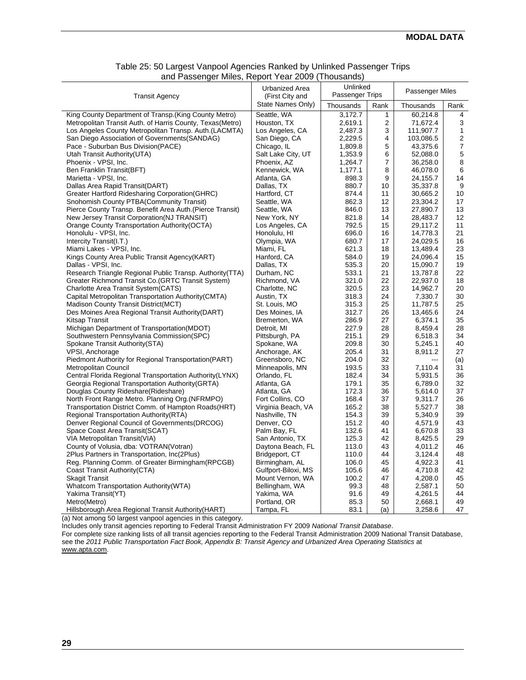| <b>Transit Agency</b>                                      | Urbanized Area<br>(First City and | Unlinked<br>Passenger Trips |              | Passenger Miles |                         |
|------------------------------------------------------------|-----------------------------------|-----------------------------|--------------|-----------------|-------------------------|
|                                                            | State Names Only)                 | Thousands                   | Rank         | Thousands       | Rank                    |
| King County Department of Transp. (King County Metro)      | Seattle, WA                       | 3,172.7                     | $\mathbf{1}$ | 60,214.8        | 4                       |
| Metropolitan Transit Auth. of Harris County, Texas (Metro) | Houston, TX                       | 2,619.1                     | 2            | 71,672.4        | 3                       |
| Los Angeles County Metropolitan Transp. Auth. (LACMTA)     | Los Angeles, CA                   | 2,487.3                     | 3            | 111,907.7       | $\mathbf{1}$            |
| San Diego Association of Governments (SANDAG)              | San Diego, CA                     | 2,229.5                     | 4            | 103,086.5       | $\overline{\mathbf{c}}$ |
| Pace - Suburban Bus Division (PACE)                        | Chicago, IL                       | 1,809.8                     | 5            | 43,375.6        | $\boldsymbol{7}$        |
| Utah Transit Authority (UTA)                               | Salt Lake City, UT                | 1,353.9                     | 6            | 52,088.0        | 5                       |
| Phoenix - VPSI, Inc.                                       | Phoenix, AZ                       | 1,264.7                     | 7            | 36,258.0        | $\bf8$                  |
| Ben Franklin Transit(BFT)                                  | Kennewick, WA                     | 1,177.1                     | 8            | 46,078.0        | 6                       |
| Marietta - VPSI, Inc.                                      | Atlanta, GA                       | 898.3                       | 9            | 24,155.7        | 14                      |
|                                                            |                                   | 880.7                       |              |                 | 9                       |
| Dallas Area Rapid Transit(DART)                            | Dallas, TX                        |                             | 10           | 35,337.8        |                         |
| Greater Hartford Ridesharing Corporation (GHRC)            | Hartford, CT                      | 874.4                       | 11           | 30,665.2        | 10                      |
| Snohomish County PTBA (Community Transit)                  | Seattle, WA                       | 862.3                       | 12           | 23,304.2        | 17                      |
| Pierce County Transp. Benefit Area Auth. (Pierce Transit)  | Seattle, WA                       | 846.0                       | 13           | 27,890.7        | 13                      |
| New Jersey Transit Corporation (NJ TRANSIT)                | New York, NY                      | 821.8                       | 14           | 28,483.7        | 12                      |
| Orange County Transportation Authority (OCTA)              | Los Angeles, CA                   | 792.5                       | 15           | 29,117.2        | 11                      |
| Honolulu - VPSI, Inc.                                      | Honolulu, HI                      | 696.0                       | 16           | 14,778.3        | 21                      |
| Intercity Transit(I.T.)                                    | Olympia, WA                       | 680.7                       | 17           | 24,029.5        | 16                      |
| Miami Lakes - VPSI, Inc.                                   | Miami, FL                         | 621.3                       | 18           | 13,489.4        | 23                      |
| Kings County Area Public Transit Agency(KART)              | Hanford, CA                       | 584.0                       | 19           | 24,096.4        | 15                      |
| Dallas - VPSI, Inc.                                        | Dallas, TX                        | 535.3                       | 20           | 15,090.7        | 19                      |
| Research Triangle Regional Public Transp. Authority (TTA)  | Durham, NC                        | 533.1                       | 21           | 13,787.8        | 22                      |
| Greater Richmond Transit Co. (GRTC Transit System)         | Richmond, VA                      | 321.0                       | 22           | 22,937.0        | 18                      |
| <b>Charlotte Area Transit System (CATS)</b>                | Charlotte, NC                     | 320.5                       | 23           | 14,962.7        | 20                      |
| Capital Metropolitan Transportation Authority (CMTA)       | Austin, TX                        | 318.3                       | 24           | 7,330.7         | 30                      |
| Madison County Transit District(MCT)                       | St. Louis, MO                     | 315.3                       | 25           | 11,787.5        | 25                      |
| Des Moines Area Regional Transit Authority (DART)          | Des Moines, IA                    | 312.7                       | 26           | 13,465.6        | 24                      |
| <b>Kitsap Transit</b>                                      | Bremerton, WA                     | 286.9                       | 27           | 6,374.1         | 35                      |
| Michigan Department of Transportation (MDOT)               | Detroit, MI                       | 227.9                       | 28           | 8,459.4         | 28                      |
| Southwestern Pennsylvania Commission (SPC)                 | Pittsburgh, PA                    | 215.1                       | 29           | 6,518.3         | 34                      |
| Spokane Transit Authority (STA)                            | Spokane, WA                       | 209.8                       | 30           | 5,245.1         | 40                      |
| VPSI, Anchorage                                            | Anchorage, AK                     | 205.4                       | 31           | 8,911.2         | 27                      |
| Piedmont Authority for Regional Transportation(PART)       | Greensboro, NC                    | 204.0                       | 32           | ---             | (a)                     |
| <b>Metropolitan Council</b>                                | Minneapolis, MN                   | 193.5                       | 33           | 7,110.4         | 31                      |
| Central Florida Regional Transportation Authority (LYNX)   | Orlando, FL                       | 182.4                       | 34           | 5,931.5         | 36                      |
| Georgia Regional Transportation Authority (GRTA)           | Atlanta, GA                       | 179.1                       | 35           | 6,789.0         | 32                      |
| Douglas County Rideshare(Rideshare)                        | Atlanta, GA                       | 172.3                       | 36           | 5,614.0         | 37                      |
| North Front Range Metro. Planning Org. (NFRMPO)            | Fort Collins, CO                  | 168.4                       | 37           | 9,311.7         | 26                      |
| Transportation District Comm. of Hampton Roads (HRT)       | Virginia Beach, VA                | 165.2                       | 38           | 5,527.7         | 38                      |
| Regional Transportation Authority (RTA)                    | Nashville, TN                     | 154.3                       | 39           | 5,340.9         | 39                      |
| Denver Regional Council of Governments (DRCOG)             | Denver, CO                        | 151.2                       | 40           | 4,571.9         | 43                      |
| Space Coast Area Transit (SCAT)                            | Palm Bay, FL                      | 132.6                       | 41           | 6,670.8         | 33                      |
| VIA Metropolitan Transit(VIA)                              | San Antonio, TX                   | 125.3                       | 42           | 8,425.5         | 29                      |
| County of Volusia, dba: VOTRAN(Votran)                     | Daytona Beach, FL                 | 113.0                       | 43           | 4,011.2         | 46                      |
| 2Plus Partners in Transportation, Inc(2Plus)               | Bridgeport, CT                    | 110.0                       | 44           | 3,124.4         | 48                      |
| Reg. Planning Comm. of Greater Birmingham(RPCGB)           | Birmingham, AL                    | 106.0                       | 45           | 4,922.3         | 41                      |
| Coast Transit Authority (CTA)                              | Gulfport-Biloxi, MS               | 105.6                       | 46           | 4,710.8         | 42                      |
| <b>Skagit Transit</b>                                      | Mount Vernon, WA                  | 100.2                       | 47           | 4,208.0         | 45                      |
| Whatcom Transportation Authority (WTA)                     | Bellingham, WA                    | 99.3                        | 48           | 2,587.1         | 50                      |
| Yakima Transit(YT)                                         | Yakima, WA                        | 91.6                        | 49           | 4,261.5         | 44                      |
| Metro(Metro)                                               | Portland, OR                      | 85.3                        | 50           | 2,668.1         | 49                      |
| Hillsborough Area Regional Transit Authority (HART)        | Tampa, FL                         | 83.1                        | (a)          | 3,258.6         | 47                      |

#### Table 25: 50 Largest Vanpool Agencies Ranked by Unlinked Passenger Trips and Passenger Miles, Report Year 2009 (Thousands)

(a) Not among 50 largest vanpool agencies in this category.

Includes only transit agencies reporting to Federal Transit Administration FY 2009 *National Transit Database*.

For complete size ranking lists of all transit agencies reporting to the Federal Transit Administration 2009 National Transit Database, see the 2011 Public Transportation Fact Book, Appendix B: Transit Agency and Urbanized Area Operating Statistics at www.apta.com.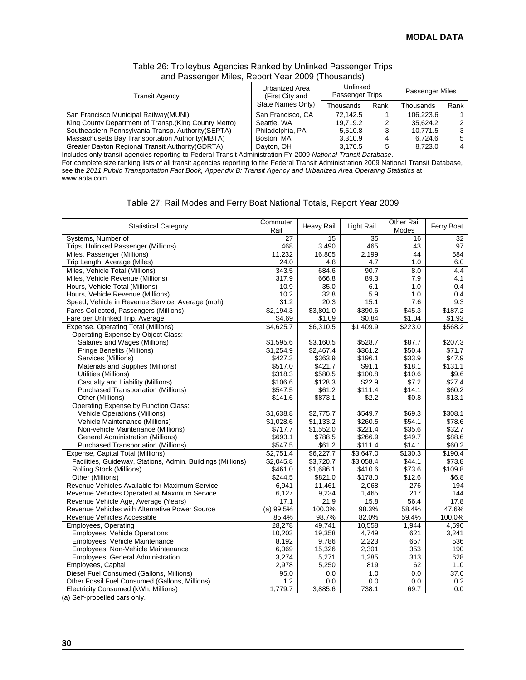| $\frac{1}{2}$                                         | .                                 |                             |      |                 |      |
|-------------------------------------------------------|-----------------------------------|-----------------------------|------|-----------------|------|
| <b>Transit Agency</b>                                 | Urbanized Area<br>(First City and | Unlinked<br>Passenger Trips |      | Passenger Miles |      |
|                                                       | State Names Only)                 | Thousands                   | Rank | Thousands       | Rank |
| San Francisco Municipal Railway (MUNI)                | San Francisco, CA                 | 72.142.5                    |      | 106.223.6       |      |
| King County Department of Transp. (King County Metro) | Seattle, WA                       | 19.719.2                    |      | 35.624.2        |      |
| Southeastern Pennsylvania Transp. Authority (SEPTA)   | Philadelphia, PA                  | 5.510.8                     |      | 10.771.5        |      |
| Massachusetts Bay Transportation Authority (MBTA)     | Boston, MA                        | 3,310.9                     |      | 6,724.6         |      |
| Greater Dayton Regional Transit Authority (GDRTA)     | Dayton, OH                        | 3,170.5                     |      | 8,723.0         |      |

#### Table 26: Trolleybus Agencies Ranked by Unlinked Passenger Trips and Passenger Miles, Report Year 2009 (Thousands)

Includes only transit agencies reporting to Federal Transit Administration FY 2009 *National Transit Database*. For complete size ranking lists of all transit agencies reporting to the Federal Transit Administration 2009 National Transit Database, see the 2011 Public Transportation Fact Book, Appendix B: Transit Agency and Urbanized Area Operating Statistics at www.apta.com.

#### Table 27: Rail Modes and Ferry Boat National Totals, Report Year 2009

| <b>Statistical Category</b>                                 | Commuter<br>Rail | <b>Heavy Rail</b> | Light Rail | <b>Other Rail</b><br>Modes | Ferry Boat |
|-------------------------------------------------------------|------------------|-------------------|------------|----------------------------|------------|
| Systems, Number of                                          | 27               | 15                | 35         | 16                         | 32         |
| Trips, Unlinked Passenger (Millions)                        | 468              | 3,490             | 465        | 43                         | 97         |
| Miles, Passenger (Millions)                                 | 11,232           | 16,805            | 2,199      | 44                         | 584        |
| Trip Length, Average (Miles)                                | 24.0             | 4.8               | 4.7        | 1.0                        | 6.0        |
| Miles, Vehicle Total (Millions)                             | 343.5            | 684.6             | 90.7       | 8.0                        | 4.4        |
| Miles, Vehicle Revenue (Millions)                           | 317.9            | 666.8             | 89.3       | 7.9                        | 4.1        |
| Hours, Vehicle Total (Millions)                             | 10.9             | 35.0              | 6.1        | 1.0                        | 0.4        |
| Hours, Vehicle Revenue (Millions)                           | 10.2             | 32.8              | 5.9        | 1.0                        | 0.4        |
| Speed, Vehicle in Revenue Service, Average (mph)            | 31.2             | 20.3              | 15.1       | 7.6                        | 9.3        |
| Fares Collected, Passengers (Millions)                      | \$2,194.3        | \$3,801.0         | \$390.6    | \$45.3                     | \$187.2    |
| Fare per Unlinked Trip, Average                             | \$4.69           | \$1.09            | \$0.84     | \$1.04                     | \$1.93     |
| Expense, Operating Total (Millions)                         | \$4,625.7        | \$6,310.5         | \$1,409.9  | \$223.0                    | \$568.2    |
| Operating Expense by Object Class:                          |                  |                   |            |                            |            |
| Salaries and Wages (Millions)                               | \$1,595.6        | \$3,160.5         | \$528.7    | \$87.7                     | \$207.3    |
| Fringe Benefits (Millions)                                  | \$1,254.9        | \$2,467.4         | \$361.2    | \$50.4                     | \$71.7     |
| Services (Millions)                                         | \$427.3          | \$363.9           | \$196.1    | \$33.9                     | \$47.9     |
| Materials and Supplies (Millions)                           | \$517.0          | \$421.7           | \$91.1     | \$18.1                     | \$131.1    |
| Utilities (Millions)                                        | \$318.3          | \$580.5           | \$100.8    | \$10.6                     | \$9.6      |
| Casualty and Liability (Millions)                           | \$106.6          | \$128.3           | \$22.9     | \$7.2                      | \$27.4     |
| <b>Purchased Transportation (Millions)</b>                  | \$547.5          | \$61.2            | \$111.4    | \$14.1                     | \$60.2     |
| Other (Millions)                                            | $-$141.6$        | $-$873.1$         | -\$2.2     | \$0.8                      | \$13.1     |
| Operating Expense by Function Class:                        |                  |                   |            |                            |            |
| <b>Vehicle Operations (Millions)</b>                        | \$1,638.8        | \$2,775.7         | \$549.7    | \$69.3                     | \$308.1    |
| Vehicle Maintenance (Millions)                              | \$1,028.6        | \$1,133.2         | \$260.5    | \$54.1                     | \$78.6     |
| Non-vehicle Maintenance (Millions)                          | \$717.7          | \$1,552.0         | \$221.4    | \$35.6                     | \$32.7     |
| <b>General Administration (Millions)</b>                    | \$693.1          | \$788.5           | \$266.9    | \$49.7                     | \$88.6     |
| Purchased Transportation (Millions)                         | \$547.5          | \$61.2            | \$111.4    | \$14.1                     | \$60.2     |
| Expense, Capital Total (Millions)                           | \$2,751.4        | \$6,227.7         | \$3,647.0  | \$130.3                    | \$190.4    |
| Facilities, Guideway, Stations, Admin. Buildings (Millions) | \$2,045.8        | \$3,720.7         | \$3,058.4  | \$44.1                     | \$73.8     |
| Rolling Stock (Millions)                                    | \$461.0          | \$1,686.1         | \$410.6    | \$73.6                     | \$109.8    |
| Other (Millions)                                            | \$244.5          | \$821.0           | \$178.0    | \$12.6                     | \$6.8      |
| Revenue Vehicles Available for Maximum Service              | 6,941            | 11,461            | 2,068      | 276                        | 194        |
| Revenue Vehicles Operated at Maximum Service                | 6,127            | 9,234             | 1,465      | 217                        | 144        |
| Revenue Vehicle Age, Average (Years)                        | 17.1             | 21.9              | 15.8       | 56.4                       | 17.8       |
| Revenue Vehicles with Alternative Power Source              | (a) 99.5%        | 100.0%            | 98.3%      | 58.4%                      | 47.6%      |
| Revenue Vehicles Accessible                                 | 85.4%            | 98.7%             | 82.0%      | 59.4%                      | 100.0%     |
| <b>Employees, Operating</b>                                 | 28,278           | 49,741            | 10,558     | 1,944                      | 4,596      |
| Employees, Vehicle Operations                               | 10,203           | 19,358            | 4,749      | 621                        | 3,241      |
| Employees, Vehicle Maintenance                              | 8,192            | 9,786             | 2,223      | 657                        | 536        |
| Employees, Non-Vehicle Maintenance                          | 6,069            | 15,326            | 2,301      | 353                        | 190        |
| Employees, General Administration                           | 3,274            | 5,271             | 1,285      | 313                        | 628        |
| Employees, Capital                                          | 2,978            | 5,250             | 819        | 62                         | 110        |
| Diesel Fuel Consumed (Gallons, Millions)                    | 95.0             | 0.0               | 1.0        | 0.0                        | 37.6       |
| Other Fossil Fuel Consumed (Gallons, Millions)              | 1.2              | 0.0               | 0.0        | 0.0                        | 0.2        |
| Electricity Consumed (kWh, Millions)                        | 1,779.7          | 3,885.6           | 738.1      | 69.7                       | 0.0        |

(a) Self-propelled cars only.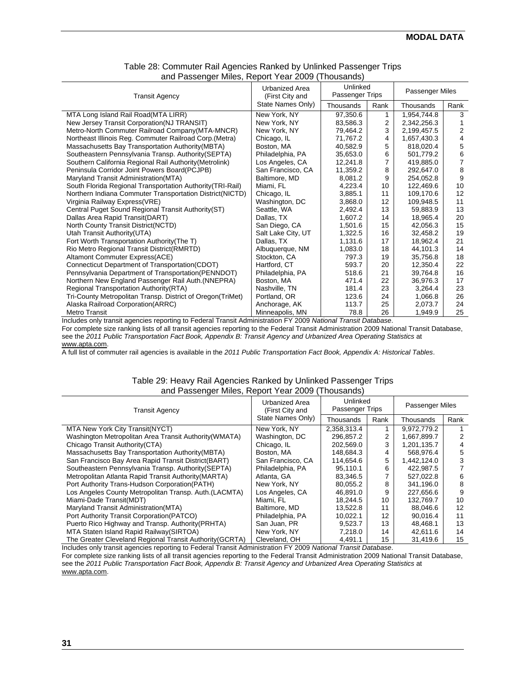| <b>Transit Agency</b>                                      | <b>Urbanized Area</b><br>(First City and | Unlinked<br><b>Passenger Trips</b> |      | Passenger Miles |                |
|------------------------------------------------------------|------------------------------------------|------------------------------------|------|-----------------|----------------|
|                                                            | State Names Only)                        | Thousands                          | Rank | Thousands       | Rank           |
| MTA Long Island Rail Road(MTA LIRR)                        | New York, NY                             | 97,350.6                           | 1    | 1,954,744.8     | 3              |
| New Jersey Transit Corporation (NJ TRANSIT)                | New York, NY                             | 83,586.3                           | 2    | 2,342,256.3     |                |
| Metro-North Commuter Railroad Company (MTA-MNCR)           | New York, NY                             | 79,464.2                           | 3    | 2,199,457.5     | 2              |
| Northeast Illinois Reg. Commuter Railroad Corp. (Metra)    | Chicago, IL                              | 71,767.2                           | 4    | 1,657,430.3     | 4              |
| Massachusetts Bay Transportation Authority (MBTA)          | Boston, MA                               | 40,582.9                           | 5    | 818,020.4       | 5              |
| Southeastern Pennsylvania Transp. Authority(SEPTA)         | Philadelphia, PA                         | 35,653.0                           | 6    | 501.779.2       | 6              |
| Southern California Regional Rail Authority (Metrolink)    | Los Angeles, CA                          | 12,241.8                           |      | 419,885.0       | $\overline{7}$ |
| Peninsula Corridor Joint Powers Board(PCJPB)               | San Francisco, CA                        | 11,359.2                           | 8    | 292.647.0       | 8              |
| Maryland Transit Administration (MTA)                      | Baltimore, MD                            | 8,081.2                            | 9    | 254,052.8       | 9              |
| South Florida Regional Transportation Authority (TRI-Rail) | Miami, FL                                | 4,223.4                            | 10   | 122,469.6       | 10             |
| Northern Indiana Commuter Transportation District(NICTD)   | Chicago, IL                              | 3,885.1                            | 11   | 109,170.6       | 12             |
| Virginia Railway Express(VRE)                              | Washington, DC                           | 3,868.0                            | 12   | 109,948.5       | 11             |
| Central Puget Sound Regional Transit Authority (ST)        | Seattle, WA                              | 2,492.4                            | 13   | 59,883.9        | 13             |
| Dallas Area Rapid Transit(DART)                            | Dallas, TX                               | 1,607.2                            | 14   | 18,965.4        | 20             |
| North County Transit District(NCTD)                        | San Diego, CA                            | 1,501.6                            | 15   | 42,056.3        | 15             |
| Utah Transit Authority (UTA)                               | Salt Lake City, UT                       | 1,322.5                            | 16   | 32,458.2        | 19             |
| Fort Worth Transportation Authority (The T)                | Dallas, TX                               | 1,131.6                            | 17   | 18,962.4        | 21             |
| Rio Metro Regional Transit District(RMRTD)                 | Albuquerque, NM                          | 1,083.0                            | 18   | 44,101.3        | 14             |
| Altamont Commuter Express(ACE)                             | Stockton, CA                             | 797.3                              | 19   | 35,756.8        | 18             |
| Connecticut Department of Transportation (CDOT)            | Hartford, CT                             | 593.7                              | 20   | 12,350.4        | 22             |
| Pennsylvania Department of Transportation (PENNDOT)        | Philadelphia, PA                         | 518.6                              | 21   | 39,764.8        | 16             |
| Northern New England Passenger Rail Auth. (NNEPRA)         | Boston, MA                               | 471.4                              | 22   | 36,976.3        | 17             |
| Regional Transportation Authority (RTA)                    | Nashville, TN                            | 181.4                              | 23   | 3,264.4         | 23             |
| Tri-County Metropolitan Transp. District of Oregon(TriMet) | Portland, OR                             | 123.6                              | 24   | 1,066.8         | 26             |
| Alaska Railroad Corporation(ARRC)                          | Anchorage, AK                            | 113.7                              | 25   | 2,073.7         | 24             |
| Metro Transit                                              | Minneapolis, MN                          | 78.8                               | 26   | 1,949.9         | 25             |

#### Table 28: Commuter Rail Agencies Ranked by Unlinked Passenger Trips and Passenger Miles, Report Year 2009 (Thousands)

Includes only transit agencies reporting to Federal Transit Administration FY 2009 *National Transit Database*.

For complete size ranking lists of all transit agencies reporting to the Federal Transit Administration 2009 National Transit Database, see the *2011 Public Transportation Fact Book, Appendix B: Transit Agency and Urbanized Area Operating Statistics* at

www.apta.com.

A full list of commuter rail agencies is available in the *2011 Public Transportation Fact Book, Appendix A: Historical Tables*.

#### Table 29: Heavy Rail Agencies Ranked by Unlinked Passenger Trips and Passenger Miles, Report Year 2009 (Thousands)

| <b>Transit Agency</b>                                    | Urbanized Area<br>(First City and | Unlinked<br>Passenger Trips |      | <b>Passenger Miles</b> |      |
|----------------------------------------------------------|-----------------------------------|-----------------------------|------|------------------------|------|
|                                                          | State Names Only)                 | Thousands                   | Rank | Thousands              | Rank |
| MTA New York City Transit (NYCT)                         | New York, NY                      | 2.358.313.4                 |      | 9.972.779.2            |      |
| Washington Metropolitan Area Transit Authority (WMATA)   | Washington, DC                    | 296.857.2                   | 2    | 1,667,899.7            |      |
| Chicago Transit Authority (CTA)                          | Chicago, IL                       | 202,569.0                   | 3    | 1,201,135.7            |      |
| Massachusetts Bay Transportation Authority (MBTA)        | Boston, MA                        | 148.684.3                   |      | 568.976.4              | 5    |
| San Francisco Bay Area Rapid Transit District (BART)     | San Francisco, CA                 | 114,654.6                   | 5    | 1,442,124.0            | 3    |
| Southeastern Pennsylvania Transp. Authority (SEPTA)      | Philadelphia, PA                  | 95,110.1                    | 6    | 422,987.5              |      |
| Metropolitan Atlanta Rapid Transit Authority (MARTA)     | Atlanta, GA                       | 83,346.5                    |      | 527,022.8              | 6    |
| Port Authority Trans-Hudson Corporation (PATH)           | New York, NY                      | 80.055.2                    | 8    | 341.196.0              | 8    |
| Los Angeles County Metropolitan Transp. Auth. (LACMTA)   | Los Angeles, CA                   | 46,891.0                    | 9    | 227,656.6              | 9    |
| Miami-Dade Transit (MDT)                                 | Miami, FL                         | 18.244.5                    | 10   | 132.769.7              | 10   |
| Maryland Transit Administration (MTA)                    | Baltimore, MD                     | 13,522.8                    | 11   | 88,046.6               | 12   |
| Port Authority Transit Corporation (PATCO)               | Philadelphia, PA                  | 10.022.1                    | 12   | 90.016.4               | 11   |
| Puerto Rico Highway and Transp. Authority (PRHTA)        | San Juan, PR                      | 9,523.7                     | 13   | 48.468.1               | 13   |
| MTA Staten Island Rapid Railway (SIRTOA)                 | New York, NY                      | 7,218.0                     | 14   | 42.611.6               | 14   |
| The Greater Cleveland Regional Transit Authority (GCRTA) | Cleveland, OH                     | 4,491.1                     | 15   | 31,419.6               | 15   |

Includes only transit agencies reporting to Federal Transit Administration FY 2009 *National Transit Database*.

For complete size ranking lists of all transit agencies reporting to the Federal Transit Administration 2009 National Transit Database, see the *2011 Public Transportation Fact Book, Appendix B: Transit Agency and Urbanized Area Operating Statistics* at www.apta.com.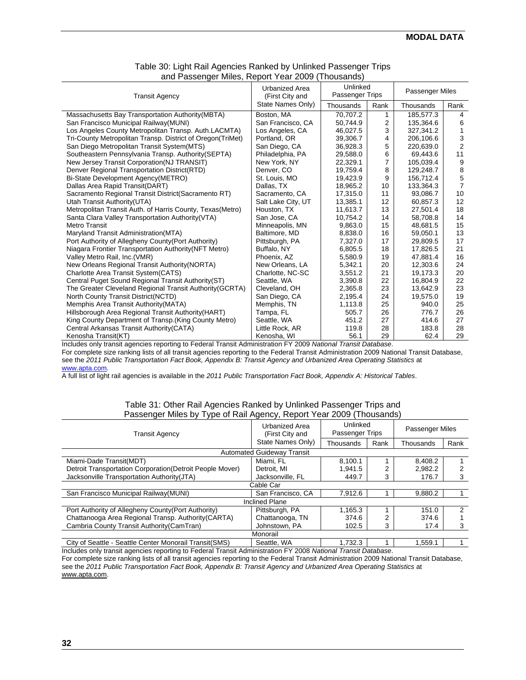| <b>Transit Agency</b>                                      | <b>Urbanized Area</b><br>(First City and | Unlinked<br>Passenger Trips |                | Passenger Miles |                |
|------------------------------------------------------------|------------------------------------------|-----------------------------|----------------|-----------------|----------------|
|                                                            | State Names Only)                        | Thousands                   | Rank           | Thousands       | Rank           |
| Massachusetts Bay Transportation Authority (MBTA)          | Boston, MA                               | 70,707.2                    | 1              | 185,577.3       | 4              |
| San Francisco Municipal Railway (MUNI)                     | San Francisco, CA                        | 50.744.9                    | 2              | 135,364.6       | 6              |
| Los Angeles County Metropolitan Transp. Auth.LACMTA)       | Los Angeles, CA                          | 46,027.5                    | 3              | 327,341.2       |                |
| Tri-County Metropolitan Transp. District of Oregon(TriMet) | Portland, OR                             | 39.306.7                    | 4              | 206.106.6       | 3              |
| San Diego Metropolitan Transit System (MTS)                | San Diego, CA                            | 36,928.3                    | 5              | 220,639.0       | $\overline{2}$ |
| Southeastern Pennsylvania Transp. Authority (SEPTA)        | Philadelphia, PA                         | 29,588.0                    | 6              | 69.443.6        | 11             |
| New Jersey Transit Corporation (NJ TRANSIT)                | New York, NY                             | 22,329.1                    | $\overline{7}$ | 105,039.4       | 9              |
| Denver Regional Transportation District(RTD)               | Denver, CO                               | 19,759.4                    | 8              | 129,248.7       | 8              |
| Bi-State Development Agency(METRO)                         | St. Louis, MO                            | 19,423.9                    | 9              | 156,712.4       | 5              |
| Dallas Area Rapid Transit (DART)                           | Dallas, TX                               | 18,965.2                    | 10             | 133,364.3       | $\overline{7}$ |
| Sacramento Regional Transit District (Sacramento RT)       | Sacramento, CA                           | 17,315.0                    | 11             | 93,086.7        | 10             |
| Utah Transit Authority (UTA)                               | Salt Lake City, UT                       | 13,385.1                    | 12             | 60,857.3        | 12             |
| Metropolitan Transit Auth. of Harris County, Texas (Metro) | Houston, TX                              | 11,613.7                    | 13             | 27,501.4        | 18             |
| Santa Clara Valley Transportation Authority (VTA)          | San Jose, CA                             | 10,754.2                    | 14             | 58,708.8        | 14             |
| <b>Metro Transit</b>                                       | Minneapolis, MN                          | 9.863.0                     | 15             | 48.681.5        | 15             |
| Maryland Transit Administration (MTA)                      | Baltimore, MD                            | 8,838.0                     | 16             | 59,050.1        | 13             |
| Port Authority of Allegheny County (Port Authority)        | Pittsburgh, PA                           | 7.327.0                     | 17             | 29.809.5        | 17             |
| Niagara Frontier Transportation Authority (NFT Metro)      | Buffalo, NY                              | 6,805.5                     | 18             | 17,826.5        | 21             |
| Valley Metro Rail, Inc. (VMR)                              | Phoenix, AZ                              | 5,580.9                     | 19             | 47,881.4        | 16             |
| New Orleans Regional Transit Authority (NORTA)             | New Orleans, LA                          | 5,342.1                     | 20             | 12,303.6        | 24             |
| Charlotte Area Transit System (CATS)                       | Charlotte, NC-SC                         | 3,551.2                     | 21             | 19,173.3        | 20             |
| Central Puget Sound Regional Transit Authority(ST)         | Seattle, WA                              | 3,390.8                     | 22             | 16,804.9        | 22             |
| The Greater Cleveland Regional Transit Authority (GCRTA)   | Cleveland, OH                            | 2.365.8                     | 23             | 13.642.9        | 23             |
| North County Transit District(NCTD)                        | San Diego, CA                            | 2,195.4                     | 24             | 19,575.0        | 19             |
| Memphis Area Transit Authority (MATA)                      | Memphis, TN                              | 1,113.8                     | 25             | 940.0           | 25             |
| Hillsborough Area Regional Transit Authority (HART)        | Tampa, FL                                | 505.7                       | 26             | 776.7           | 26             |
| King County Department of Transp. (King County Metro)      | Seattle, WA                              | 451.2                       | 27             | 414.6           | 27             |
| Central Arkansas Transit Authority (CATA)                  | Little Rock, AR                          | 119.8                       | 28             | 183.8           | 28             |
| Kenosha Transit(KT)                                        | Kenosha, WI                              | 56.1                        | 29             | 62.4            | 29             |

#### Table 30: Light Rail Agencies Ranked by Unlinked Passenger Trips and Passenger Miles, Report Year 2009 (Thousands)

Includes only transit agencies reporting to Federal Transit Administration FY 2009 *National Transit Database*. For complete size ranking lists of all transit agencies reporting to the Federal Transit Administration 2009 National Transit Database, see the *2011 Public Transportation Fact Book, Appendix B: Transit Agency and Urbanized Area Operating Statistics* at www.apta.com.

A full list of light rail agencies is available in the *2011 Public Transportation Fact Book, Appendix A: Historical Tables*.

#### Table 31: Other Rail Agencies Ranked by Unlinked Passenger Trips and Passenger Miles by Type of Rail Agency, Report Year 2009 (Thousands)

| . .                                                       |                                          |                                    |      |                        |      |
|-----------------------------------------------------------|------------------------------------------|------------------------------------|------|------------------------|------|
| <b>Transit Agency</b>                                     | <b>Urbanized Area</b><br>(First City and | Unlinked<br><b>Passenger Trips</b> |      | <b>Passenger Miles</b> |      |
|                                                           | State Names Only)                        | Thousands                          | Rank | Thousands              | Rank |
|                                                           | <b>Automated Guideway Transit</b>        |                                    |      |                        |      |
| Miami-Dade Transit(MDT)                                   | Miami, FL                                | 8.100.1                            |      | 8.408.2                |      |
| Detroit Transportation Corporation (Detroit People Mover) | Detroit. MI                              | 1.941.5                            |      | 2.982.2                |      |
| Jacksonville Transportation Authority (JTA)               | Jacksonville, FL                         | 449.7                              | 3    | 176.7                  |      |
|                                                           | Cable Car                                |                                    |      |                        |      |
| San Francisco Municipal Railway (MUNI)                    | San Francisco, CA                        | 7.912.6                            |      | 9.880.2                |      |
|                                                           | <b>Inclined Plane</b>                    |                                    |      |                        |      |
| Port Authority of Allegheny County (Port Authority)       | Pittsburgh, PA                           | 1.165.3                            |      | 151.0                  | 2    |
| Chattanooga Area Regional Transp. Authority (CARTA)       | Chattanooga, TN                          | 374.6                              | າ    | 374.6                  |      |
| Cambria County Transit Authority (CamTran)                | Johnstown, PA                            | 102.5                              | 3    | 17.4                   | 3    |
|                                                           | Monorail                                 |                                    |      |                        |      |
| City of Seattle - Seattle Center Monorail Transit (SMS)   | Seattle, WA                              | 1,732.3                            |      | 1,559.1                |      |

Includes only transit agencies reporting to Federal Transit Administration FY 2008 *National Transit Database*. For complete size ranking lists of all transit agencies reporting to the Federal Transit Administration 2009 National Transit Database, see the *2011 Public Transportation Fact Book, Appendix B: Transit Agency and Urbanized Area Operating Statistics* at www.apta.com.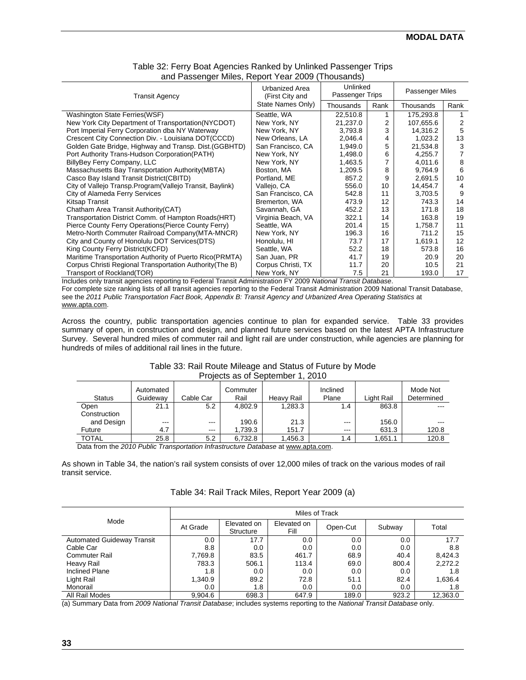| <b>Transit Agency</b>                                      | Urbanized Area<br>(First City and | Unlinked<br>Passenger Trips |      | Passenger Miles |      |
|------------------------------------------------------------|-----------------------------------|-----------------------------|------|-----------------|------|
|                                                            | State Names Only)                 | Thousands                   | Rank | Thousands       | Rank |
| Washington State Ferries (WSF)                             | Seattle, WA                       | 22,510.8                    |      | 175,293.8       |      |
| New York City Department of Transportation (NYCDOT)        | New York, NY                      | 21,237.0                    | 2    | 107,655.6       | 2    |
| Port Imperial Ferry Corporation dba NY Waterway            | New York, NY                      | 3,793.8                     | 3    | 14,316.2        | 5    |
| Crescent City Connection Div. - Louisiana DOT(CCCD)        | New Orleans, LA                   | 2,046.4                     |      | 1,023.2         | 13   |
| Golden Gate Bridge, Highway and Transp. Dist. (GGBHTD)     | San Francisco, CA                 | 1,949.0                     | 5    | 21,534.8        | 3    |
| Port Authority Trans-Hudson Corporation (PATH)             | New York, NY                      | 1,498.0                     | 6    | 4,255.7         |      |
| BillyBey Ferry Company, LLC                                | New York, NY                      | 1,463.5                     |      | 4,011.6         | 8    |
| Massachusetts Bay Transportation Authority (MBTA)          | Boston, MA                        | 1,209.5                     | 8    | 9,764.9         | 6    |
| Casco Bay Island Transit District(CBITD)                   | Portland, ME                      | 857.2                       | 9    | 2,691.5         | 10   |
| City of Vallejo Transp. Program (Vallejo Transit, Baylink) | Vallejo, CA                       | 556.0                       | 10   | 14,454.7        | 4    |
| City of Alameda Ferry Services                             | San Francisco, CA                 | 542.8                       | 11   | 3,703.5         | 9    |
| Kitsap Transit                                             | Bremerton, WA                     | 473.9                       | 12   | 743.3           | 14   |
| Chatham Area Transit Authority (CAT)                       | Savannah, GA                      | 452.2                       | 13   | 171.8           | 18   |
| Transportation District Comm. of Hampton Roads(HRT)        | Virginia Beach, VA                | 322.1                       | 14   | 163.8           | 19   |
| Pierce County Ferry Operations (Pierce County Ferry)       | Seattle, WA                       | 201.4                       | 15   | 1,758.7         | 11   |
| Metro-North Commuter Railroad Company (MTA-MNCR)           | New York, NY                      | 196.3                       | 16   | 711.2           | 15   |
| City and County of Honolulu DOT Services (DTS)             | Honolulu, HI                      | 73.7                        | 17   | 1,619.1         | 12   |
| King County Ferry District(KCFD)                           | Seattle, WA                       | 52.2                        | 18   | 573.8           | 16   |
| Maritime Transportation Authority of Puerto Rico(PRMTA)    | San Juan, PR                      | 41.7                        | 19   | 20.9            | 20   |
| Corpus Christi Regional Transportation Authority (The B)   | Corpus Christi, TX                | 11.7                        | 20   | 10.5            | 21   |
| Transport of Rockland(TOR)                                 | New York, NY                      | 7.5                         | 21   | 193.0           | 17   |

#### Table 32: Ferry Boat Agencies Ranked by Unlinked Passenger Trips and Passenger Miles, Report Year 2009 (Thousands)

Includes only transit agencies reporting to Federal Transit Administration FY 2009 *National Transit Database*.

For complete size ranking lists of all transit agencies reporting to the Federal Transit Administration 2009 National Transit Database, see the *2011 Public Transportation Fact Book, Appendix B: Transit Agency and Urbanized Area Operating Statistics* at www.apta.com.

Across the country, public transportation agencies continue to plan for expanded service. Table 33 provides summary of open, in construction and design, and planned future services based on the latest APTA Infrastructure Survey. Several hundred miles of commuter rail and light rail are under construction, while agencies are planning for hundreds of miles of additional rail lines in the future.

| TUIUUU UU UI UUDIUITIDUT T. LUTU |                       |           |                  |            |                   |            |                        |  |
|----------------------------------|-----------------------|-----------|------------------|------------|-------------------|------------|------------------------|--|
| <b>Status</b>                    | Automated<br>Guideway | Cable Car | Commuter<br>Rail | Heavy Rail | Inclined<br>Plane | Light Rail | Mode Not<br>Determined |  |
| Open                             | 21.1                  | 5.2       | 4,802.9          | 1,283.3    | 1.4               | 863.8      | ---                    |  |
| Construction                     |                       |           |                  |            |                   |            |                        |  |
| and Design                       | $- - -$               | $- - -$   | 190.6            | 21.3       | $- - -$           | 156.0      |                        |  |
| Future                           | 4.7                   | $- - -$   | 1,739.3          | 151.7      | $- - -$           | 631.3      | 120.8                  |  |
| <b>TOTAL</b>                     | 25.8                  | 5.2       | 6.732.8          | 1.456.3    | 1.4               | 1.651.1    | 120.8                  |  |
|                                  |                       | . .       |                  |            |                   |            |                        |  |

#### Table 33: Rail Route Mileage and Status of Future by Mode Projects as of September 1, 2010

Data from the *2010 Public Transportation Infrastructure Database* at www.apta.com.

As shown in Table 34, the nation's rail system consists of over 12,000 miles of track on the various modes of rail transit service.

#### Table 34: Rail Track Miles, Report Year 2009 (a)

|                                   | Miles of Track |                          |                     |          |        |          |  |  |
|-----------------------------------|----------------|--------------------------|---------------------|----------|--------|----------|--|--|
| Mode                              | At Grade       | Elevated on<br>Structure | Elevated on<br>Fill | Open-Cut | Subway | Total    |  |  |
| <b>Automated Guideway Transit</b> | $0.0\,$        | 17.7                     | 0.0                 | 0.0      | 0.0    | 17.7     |  |  |
| Cable Car                         | 8.8            | 0.0                      | 0.0                 | 0.0      | 0.0    | 8.8      |  |  |
| <b>Commuter Rail</b>              | 7,769.8        | 83.5                     | 461.7               | 68.9     | 40.4   | 8,424.3  |  |  |
| Heavy Rail                        | 783.3          | 506.1                    | 113.4               | 69.0     | 800.4  | 2,272.2  |  |  |
| <b>Inclined Plane</b>             | 1.8            | 0.0                      | 0.0                 | 0.0      | 0.0    | 1.8      |  |  |
| Light Rail                        | 1,340.9        | 89.2                     | 72.8                | 51.1     | 82.4   | 1,636.4  |  |  |
| Monorail                          | 0.0            | 1.8                      | 0.0                 | 0.0      | 0.0    | 1.8      |  |  |
| All Rail Modes                    | 9.904.6        | 698.3                    | 647.9               | 189.0    | 923.2  | 12.363.0 |  |  |

(a) Summary Data from *2009 National Transit Database*; includes systems reporting to the *National Transit Database* only.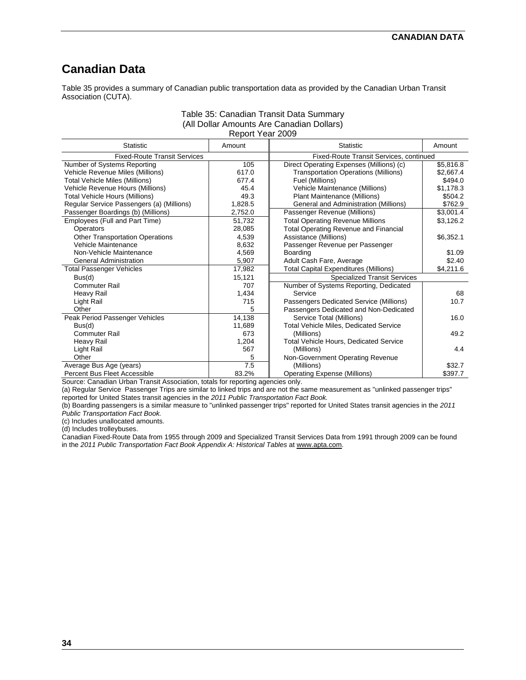# **Canadian Data**

Table 35 provides a summary of Canadian public transportation data as provided by the Canadian Urban Transit Association (CUTA).

#### Table 35: Canadian Transit Data Summary (All Dollar Amounts Are Canadian Dollars) Report Year 2009

| <b>Statistic</b>                          | Amount  | <b>Statistic</b>                               | Amount    |
|-------------------------------------------|---------|------------------------------------------------|-----------|
| <b>Fixed-Route Transit Services</b>       |         | <b>Fixed-Route Transit Services, continued</b> |           |
| Number of Systems Reporting               | 105     | Direct Operating Expenses (Millions) (c)       | \$5,816.8 |
| Vehicle Revenue Miles (Millions)          | 617.0   | <b>Transportation Operations (Millions)</b>    | \$2,667.4 |
| Total Vehicle Miles (Millions)            | 677.4   | Fuel (Millions)                                | \$494.0   |
| Vehicle Revenue Hours (Millions)          | 45.4    | Vehicle Maintenance (Millions)                 | \$1,178.3 |
| Total Vehicle Hours (Millions)            | 49.3    | Plant Maintenance (Millions)                   | \$504.2   |
| Regular Service Passengers (a) (Millions) | 1,828.5 | General and Administration (Millions)          | \$762.9   |
| Passenger Boardings (b) (Millions)        | 2,752.0 | Passenger Revenue (Millions)                   | \$3,001.4 |
| Employees (Full and Part Time)            | 51,732  | <b>Total Operating Revenue Millions</b>        | \$3,126.2 |
| <b>Operators</b>                          | 28,085  | <b>Total Operating Revenue and Financial</b>   |           |
| <b>Other Transportation Operations</b>    | 4,539   | Assistance (Millions)                          | \$6,352.1 |
| Vehicle Maintenance                       | 8,632   | Passenger Revenue per Passenger                |           |
| Non-Vehicle Maintenance                   | 4,569   | Boarding                                       | \$1.09    |
| <b>General Administration</b>             | 5,907   | Adult Cash Fare, Average                       | \$2.40    |
| <b>Total Passenger Vehicles</b>           | 17,982  | <b>Total Capital Expenditures (Millions)</b>   | \$4,211.6 |
| Bus(d)                                    | 15,121  | <b>Specialized Transit Services</b>            |           |
| <b>Commuter Rail</b>                      | 707     | Number of Systems Reporting, Dedicated         |           |
| Heavy Rail                                | 1,434   | Service                                        | 68        |
| Light Rail                                | 715     | Passengers Dedicated Service (Millions)        | 10.7      |
| Other                                     | 5       | Passengers Dedicated and Non-Dedicated         |           |
| Peak Period Passenger Vehicles            | 14,138  | Service Total (Millions)                       | 16.0      |
| Bus(d)                                    | 11,689  | <b>Total Vehicle Miles, Dedicated Service</b>  |           |
| Commuter Rail                             | 673     | (Millions)                                     | 49.2      |
| Heavy Rail                                | 1,204   | <b>Total Vehicle Hours, Dedicated Service</b>  |           |
| Light Rail                                | 567     | (Millions)                                     | 4.4       |
| Other                                     | 5       | Non-Government Operating Revenue               |           |
| Average Bus Age (years)                   | 7.5     | (Millions)                                     | \$32.7    |
| Percent Bus Fleet Accessible              | 83.2%   | <b>Operating Expense (Millions)</b>            | \$397.7   |

Source: Canadian Urban Transit Association, totals for reporting agencies only.

(a) Regular Service Passenger Trips are similar to linked trips and are not the same measurement as "unlinked passenger trips" reported for United States transit agencies in the *2011 Public Transportation Fact Book.*

(b) Boarding passengers is a similar measure to "unlinked passenger trips" reported for United States transit agencies in the *2011 Public Transportation Fact Book.* 

(c) Includes unallocated amounts.

(d) Includes trolleybuses.

Canadian Fixed-Route Data from 1955 through 2009 and Specialized Transit Services Data from 1991 through 2009 can be found in the *2011 Public Transportation Fact Book Appendix A: Historical Tables* at www.apta.com.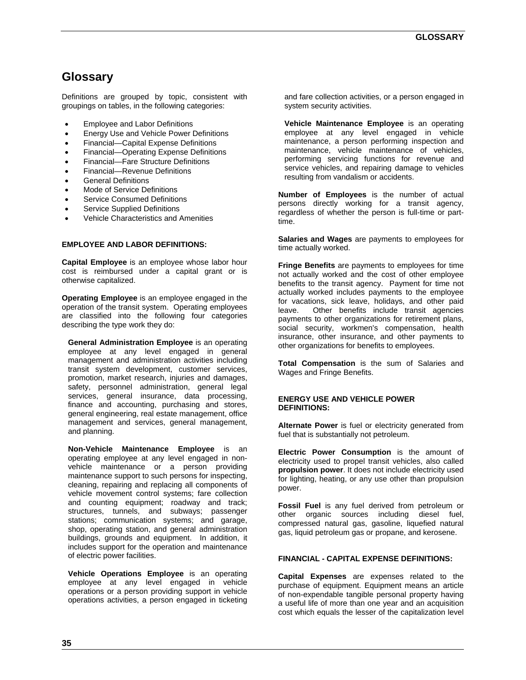# **Glossary**

Definitions are grouped by topic, consistent with groupings on tables, in the following categories:

- **Employee and Labor Definitions**
- Energy Use and Vehicle Power Definitions
- Financial—Capital Expense Definitions
- Financial—Operating Expense Definitions
- Financial—Fare Structure Definitions
- Financial—Revenue Definitions
- General Definitions
- Mode of Service Definitions
- Service Consumed Definitions
- Service Supplied Definitions
- Vehicle Characteristics and Amenities

#### **EMPLOYEE AND LABOR DEFINITIONS:**

**Capital Employee** is an employee whose labor hour cost is reimbursed under a capital grant or is otherwise capitalized.

**Operating Employee** is an employee engaged in the operation of the transit system. Operating employees are classified into the following four categories describing the type work they do:

**General Administration Employee** is an operating employee at any level engaged in general management and administration activities including transit system development, customer services, promotion, market research, injuries and damages, safety, personnel administration, general legal services, general insurance, data processing, finance and accounting, purchasing and stores, general engineering, real estate management, office management and services, general management, and planning.

**Non-Vehicle Maintenance Employee** is an operating employee at any level engaged in nonvehicle maintenance or a person providing maintenance support to such persons for inspecting, cleaning, repairing and replacing all components of vehicle movement control systems; fare collection and counting equipment; roadway and track; structures, tunnels, and subways; passenger stations; communication systems; and garage, shop, operating station, and general administration buildings, grounds and equipment. In addition, it includes support for the operation and maintenance of electric power facilities.

**Vehicle Operations Employee** is an operating employee at any level engaged in vehicle operations or a person providing support in vehicle operations activities, a person engaged in ticketing and fare collection activities, or a person engaged in system security activities.

**Vehicle Maintenance Employee** is an operating employee at any level engaged in vehicle maintenance, a person performing inspection and maintenance, vehicle maintenance of vehicles, performing servicing functions for revenue and service vehicles, and repairing damage to vehicles resulting from vandalism or accidents.

**Number of Employees** is the number of actual persons directly working for a transit agency, regardless of whether the person is full-time or parttime.

**Salaries and Wages** are payments to employees for time actually worked.

**Fringe Benefits** are payments to employees for time not actually worked and the cost of other employee benefits to the transit agency. Payment for time not actually worked includes payments to the employee for vacations, sick leave, holidays, and other paid leave. Other benefits include transit agencies payments to other organizations for retirement plans, social security, workmen's compensation, health insurance, other insurance, and other payments to other organizations for benefits to employees.

**Total Compensation** is the sum of Salaries and Wages and Fringe Benefits.

#### **ENERGY USE AND VEHICLE POWER DEFINITIONS:**

**Alternate Power** is fuel or electricity generated from fuel that is substantially not petroleum.

**Electric Power Consumption** is the amount of electricity used to propel transit vehicles, also called **propulsion power**. It does not include electricity used for lighting, heating, or any use other than propulsion power.

**Fossil Fuel** is any fuel derived from petroleum or other organic sources including diesel fuel, compressed natural gas, gasoline, liquefied natural gas, liquid petroleum gas or propane, and kerosene.

#### **FINANCIAL - CAPITAL EXPENSE DEFINITIONS:**

**Capital Expenses** are expenses related to the purchase of equipment. Equipment means an article of non-expendable tangible personal property having a useful life of more than one year and an acquisition cost which equals the lesser of the capitalization level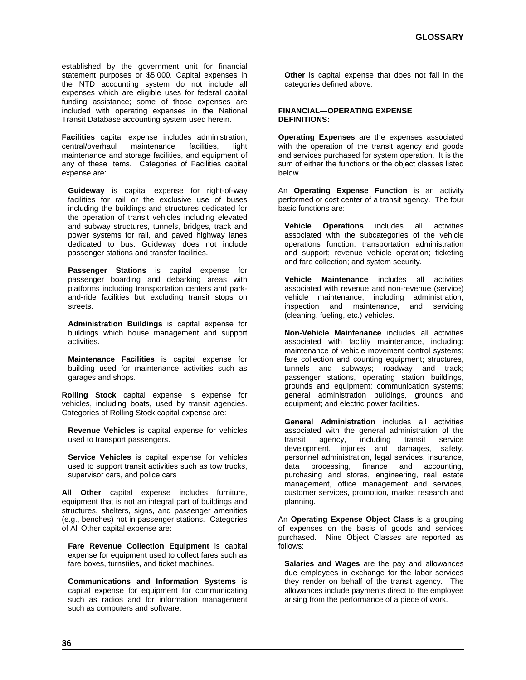established by the government unit for financial statement purposes or \$5,000. Capital expenses in the NTD accounting system do not include all expenses which are eligible uses for federal capital funding assistance; some of those expenses are included with operating expenses in the National Transit Database accounting system used herein.

**Facilities** capital expense includes administration, central/overhaul maintenance facilities. light central/overhaul maintenance facilities, light maintenance and storage facilities, and equipment of any of these items. Categories of Facilities capital expense are:

**Guideway** is capital expense for right-of-way facilities for rail or the exclusive use of buses including the buildings and structures dedicated for the operation of transit vehicles including elevated and subway structures, tunnels, bridges, track and power systems for rail, and paved highway lanes dedicated to bus. Guideway does not include passenger stations and transfer facilities.

**Passenger Stations** is capital expense for passenger boarding and debarking areas with platforms including transportation centers and parkand-ride facilities but excluding transit stops on streets.

**Administration Buildings** is capital expense for buildings which house management and support activities.

**Maintenance Facilities** is capital expense for building used for maintenance activities such as garages and shops.

**Rolling Stock** capital expense is expense for vehicles, including boats, used by transit agencies. Categories of Rolling Stock capital expense are:

**Revenue Vehicles** is capital expense for vehicles used to transport passengers.

**Service Vehicles** is capital expense for vehicles used to support transit activities such as tow trucks, supervisor cars, and police cars

**All Other** capital expense includes furniture, equipment that is not an integral part of buildings and structures, shelters, signs, and passenger amenities (e.g., benches) not in passenger stations. Categories of All Other capital expense are:

**Fare Revenue Collection Equipment** is capital expense for equipment used to collect fares such as fare boxes, turnstiles, and ticket machines.

**Communications and Information Systems** is capital expense for equipment for communicating such as radios and for information management such as computers and software.

**Other** is capital expense that does not fall in the categories defined above.

#### **FINANCIAL—OPERATING EXPENSE DEFINITIONS:**

**Operating Expenses** are the expenses associated with the operation of the transit agency and goods and services purchased for system operation. It is the sum of either the functions or the object classes listed below.

An **Operating Expense Function** is an activity performed or cost center of a transit agency. The four basic functions are:

**Vehicle Operations** includes all activities associated with the subcategories of the vehicle operations function: transportation administration and support; revenue vehicle operation; ticketing and fare collection; and system security.

**Vehicle Maintenance** includes all activities associated with revenue and non-revenue (service) vehicle maintenance, including administration, inspection and maintenance, and servicing (cleaning, fueling, etc.) vehicles.

**Non-Vehicle Maintenance** includes all activities associated with facility maintenance, including: maintenance of vehicle movement control systems; fare collection and counting equipment; structures, tunnels and subways; roadway and track; passenger stations, operating station buildings, grounds and equipment; communication systems; general administration buildings, grounds and equipment; and electric power facilities.

**General Administration** includes all activities associated with the general administration of the transit agency, including transit service development, injuries and damages, safety, personnel administration, legal services, insurance, data processing, finance and accounting, purchasing and stores, engineering, real estate management, office management and services, customer services, promotion, market research and planning.

An **Operating Expense Object Class** is a grouping of expenses on the basis of goods and services purchased. Nine Object Classes are reported as follows:

**Salaries and Wages** are the pay and allowances due employees in exchange for the labor services they render on behalf of the transit agency. The allowances include payments direct to the employee arising from the performance of a piece of work.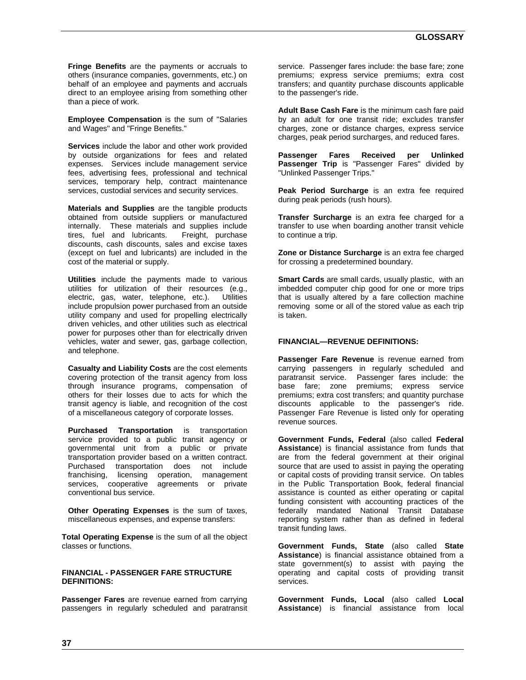**Fringe Benefits** are the payments or accruals to others (insurance companies, governments, etc.) on behalf of an employee and payments and accruals direct to an employee arising from something other than a piece of work.

**Employee Compensation** is the sum of "Salaries and Wages" and "Fringe Benefits."

**Services** include the labor and other work provided by outside organizations for fees and related expenses. Services include management service fees, advertising fees, professional and technical services, temporary help, contract maintenance services, custodial services and security services.

**Materials and Supplies** are the tangible products obtained from outside suppliers or manufactured internally. These materials and supplies include tires, fuel and lubricants. Freight, purchase discounts, cash discounts, sales and excise taxes (except on fuel and lubricants) are included in the cost of the material or supply.

**Utilities** include the payments made to various utilities for utilization of their resources (e.g., electric, gas, water, telephone, etc.). Utilities include propulsion power purchased from an outside utility company and used for propelling electrically driven vehicles, and other utilities such as electrical power for purposes other than for electrically driven vehicles, water and sewer, gas, garbage collection, and telephone.

**Casualty and Liability Costs** are the cost elements covering protection of the transit agency from loss through insurance programs, compensation of others for their losses due to acts for which the transit agency is liable, and recognition of the cost of a miscellaneous category of corporate losses.

**Purchased Transportation** is transportation service provided to a public transit agency or governmental unit from a public or private transportation provider based on a written contract. Purchased transportation does not include franchising, licensing operation, management services, cooperative agreements or private conventional bus service.

**Other Operating Expenses** is the sum of taxes, miscellaneous expenses, and expense transfers:

**Total Operating Expense** is the sum of all the object classes or functions.

#### **FINANCIAL - PASSENGER FARE STRUCTURE DEFINITIONS:**

**Passenger Fares** are revenue earned from carrying passengers in regularly scheduled and paratransit service. Passenger fares include: the base fare; zone premiums; express service premiums; extra cost transfers; and quantity purchase discounts applicable to the passenger's ride.

**Adult Base Cash Fare** is the minimum cash fare paid by an adult for one transit ride; excludes transfer charges, zone or distance charges, express service charges, peak period surcharges, and reduced fares.

**Passenger Fares Received per Unlinked Passenger Trip** is "Passenger Fares" divided by "Unlinked Passenger Trips."

**Peak Period Surcharge** is an extra fee required during peak periods (rush hours).

**Transfer Surcharge** is an extra fee charged for a transfer to use when boarding another transit vehicle to continue a trip.

**Zone or Distance Surcharge** is an extra fee charged for crossing a predetermined boundary.

**Smart Cards** are small cards, usually plastic, with an imbedded computer chip good for one or more trips that is usually altered by a fare collection machine removing some or all of the stored value as each trip is taken.

#### **FINANCIAL—REVENUE DEFINITIONS:**

**Passenger Fare Revenue** is revenue earned from carrying passengers in regularly scheduled and paratransit service. Passenger fares include: the base fare; zone premiums; express service premiums; extra cost transfers; and quantity purchase discounts applicable to the passenger's ride. Passenger Fare Revenue is listed only for operating revenue sources.

**Government Funds, Federal** (also called **Federal Assistance**) is financial assistance from funds that are from the federal government at their original source that are used to assist in paying the operating or capital costs of providing transit service. On tables in the Public Transportation Book, federal financial assistance is counted as either operating or capital funding consistent with accounting practices of the federally mandated National Transit Database reporting system rather than as defined in federal transit funding laws.

**Government Funds, State** (also called **State Assistance**) is financial assistance obtained from a state government(s) to assist with paying the operating and capital costs of providing transit services.

**Government Funds, Local** (also called **Local Assistance**) is financial assistance from local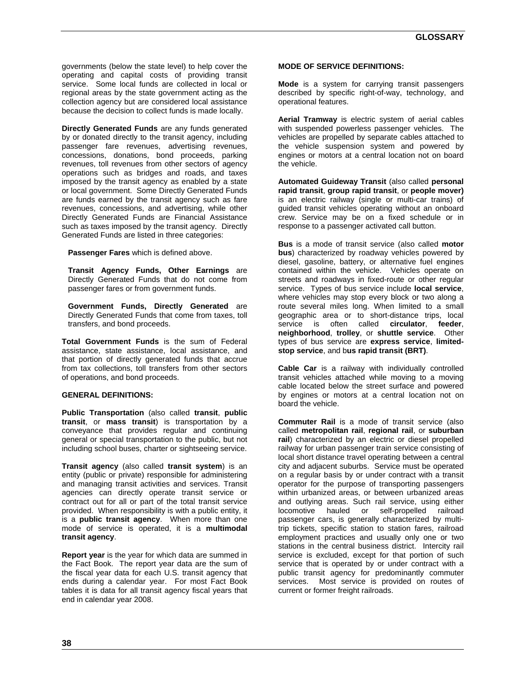governments (below the state level) to help cover the operating and capital costs of providing transit service. Some local funds are collected in local or regional areas by the state government acting as the collection agency but are considered local assistance because the decision to collect funds is made locally.

**Directly Generated Funds** are any funds generated by or donated directly to the transit agency, including passenger fare revenues, advertising revenues, concessions, donations, bond proceeds, parking revenues, toll revenues from other sectors of agency operations such as bridges and roads, and taxes imposed by the transit agency as enabled by a state or local government. Some Directly Generated Funds are funds earned by the transit agency such as fare revenues, concessions, and advertising, while other Directly Generated Funds are Financial Assistance such as taxes imposed by the transit agency. Directly Generated Funds are listed in three categories:

**Passenger Fares** which is defined above.

**Transit Agency Funds, Other Earnings** are Directly Generated Funds that do not come from passenger fares or from government funds.

**Government Funds, Directly Generated** are Directly Generated Funds that come from taxes, toll transfers, and bond proceeds.

**Total Government Funds** is the sum of Federal assistance, state assistance, local assistance, and that portion of directly generated funds that accrue from tax collections, toll transfers from other sectors of operations, and bond proceeds.

#### **GENERAL DEFINITIONS:**

**Public Transportation** (also called **transit**, **public transit**, or **mass transit**) is transportation by a conveyance that provides regular and continuing general or special transportation to the public, but not including school buses, charter or sightseeing service.

**Transit agency** (also called **transit system**) is an entity (public or private) responsible for administering and managing transit activities and services. Transit agencies can directly operate transit service or contract out for all or part of the total transit service provided. When responsibility is with a public entity, it is a **public transit agency**. When more than one mode of service is operated, it is a **multimodal transit agency**.

**Report year** is the year for which data are summed in the Fact Book. The report year data are the sum of the fiscal year data for each U.S. transit agency that ends during a calendar year. For most Fact Book tables it is data for all transit agency fiscal years that end in calendar year 2008.

#### **MODE OF SERVICE DEFINITIONS:**

**Mode** is a system for carrying transit passengers described by specific right-of-way, technology, and operational features.

**Aerial Tramway** is electric system of aerial cables with suspended powerless passenger vehicles. The vehicles are propelled by separate cables attached to the vehicle suspension system and powered by engines or motors at a central location not on board the vehicle.

**Automated Guideway Transit** (also called **personal rapid transit**, **group rapid transit**, or **people mover)**  is an electric railway (single or multi-car trains) of guided transit vehicles operating without an onboard crew. Service may be on a fixed schedule or in response to a passenger activated call button.

**Bus** is a mode of transit service (also called **motor bus**) characterized by roadway vehicles powered by diesel, gasoline, battery, or alternative fuel engines contained within the vehicle. Vehicles operate on streets and roadways in fixed-route or other regular service. Types of bus service include **local service**, where vehicles may stop every block or two along a route several miles long. When limited to a small geographic area or to short-distance trips, local service is often called **circulator**, **feeder**, **neighborhood**, **trolley**, or **shuttle service**. Other types of bus service are **express service**, **limitedstop service**, and b**us rapid transit (BRT)**.

**Cable Car** is a railway with individually controlled transit vehicles attached while moving to a moving cable located below the street surface and powered by engines or motors at a central location not on board the vehicle.

**Commuter Rail** is a mode of transit service (also called **metropolitan rail**, **regional rail**, or **suburban rail**) characterized by an electric or diesel propelled railway for urban passenger train service consisting of local short distance travel operating between a central city and adjacent suburbs. Service must be operated on a regular basis by or under contract with a transit operator for the purpose of transporting passengers within urbanized areas, or between urbanized areas and outlying areas. Such rail service, using either locomotive hauled or self-propelled railroad passenger cars, is generally characterized by multitrip tickets, specific station to station fares, railroad employment practices and usually only one or two stations in the central business district. Intercity rail service is excluded, except for that portion of such service that is operated by or under contract with a public transit agency for predominantly commuter services. Most service is provided on routes of current or former freight railroads.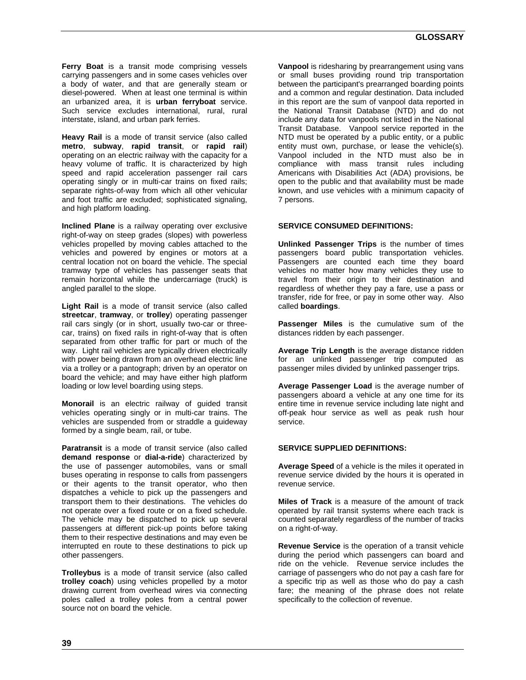**Ferry Boat** is a transit mode comprising vessels carrying passengers and in some cases vehicles over a body of water, and that are generally steam or diesel-powered. When at least one terminal is within an urbanized area, it is **urban ferryboat** service. Such service excludes international, rural, rural interstate, island, and urban park ferries.

**Heavy Rail** is a mode of transit service (also called **metro**, **subway**, **rapid transit**, or **rapid rail**) operating on an electric railway with the capacity for a heavy volume of traffic. It is characterized by high speed and rapid acceleration passenger rail cars operating singly or in multi-car trains on fixed rails; separate rights-of-way from which all other vehicular and foot traffic are excluded; sophisticated signaling, and high platform loading.

**Inclined Plane** is a railway operating over exclusive right-of-way on steep grades (slopes) with powerless vehicles propelled by moving cables attached to the vehicles and powered by engines or motors at a central location not on board the vehicle. The special tramway type of vehicles has passenger seats that remain horizontal while the undercarriage (truck) is angled parallel to the slope.

**Light Rail** is a mode of transit service (also called **streetcar**, **tramway**, or **trolley**) operating passenger rail cars singly (or in short, usually two-car or threecar, trains) on fixed rails in right-of-way that is often separated from other traffic for part or much of the way. Light rail vehicles are typically driven electrically with power being drawn from an overhead electric line via a trolley or a pantograph; driven by an operator on board the vehicle; and may have either high platform loading or low level boarding using steps.

**Monorail** is an electric railway of guided transit vehicles operating singly or in multi-car trains. The vehicles are suspended from or straddle a guideway formed by a single beam, rail, or tube.

**Paratransit** is a mode of transit service (also called **demand response** or **dial-a-ride**) characterized by the use of passenger automobiles, vans or small buses operating in response to calls from passengers or their agents to the transit operator, who then dispatches a vehicle to pick up the passengers and transport them to their destinations. The vehicles do not operate over a fixed route or on a fixed schedule. The vehicle may be dispatched to pick up several passengers at different pick-up points before taking them to their respective destinations and may even be interrupted en route to these destinations to pick up other passengers.

**Trolleybus** is a mode of transit service (also called **trolley coach**) using vehicles propelled by a motor drawing current from overhead wires via connecting poles called a trolley poles from a central power source not on board the vehicle.

**Vanpool** is ridesharing by prearrangement using vans or small buses providing round trip transportation between the participant's prearranged boarding points and a common and regular destination. Data included in this report are the sum of vanpool data reported in the National Transit Database (NTD) and do not include any data for vanpools not listed in the National Transit Database. Vanpool service reported in the NTD must be operated by a public entity, or a public entity must own, purchase, or lease the vehicle(s). Vanpool included in the NTD must also be in compliance with mass transit rules including Americans with Disabilities Act (ADA) provisions, be open to the public and that availability must be made known, and use vehicles with a minimum capacity of 7 persons.

#### **SERVICE CONSUMED DEFINITIONS:**

**Unlinked Passenger Trips** is the number of times passengers board public transportation vehicles. Passengers are counted each time they board vehicles no matter how many vehicles they use to travel from their origin to their destination and regardless of whether they pay a fare, use a pass or transfer, ride for free, or pay in some other way. Also called **boardings**.

**Passenger Miles** is the cumulative sum of the distances ridden by each passenger.

**Average Trip Length** is the average distance ridden for an unlinked passenger trip computed as passenger miles divided by unlinked passenger trips.

**Average Passenger Load** is the average number of passengers aboard a vehicle at any one time for its entire time in revenue service including late night and off-peak hour service as well as peak rush hour service.

#### **SERVICE SUPPLIED DEFINITIONS:**

**Average Speed** of a vehicle is the miles it operated in revenue service divided by the hours it is operated in revenue service.

**Miles of Track** is a measure of the amount of track operated by rail transit systems where each track is counted separately regardless of the number of tracks on a right-of-way.

**Revenue Service** is the operation of a transit vehicle during the period which passengers can board and ride on the vehicle. Revenue service includes the carriage of passengers who do not pay a cash fare for a specific trip as well as those who do pay a cash fare; the meaning of the phrase does not relate specifically to the collection of revenue.